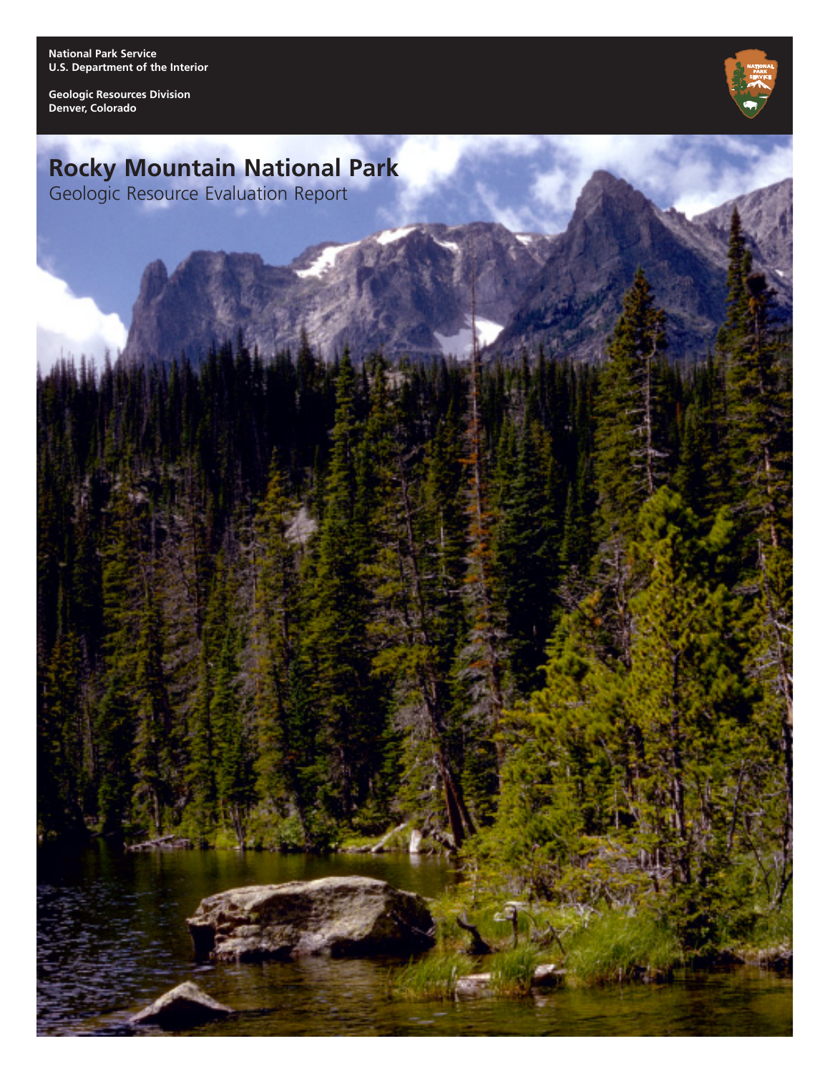**National Park Service U.S. Department of the Interior**

**Geologic Resources Division Denver, Colorado**



# **Rocky Mountain National Park**

Geologic Resource Evaluation Report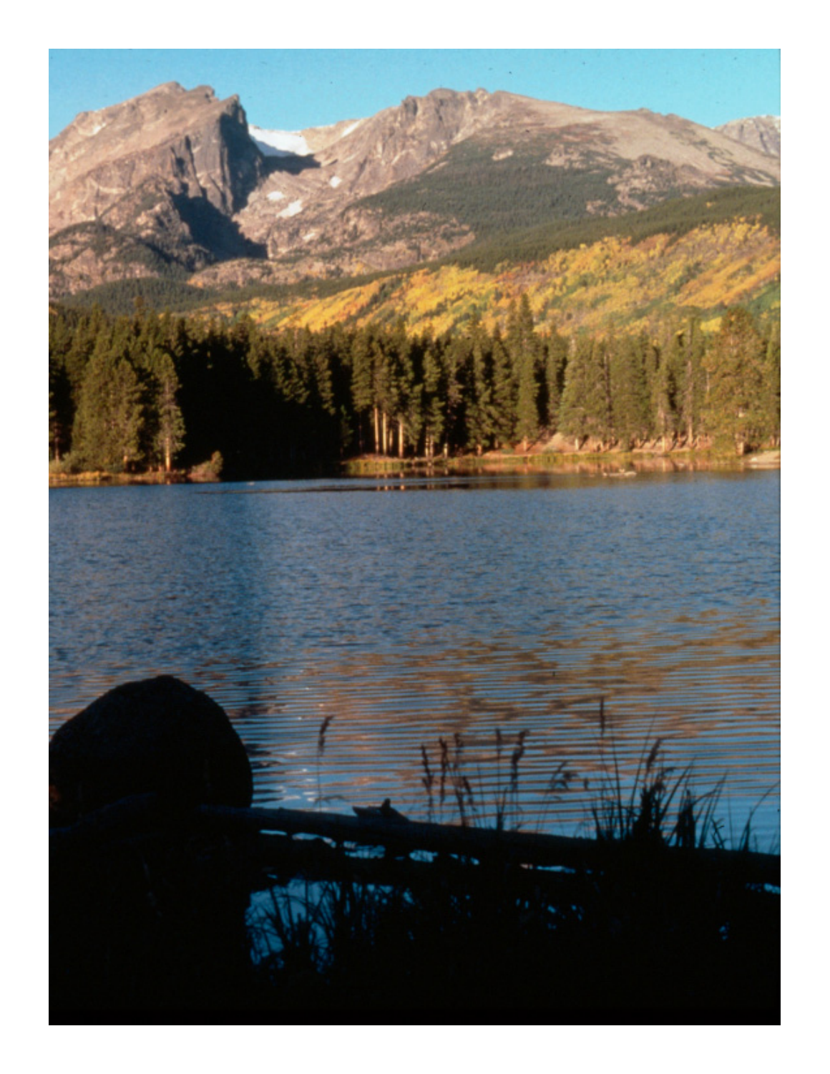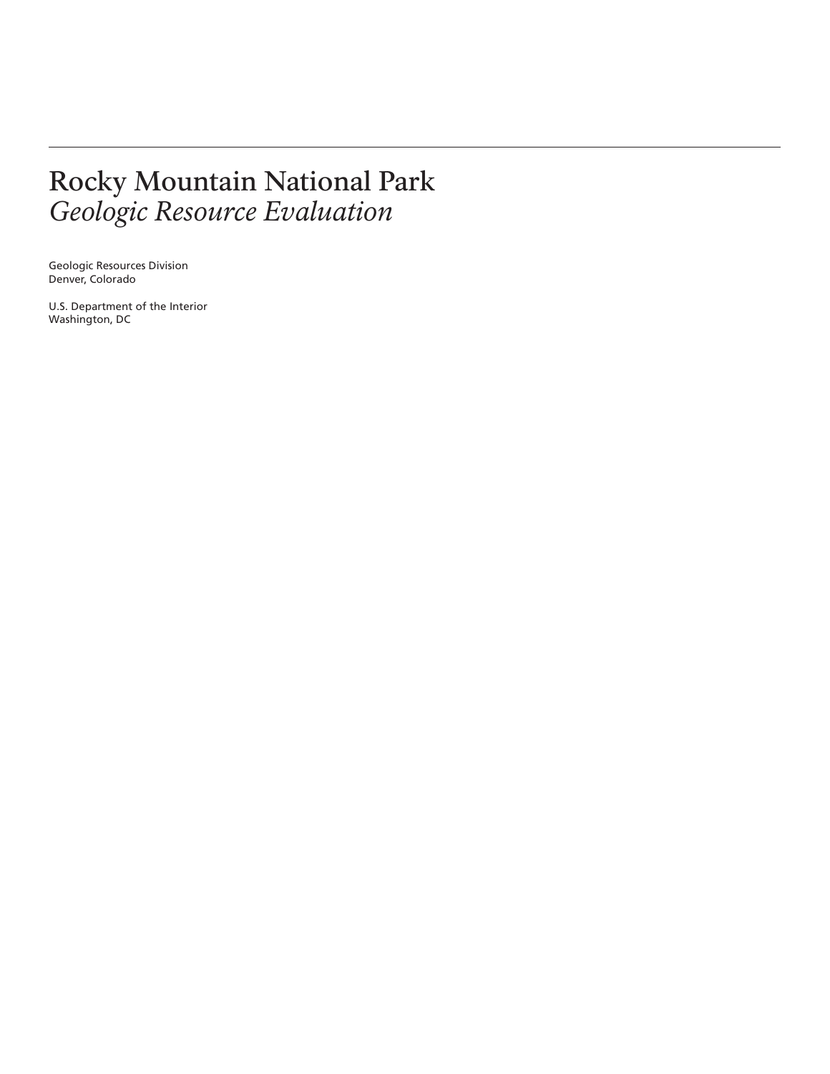# Rocky Mountain National Park *Geologic Resource Evaluation*

Geologic Resources Division Denver, Colorado

U.S. Department of the Interior Washington, DC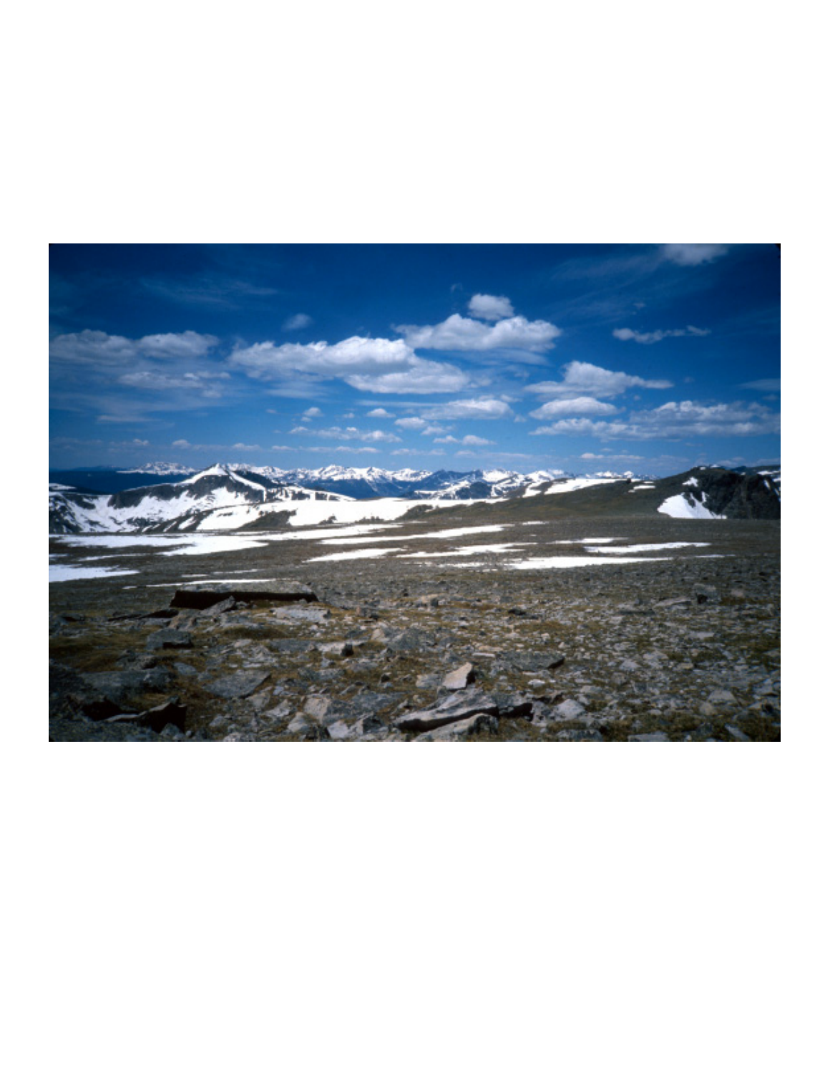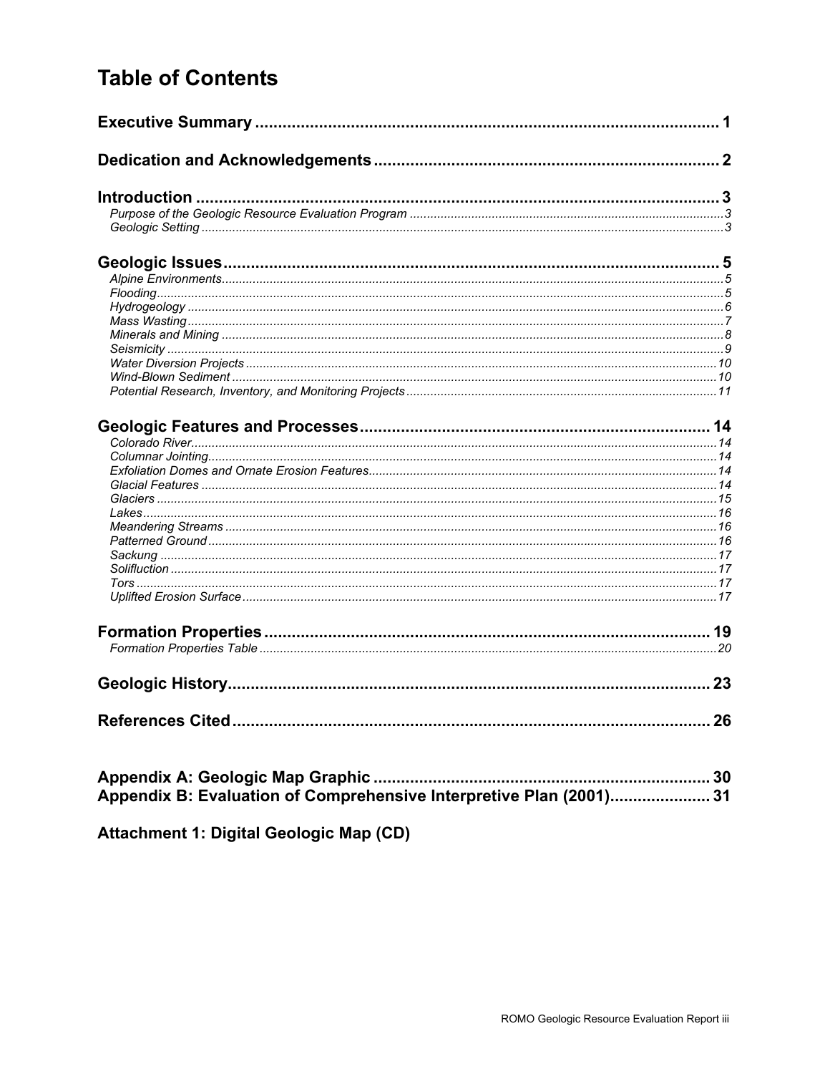# **Table of Contents**

|                                                                     | 26 |
|---------------------------------------------------------------------|----|
|                                                                     |    |
|                                                                     |    |
| Appendix B: Evaluation of Comprehensive Interpretive Plan (2001) 31 |    |

Attachment 1: Digital Geologic Map (CD)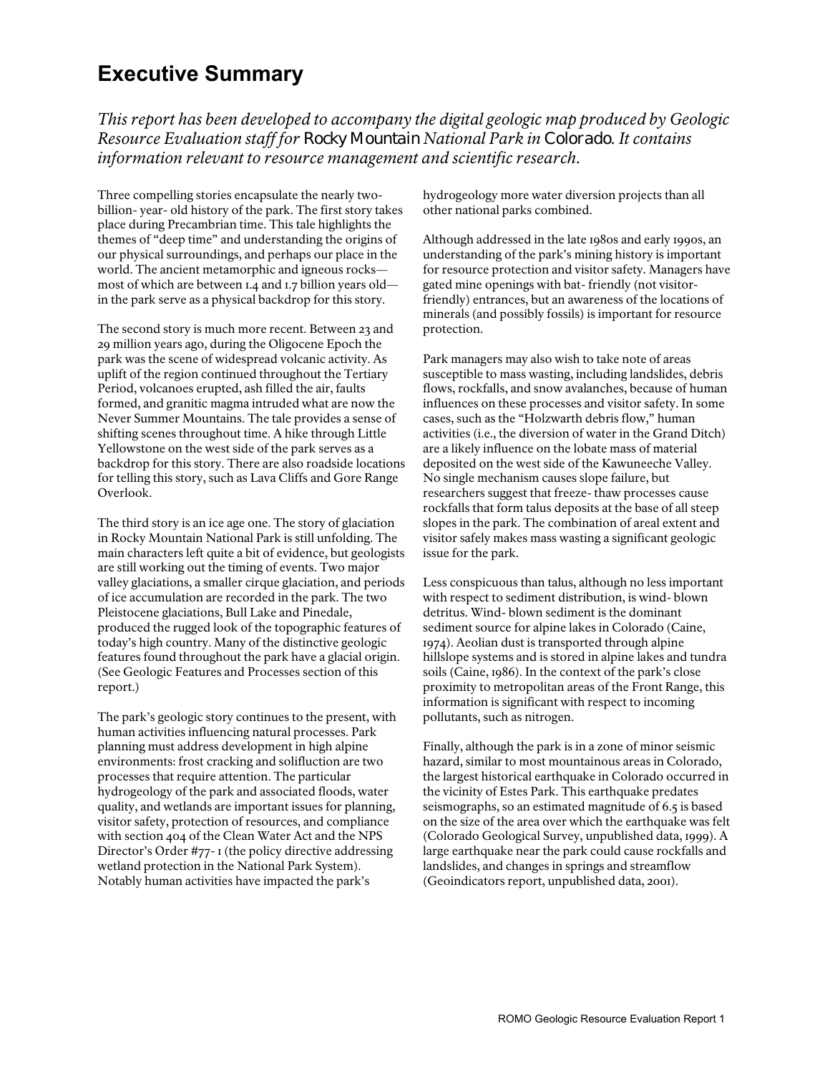### **Executive Summary**

*This report has been developed to accompany the digital geologic map produced by Geologic Resource Evaluation staff for Rocky Mountain National Park in Colorado. It contains information relevant to resource management and scientific research.* 

Three compelling stories encapsulate the nearly twobillion- year- old history of the park. The first story takes place during Precambrian time. This tale highlights the themes of "deep time" and understanding the origins of our physical surroundings, and perhaps our place in the world. The ancient metamorphic and igneous rocks most of which are between 1.4 and 1.7 billion years old in the park serve as a physical backdrop for this story.

The second story is much more recent. Between 23 and 29 million years ago, during the Oligocene Epoch the park was the scene of widespread volcanic activity. As uplift of the region continued throughout the Tertiary Period, volcanoes erupted, ash filled the air, faults formed, and granitic magma intruded what are now the Never Summer Mountains. The tale provides a sense of shifting scenes throughout time. A hike through Little Yellowstone on the west side of the park serves as a backdrop for this story. There are also roadside locations for telling this story, such as Lava Cliffs and Gore Range Overlook.

The third story is an ice age one. The story of glaciation in Rocky Mountain National Park is still unfolding. The main characters left quite a bit of evidence, but geologists are still working out the timing of events. Two major valley glaciations, a smaller cirque glaciation, and periods of ice accumulation are recorded in the park. The two Pleistocene glaciations, Bull Lake and Pinedale, produced the rugged look of the topographic features of today's high country. Many of the distinctive geologic features found throughout the park have a glacial origin. (See Geologic Features and Processes section of this report.)

The park's geologic story continues to the present, with human activities influencing natural processes. Park planning must address development in high alpine environments: frost cracking and solifluction are two processes that require attention. The particular hydrogeology of the park and associated floods, water quality, and wetlands are important issues for planning, visitor safety, protection of resources, and compliance with section 404 of the Clean Water Act and the NPS Director's Order #77- 1 (the policy directive addressing wetland protection in the National Park System). Notably human activities have impacted the park's

hydrogeology more water diversion projects than all other national parks combined.

Although addressed in the late 1980s and early 1990s, an understanding of the park's mining history is important for resource protection and visitor safety. Managers have gated mine openings with bat- friendly (not visitorfriendly) entrances, but an awareness of the locations of minerals (and possibly fossils) is important for resource protection.

Park managers may also wish to take note of areas susceptible to mass wasting, including landslides, debris flows, rockfalls, and snow avalanches, because of human influences on these processes and visitor safety. In some cases, such as the "Holzwarth debris flow," human activities (i.e., the diversion of water in the Grand Ditch) are a likely influence on the lobate mass of material deposited on the west side of the Kawuneeche Valley. No single mechanism causes slope failure, but researchers suggest that freeze- thaw processes cause rockfalls that form talus deposits at the base of all steep slopes in the park. The combination of areal extent and visitor safely makes mass wasting a significant geologic issue for the park.

Less conspicuous than talus, although no less important with respect to sediment distribution, is wind- blown detritus. Wind- blown sediment is the dominant sediment source for alpine lakes in Colorado (Caine, 1974). Aeolian dust is transported through alpine hillslope systems and is stored in alpine lakes and tundra soils (Caine, 1986). In the context of the park's close proximity to metropolitan areas of the Front Range, this information is significant with respect to incoming pollutants, such as nitrogen.

Finally, although the park is in a zone of minor seismic hazard, similar to most mountainous areas in Colorado, the largest historical earthquake in Colorado occurred in the vicinity of Estes Park. This earthquake predates seismographs, so an estimated magnitude of 6.5 is based on the size of the area over which the earthquake was felt (Colorado Geological Survey, unpublished data, 1999). A large earthquake near the park could cause rockfalls and landslides, and changes in springs and streamflow (Geoindicators report, unpublished data, 2001).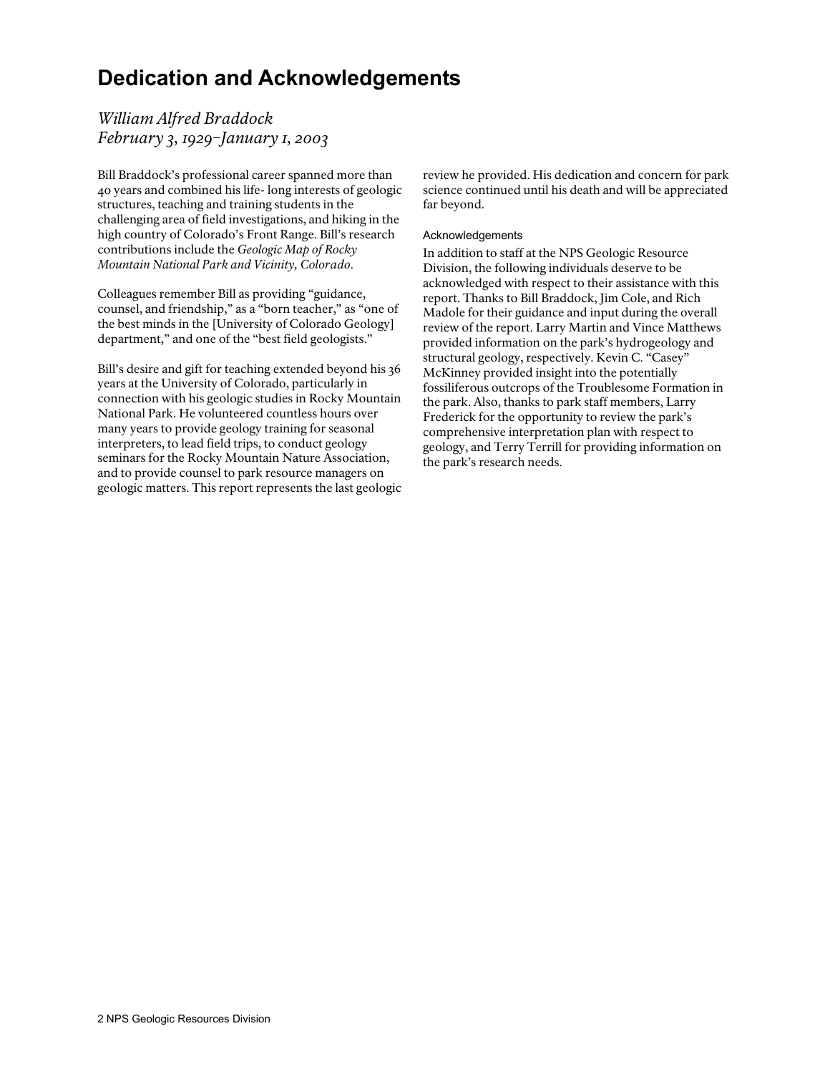### **Dedication and Acknowledgements**

*William Alfred Braddock February 3, 1929–January 1, 2003* 

Bill Braddock's professional career spanned more than 40 years and combined his life- long interests of geologic structures, teaching and training students in the challenging area of field investigations, and hiking in the high country of Colorado's Front Range. Bill's research contributions include the *Geologic Map of Rocky Mountain National Park and Vicinity, Colorado*.

Colleagues remember Bill as providing "guidance, counsel, and friendship," as a "born teacher," as "one of the best minds in the [University of Colorado Geology] department," and one of the "best field geologists."

Bill's desire and gift for teaching extended beyond his 36 years at the University of Colorado, particularly in connection with his geologic studies in Rocky Mountain National Park. He volunteered countless hours over many years to provide geology training for seasonal interpreters, to lead field trips, to conduct geology seminars for the Rocky Mountain Nature Association, and to provide counsel to park resource managers on geologic matters. This report represents the last geologic review he provided. His dedication and concern for park science continued until his death and will be appreciated far beyond.

#### Acknowledgements

In addition to staff at the NPS Geologic Resource Division, the following individuals deserve to be acknowledged with respect to their assistance with this report. Thanks to Bill Braddock, Jim Cole, and Rich Madole for their guidance and input during the overall review of the report. Larry Martin and Vince Matthews provided information on the park's hydrogeology and structural geology, respectively. Kevin C. "Casey" McKinney provided insight into the potentially fossiliferous outcrops of the Troublesome Formation in the park. Also, thanks to park staff members, Larry Frederick for the opportunity to review the park's comprehensive interpretation plan with respect to geology, and Terry Terrill for providing information on the park's research needs.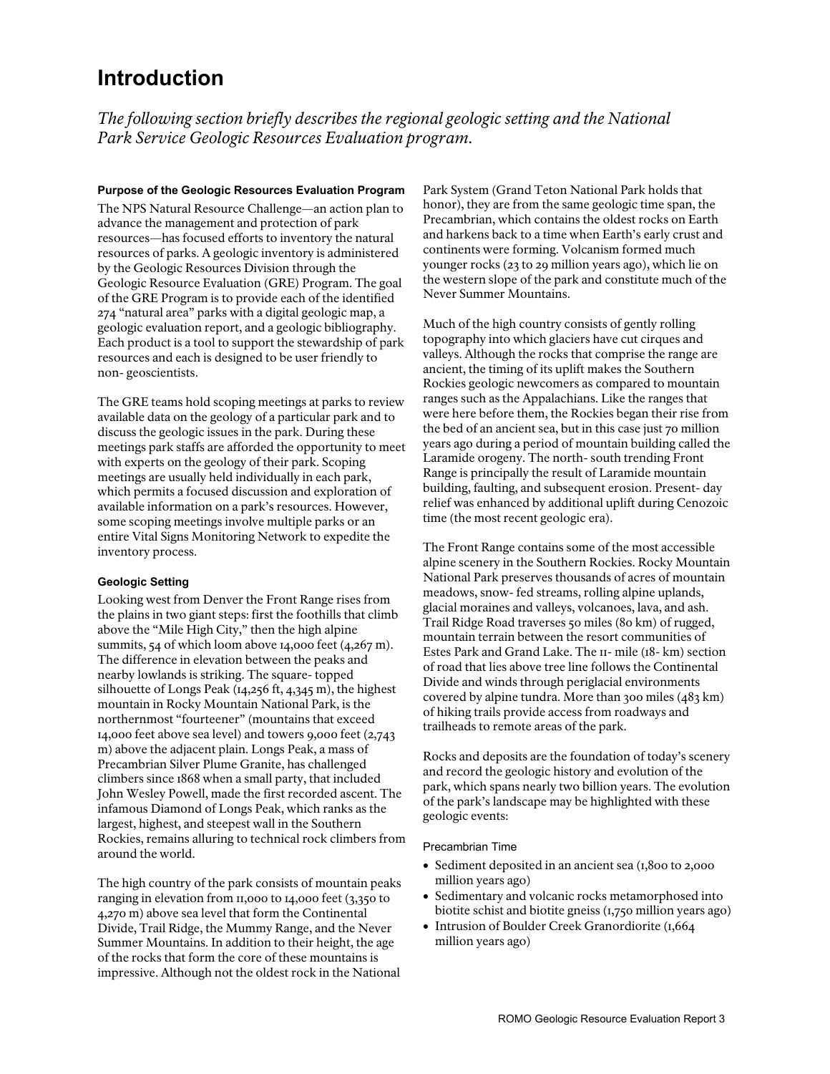### **Introduction**

*The following section briefly describes the regional geologic setting and the National Park Service Geologic Resources Evaluation program.* 

#### **Purpose of the Geologic Resources Evaluation Program**

The NPS Natural Resource Challenge—an action plan to advance the management and protection of park resources—has focused efforts to inventory the natural resources of parks. A geologic inventory is administered by the Geologic Resources Division through the Geologic Resource Evaluation (GRE) Program. The goal of the GRE Program is to provide each of the identified 274 "natural area" parks with a digital geologic map, a geologic evaluation report, and a geologic bibliography. Each product is a tool to support the stewardship of park resources and each is designed to be user friendly to non- geoscientists.

The GRE teams hold scoping meetings at parks to review available data on the geology of a particular park and to discuss the geologic issues in the park. During these meetings park staffs are afforded the opportunity to meet with experts on the geology of their park. Scoping meetings are usually held individually in each park, which permits a focused discussion and exploration of available information on a park's resources. However, some scoping meetings involve multiple parks or an entire Vital Signs Monitoring Network to expedite the inventory process.

#### **Geologic Setting**

Looking west from Denver the Front Range rises from the plains in two giant steps: first the foothills that climb above the "Mile High City," then the high alpine summits, 54 of which loom above 14,000 feet  $(4,267 \text{ m})$ . The difference in elevation between the peaks and nearby lowlands is striking. The square- topped silhouette of Longs Peak (14,256 ft, 4,345 m), the highest mountain in Rocky Mountain National Park, is the northernmost "fourteener" (mountains that exceed 14,000 feet above sea level) and towers 9,000 feet (2,743 m) above the adjacent plain. Longs Peak, a mass of Precambrian Silver Plume Granite, has challenged climbers since 1868 when a small party, that included John Wesley Powell, made the first recorded ascent. The infamous Diamond of Longs Peak, which ranks as the largest, highest, and steepest wall in the Southern Rockies, remains alluring to technical rock climbers from around the world.

The high country of the park consists of mountain peaks ranging in elevation from 11,000 to 14,000 feet (3,350 to 4,270 m) above sea level that form the Continental Divide, Trail Ridge, the Mummy Range, and the Never Summer Mountains. In addition to their height, the age of the rocks that form the core of these mountains is impressive. Although not the oldest rock in the National

Park System (Grand Teton National Park holds that honor), they are from the same geologic time span, the Precambrian, which contains the oldest rocks on Earth and harkens back to a time when Earth's early crust and continents were forming. Volcanism formed much younger rocks (23 to 29 million years ago), which lie on the western slope of the park and constitute much of the Never Summer Mountains.

Much of the high country consists of gently rolling topography into which glaciers have cut cirques and valleys. Although the rocks that comprise the range are ancient, the timing of its uplift makes the Southern Rockies geologic newcomers as compared to mountain ranges such as the Appalachians. Like the ranges that were here before them, the Rockies began their rise from the bed of an ancient sea, but in this case just 70 million years ago during a period of mountain building called the Laramide orogeny. The north- south trending Front Range is principally the result of Laramide mountain building, faulting, and subsequent erosion. Present- day relief was enhanced by additional uplift during Cenozoic time (the most recent geologic era).

The Front Range contains some of the most accessible alpine scenery in the Southern Rockies. Rocky Mountain National Park preserves thousands of acres of mountain meadows, snow- fed streams, rolling alpine uplands, glacial moraines and valleys, volcanoes, lava, and ash. Trail Ridge Road traverses 50 miles (80 km) of rugged, mountain terrain between the resort communities of Estes Park and Grand Lake. The 11- mile (18- km) section of road that lies above tree line follows the Continental Divide and winds through periglacial environments covered by alpine tundra. More than 300 miles  $(483 \text{ km})$ of hiking trails provide access from roadways and trailheads to remote areas of the park.

Rocks and deposits are the foundation of today's scenery and record the geologic history and evolution of the park, which spans nearly two billion years. The evolution of the park's landscape may be highlighted with these geologic events:

#### Precambrian Time

- Sediment deposited in an ancient sea (1,800 to 2,000 million years ago)
- Sedimentary and volcanic rocks metamorphosed into biotite schist and biotite gneiss (1,750 million years ago)
- Intrusion of Boulder Creek Granordiorite (1,664 million years ago)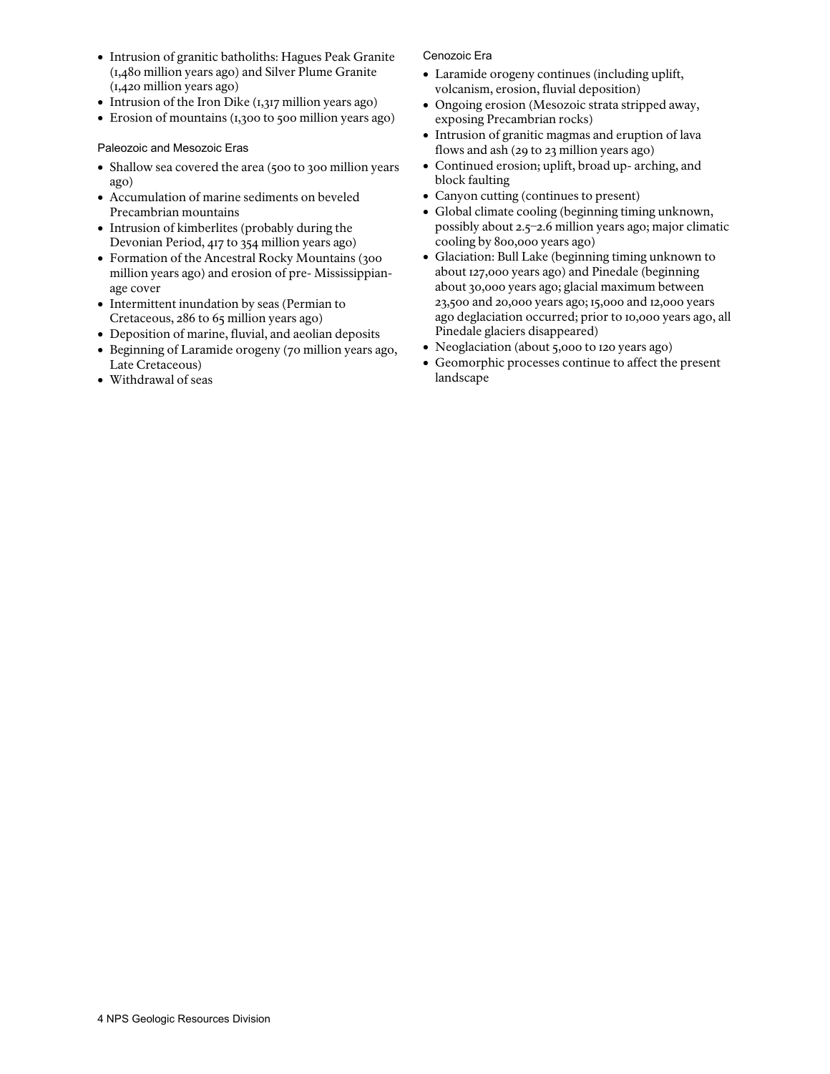- Intrusion of granitic batholiths: Hagues Peak Granite (1,480 million years ago) and Silver Plume Granite (1,420 million years ago)
- Intrusion of the Iron Dike (1,317 million years ago)
- Erosion of mountains (1,300 to 500 million years ago)

Paleozoic and Mesozoic Eras

- Shallow sea covered the area (500 to 300 million years) ago)
- Accumulation of marine sediments on beveled Precambrian mountains
- Intrusion of kimberlites (probably during the Devonian Period, 417 to 354 million years ago)
- Formation of the Ancestral Rocky Mountains (300 million years ago) and erosion of pre- Mississippianage cover
- Intermittent inundation by seas (Permian to Cretaceous, 286 to 65 million years ago)
- Deposition of marine, fluvial, and aeolian deposits
- Beginning of Laramide orogeny (70 million years ago, Late Cretaceous)
- Withdrawal of seas

#### Cenozoic Era

- Laramide orogeny continues (including uplift, volcanism, erosion, fluvial deposition)
- Ongoing erosion (Mesozoic strata stripped away, exposing Precambrian rocks)
- Intrusion of granitic magmas and eruption of lava flows and ash (29 to 23 million years ago)
- Continued erosion; uplift, broad up- arching, and block faulting
- Canyon cutting (continues to present)
- Global climate cooling (beginning timing unknown, possibly about 2.5–2.6 million years ago; major climatic cooling by 800,000 years ago)
- Glaciation: Bull Lake (beginning timing unknown to about 127,000 years ago) and Pinedale (beginning about 30,000 years ago; glacial maximum between 23,500 and 20,000 years ago; 15,000 and 12,000 years ago deglaciation occurred; prior to 10,000 years ago, all Pinedale glaciers disappeared)
- Neoglaciation (about 5,000 to 120 years ago)
- Geomorphic processes continue to affect the present landscape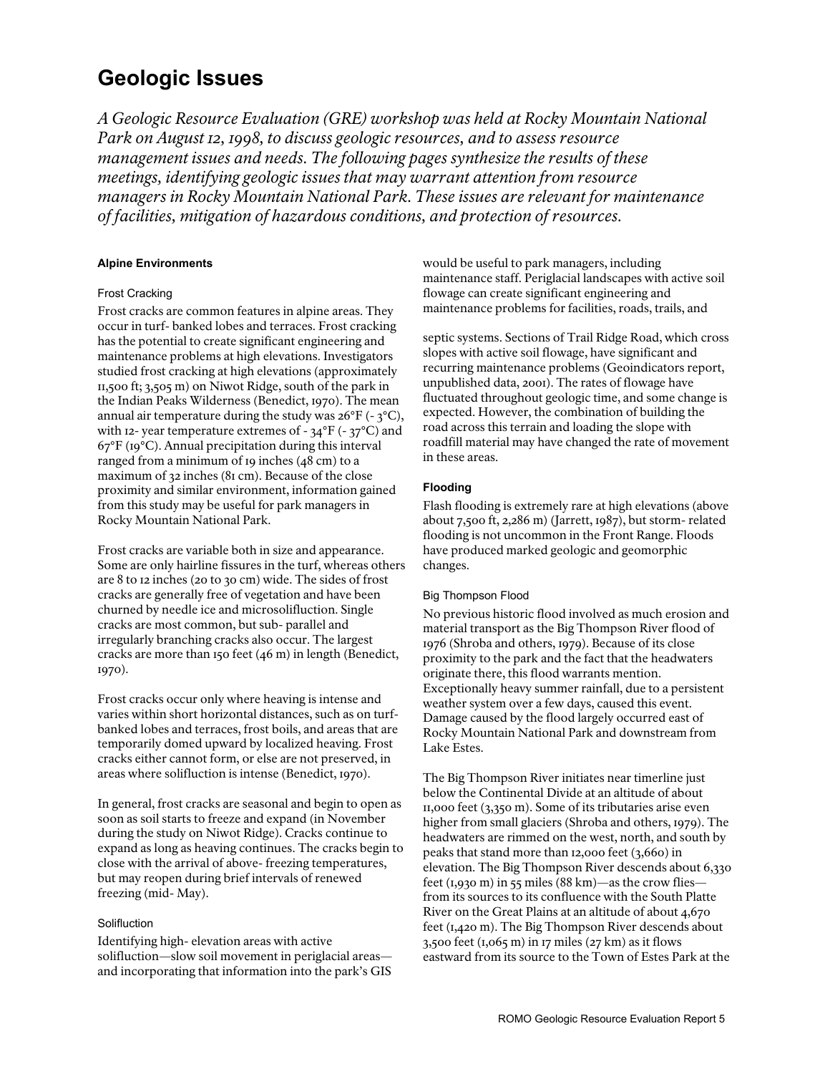### **Geologic Issues**

*A Geologic Resource Evaluation (GRE) workshop was held at Rocky Mountain National Park on August 12, 1998, to discuss geologic resources, and to assess resource management issues and needs. The following pages synthesize the results of these meetings, identifying geologic issues that may warrant attention from resource managers in Rocky Mountain National Park. These issues are relevant for maintenance of facilities, mitigation of hazardous conditions, and protection of resources.* 

#### **Alpine Environments**

#### Frost Cracking

Frost cracks are common features in alpine areas. They occur in turf- banked lobes and terraces. Frost cracking has the potential to create significant engineering and maintenance problems at high elevations. Investigators studied frost cracking at high elevations (approximately 11,500 ft; 3,505 m) on Niwot Ridge, south of the park in the Indian Peaks Wilderness (Benedict, 1970). The mean annual air temperature during the study was  $26^{\circ}F(-3^{\circ}C)$ , with 12- year temperature extremes of - 34°F (- 37°C) and 67°F (19°C). Annual precipitation during this interval ranged from a minimum of 19 inches (48 cm) to a maximum of 32 inches (81 cm). Because of the close proximity and similar environment, information gained from this study may be useful for park managers in Rocky Mountain National Park.

Frost cracks are variable both in size and appearance. Some are only hairline fissures in the turf, whereas others are 8 to 12 inches (20 to 30 cm) wide. The sides of frost cracks are generally free of vegetation and have been churned by needle ice and microsolifluction. Single cracks are most common, but sub- parallel and irregularly branching cracks also occur. The largest cracks are more than 150 feet (46 m) in length (Benedict, 1970).

Frost cracks occur only where heaving is intense and varies within short horizontal distances, such as on turfbanked lobes and terraces, frost boils, and areas that are temporarily domed upward by localized heaving. Frost cracks either cannot form, or else are not preserved, in areas where solifluction is intense (Benedict, 1970).

In general, frost cracks are seasonal and begin to open as soon as soil starts to freeze and expand (in November during the study on Niwot Ridge). Cracks continue to expand as long as heaving continues. The cracks begin to close with the arrival of above- freezing temperatures, but may reopen during brief intervals of renewed freezing (mid- May).

#### **Solifluction**

Identifying high- elevation areas with active solifluction—slow soil movement in periglacial areas and incorporating that information into the park's GIS would be useful to park managers, including maintenance staff. Periglacial landscapes with active soil flowage can create significant engineering and maintenance problems for facilities, roads, trails, and

septic systems. Sections of Trail Ridge Road, which cross slopes with active soil flowage, have significant and recurring maintenance problems (Geoindicators report, unpublished data, 2001). The rates of flowage have fluctuated throughout geologic time, and some change is expected. However, the combination of building the road across this terrain and loading the slope with roadfill material may have changed the rate of movement in these areas.

#### **Flooding**

Flash flooding is extremely rare at high elevations (above about 7,500 ft, 2,286 m) (Jarrett, 1987), but storm- related flooding is not uncommon in the Front Range. Floods have produced marked geologic and geomorphic changes.

#### Big Thompson Flood

No previous historic flood involved as much erosion and material transport as the Big Thompson River flood of 1976 (Shroba and others, 1979). Because of its close proximity to the park and the fact that the headwaters originate there, this flood warrants mention. Exceptionally heavy summer rainfall, due to a persistent weather system over a few days, caused this event. Damage caused by the flood largely occurred east of Rocky Mountain National Park and downstream from Lake Estes.

The Big Thompson River initiates near timerline just below the Continental Divide at an altitude of about 11,000 feet (3,350 m). Some of its tributaries arise even higher from small glaciers (Shroba and others, 1979). The headwaters are rimmed on the west, north, and south by peaks that stand more than 12,000 feet (3,660) in elevation. The Big Thompson River descends about 6,330 feet (1,930 m) in 55 miles (88 km)—as the crow flies from its sources to its confluence with the South Platte River on the Great Plains at an altitude of about 4,670 feet (1,420 m). The Big Thompson River descends about  $3,500$  feet  $(1,065 \text{ m})$  in 17 miles  $(27 \text{ km})$  as it flows eastward from its source to the Town of Estes Park at the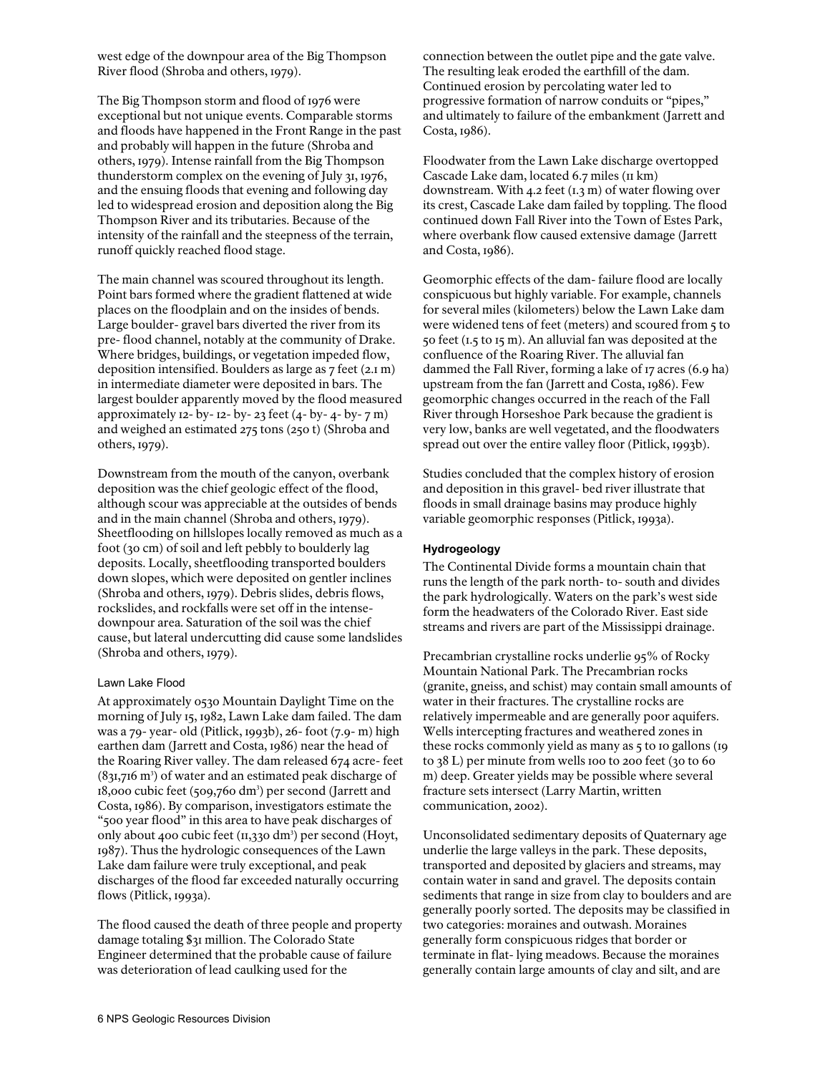west edge of the downpour area of the Big Thompson River flood (Shroba and others, 1979).

The Big Thompson storm and flood of 1976 were exceptional but not unique events. Comparable storms and floods have happened in the Front Range in the past and probably will happen in the future (Shroba and others, 1979). Intense rainfall from the Big Thompson thunderstorm complex on the evening of July 31, 1976, and the ensuing floods that evening and following day led to widespread erosion and deposition along the Big Thompson River and its tributaries. Because of the intensity of the rainfall and the steepness of the terrain, runoff quickly reached flood stage.

The main channel was scoured throughout its length. Point bars formed where the gradient flattened at wide places on the floodplain and on the insides of bends. Large boulder- gravel bars diverted the river from its pre- flood channel, notably at the community of Drake. Where bridges, buildings, or vegetation impeded flow, deposition intensified. Boulders as large as 7 feet (2.1 m) in intermediate diameter were deposited in bars. The largest boulder apparently moved by the flood measured approximately  $12$ - by-  $12$ - by-  $23$  feet  $(4 - by - 4 - by - 7 m)$ and weighed an estimated 275 tons (250 t) (Shroba and others, 1979).

Downstream from the mouth of the canyon, overbank deposition was the chief geologic effect of the flood, although scour was appreciable at the outsides of bends and in the main channel (Shroba and others, 1979). Sheetflooding on hillslopes locally removed as much as a foot (30 cm) of soil and left pebbly to boulderly lag deposits. Locally, sheetflooding transported boulders down slopes, which were deposited on gentler inclines (Shroba and others, 1979). Debris slides, debris flows, rockslides, and rockfalls were set off in the intensedownpour area. Saturation of the soil was the chief cause, but lateral undercutting did cause some landslides (Shroba and others, 1979).

#### Lawn Lake Flood

At approximately 0530 Mountain Daylight Time on the morning of July 15, 1982, Lawn Lake dam failed. The dam was a 79- year- old (Pitlick, 1993b), 26- foot (7.9- m) high earthen dam (Jarrett and Costa, 1986) near the head of the Roaring River valley. The dam released 674 acre- feet (831,716 m<sup>3</sup>) of water and an estimated peak discharge of 18,000 cubic feet (509,760 dm<sup>3</sup>) per second (Jarrett and Costa, 1986). By comparison, investigators estimate the "500 year flood" in this area to have peak discharges of only about 400 cubic feet (11,330 dm<sup>3</sup>) per second (Hoyt, 1987). Thus the hydrologic consequences of the Lawn Lake dam failure were truly exceptional, and peak discharges of the flood far exceeded naturally occurring flows (Pitlick, 1993a).

The flood caused the death of three people and property damage totaling \$31 million. The Colorado State Engineer determined that the probable cause of failure was deterioration of lead caulking used for the

connection between the outlet pipe and the gate valve. The resulting leak eroded the earthfill of the dam. Continued erosion by percolating water led to progressive formation of narrow conduits or "pipes," and ultimately to failure of the embankment (Jarrett and Costa, 1986).

Floodwater from the Lawn Lake discharge overtopped Cascade Lake dam, located 6.7 miles ( $\pi$  km) downstream. With 4.2 feet  $(I, 3, m)$  of water flowing over its crest, Cascade Lake dam failed by toppling. The flood continued down Fall River into the Town of Estes Park, where overbank flow caused extensive damage (Jarrett and Costa, 1986).

Geomorphic effects of the dam- failure flood are locally conspicuous but highly variable. For example, channels for several miles (kilometers) below the Lawn Lake dam were widened tens of feet (meters) and scoured from 5 to 50 feet (1.5 to 15 m). An alluvial fan was deposited at the confluence of the Roaring River. The alluvial fan dammed the Fall River, forming a lake of 17 acres (6.9 ha) upstream from the fan (Jarrett and Costa, 1986). Few geomorphic changes occurred in the reach of the Fall River through Horseshoe Park because the gradient is very low, banks are well vegetated, and the floodwaters spread out over the entire valley floor (Pitlick, 1993b).

Studies concluded that the complex history of erosion and deposition in this gravel- bed river illustrate that floods in small drainage basins may produce highly variable geomorphic responses (Pitlick, 1993a).

#### **Hydrogeology**

The Continental Divide forms a mountain chain that runs the length of the park north- to- south and divides the park hydrologically. Waters on the park's west side form the headwaters of the Colorado River. East side streams and rivers are part of the Mississippi drainage.

Precambrian crystalline rocks underlie 95% of Rocky Mountain National Park. The Precambrian rocks (granite, gneiss, and schist) may contain small amounts of water in their fractures. The crystalline rocks are relatively impermeable and are generally poor aquifers. Wells intercepting fractures and weathered zones in these rocks commonly yield as many as 5 to 10 gallons (19 to 38 L) per minute from wells 100 to 200 feet (30 to 60 m) deep. Greater yields may be possible where several fracture sets intersect (Larry Martin, written communication, 2002).

Unconsolidated sedimentary deposits of Quaternary age underlie the large valleys in the park. These deposits, transported and deposited by glaciers and streams, may contain water in sand and gravel. The deposits contain sediments that range in size from clay to boulders and are generally poorly sorted. The deposits may be classified in two categories: moraines and outwash. Moraines generally form conspicuous ridges that border or terminate in flat- lying meadows. Because the moraines generally contain large amounts of clay and silt, and are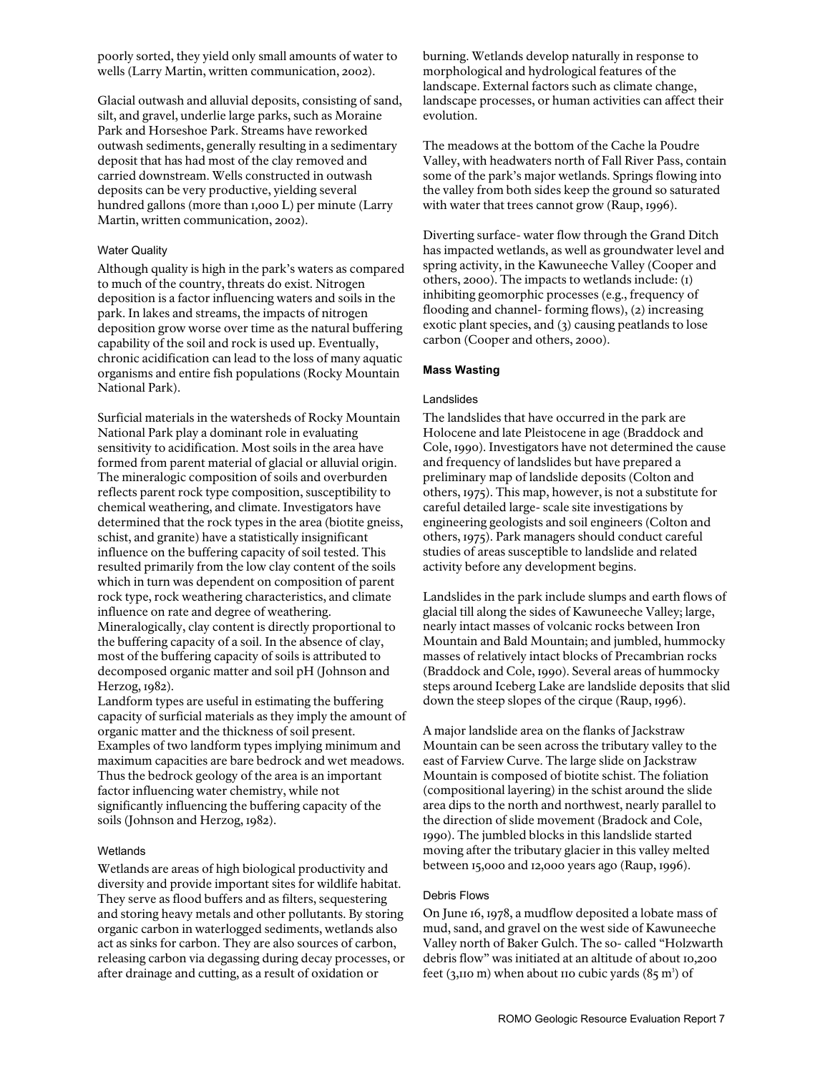poorly sorted, they yield only small amounts of water to wells (Larry Martin, written communication, 2002).

Glacial outwash and alluvial deposits, consisting of sand, silt, and gravel, underlie large parks, such as Moraine Park and Horseshoe Park. Streams have reworked outwash sediments, generally resulting in a sedimentary deposit that has had most of the clay removed and carried downstream. Wells constructed in outwash deposits can be very productive, yielding several hundred gallons (more than 1,000 L) per minute (Larry Martin, written communication, 2002).

#### Water Quality

Although quality is high in the park's waters as compared to much of the country, threats do exist. Nitrogen deposition is a factor influencing waters and soils in the park. In lakes and streams, the impacts of nitrogen deposition grow worse over time as the natural buffering capability of the soil and rock is used up. Eventually, chronic acidification can lead to the loss of many aquatic organisms and entire fish populations (Rocky Mountain National Park).

Surficial materials in the watersheds of Rocky Mountain National Park play a dominant role in evaluating sensitivity to acidification. Most soils in the area have formed from parent material of glacial or alluvial origin. The mineralogic composition of soils and overburden reflects parent rock type composition, susceptibility to chemical weathering, and climate. Investigators have determined that the rock types in the area (biotite gneiss, schist, and granite) have a statistically insignificant influence on the buffering capacity of soil tested. This resulted primarily from the low clay content of the soils which in turn was dependent on composition of parent rock type, rock weathering characteristics, and climate influence on rate and degree of weathering. Mineralogically, clay content is directly proportional to the buffering capacity of a soil. In the absence of clay, most of the buffering capacity of soils is attributed to decomposed organic matter and soil pH (Johnson and Herzog, 1982).

Landform types are useful in estimating the buffering capacity of surficial materials as they imply the amount of organic matter and the thickness of soil present. Examples of two landform types implying minimum and maximum capacities are bare bedrock and wet meadows. Thus the bedrock geology of the area is an important factor influencing water chemistry, while not significantly influencing the buffering capacity of the soils (Johnson and Herzog, 1982).

#### Wetlands

Wetlands are areas of high biological productivity and diversity and provide important sites for wildlife habitat. They serve as flood buffers and as filters, sequestering and storing heavy metals and other pollutants. By storing organic carbon in waterlogged sediments, wetlands also act as sinks for carbon. They are also sources of carbon, releasing carbon via degassing during decay processes, or after drainage and cutting, as a result of oxidation or

burning. Wetlands develop naturally in response to morphological and hydrological features of the landscape. External factors such as climate change, landscape processes, or human activities can affect their evolution.

The meadows at the bottom of the Cache la Poudre Valley, with headwaters north of Fall River Pass, contain some of the park's major wetlands. Springs flowing into the valley from both sides keep the ground so saturated with water that trees cannot grow (Raup, 1996).

Diverting surface- water flow through the Grand Ditch has impacted wetlands, as well as groundwater level and spring activity, in the Kawuneeche Valley (Cooper and others, 2000). The impacts to wetlands include: (1) inhibiting geomorphic processes (e.g., frequency of flooding and channel- forming flows), (2) increasing exotic plant species, and (3) causing peatlands to lose carbon (Cooper and others, 2000).

#### **Mass Wasting**

#### Landslides

The landslides that have occurred in the park are Holocene and late Pleistocene in age (Braddock and Cole, 1990). Investigators have not determined the cause and frequency of landslides but have prepared a preliminary map of landslide deposits (Colton and others, 1975). This map, however, is not a substitute for careful detailed large- scale site investigations by engineering geologists and soil engineers (Colton and others, 1975). Park managers should conduct careful studies of areas susceptible to landslide and related activity before any development begins.

Landslides in the park include slumps and earth flows of glacial till along the sides of Kawuneeche Valley; large, nearly intact masses of volcanic rocks between Iron Mountain and Bald Mountain; and jumbled, hummocky masses of relatively intact blocks of Precambrian rocks (Braddock and Cole, 1990). Several areas of hummocky steps around Iceberg Lake are landslide deposits that slid down the steep slopes of the cirque (Raup, 1996).

A major landslide area on the flanks of Jackstraw Mountain can be seen across the tributary valley to the east of Farview Curve. The large slide on Jackstraw Mountain is composed of biotite schist. The foliation (compositional layering) in the schist around the slide area dips to the north and northwest, nearly parallel to the direction of slide movement (Bradock and Cole, 1990). The jumbled blocks in this landslide started moving after the tributary glacier in this valley melted between 15,000 and 12,000 years ago (Raup, 1996).

#### Debris Flows

On June 16, 1978, a mudflow deposited a lobate mass of mud, sand, and gravel on the west side of Kawuneeche Valley north of Baker Gulch. The so- called "Holzwarth debris flow" was initiated at an altitude of about 10,200 feet  $(3,$ 110 m) when about 110 cubic yards  $(85 \text{ m}^3)$  of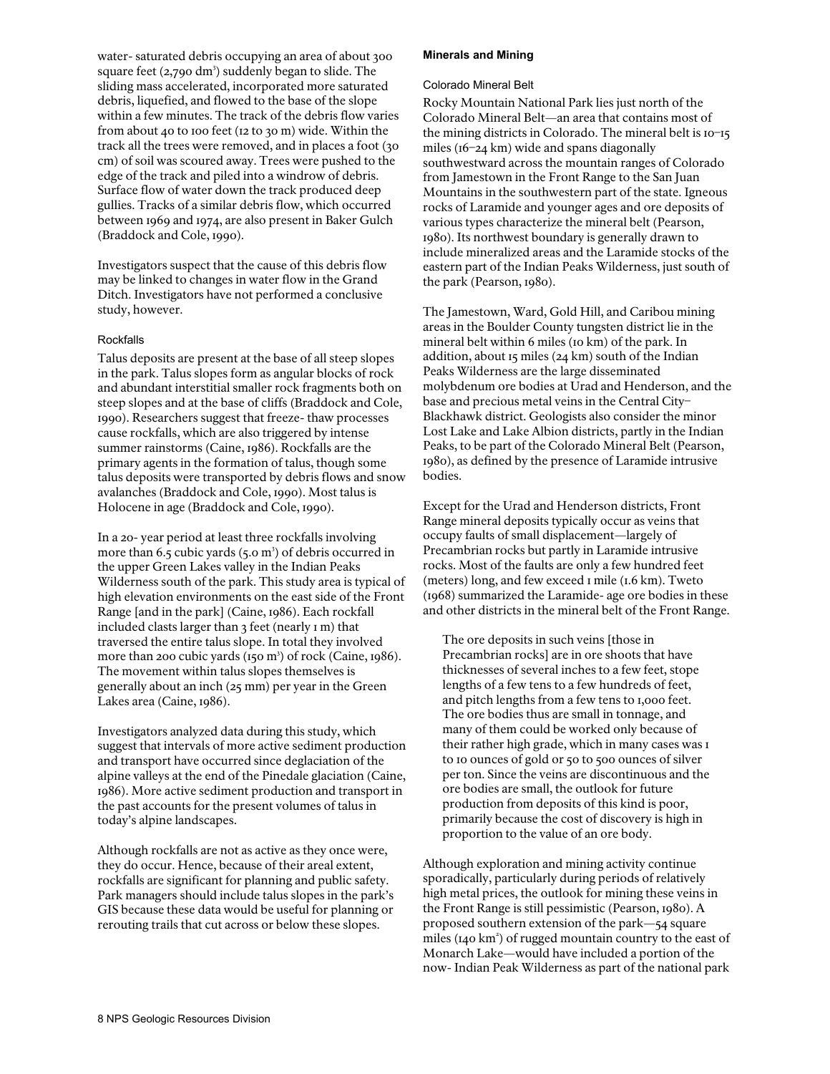water- saturated debris occupying an area of about 300 square feet (2,790 dm<sup>3</sup>) suddenly began to slide. The sliding mass accelerated, incorporated more saturated debris, liquefied, and flowed to the base of the slope within a few minutes. The track of the debris flow varies from about 40 to 100 feet (12 to 30 m) wide. Within the track all the trees were removed, and in places a foot (30 cm) of soil was scoured away. Trees were pushed to the edge of the track and piled into a windrow of debris. Surface flow of water down the track produced deep gullies. Tracks of a similar debris flow, which occurred between 1969 and 1974, are also present in Baker Gulch (Braddock and Cole, 1990).

Investigators suspect that the cause of this debris flow may be linked to changes in water flow in the Grand Ditch. Investigators have not performed a conclusive study, however.

#### Rockfalls

Talus deposits are present at the base of all steep slopes in the park. Talus slopes form as angular blocks of rock and abundant interstitial smaller rock fragments both on steep slopes and at the base of cliffs (Braddock and Cole, 1990). Researchers suggest that freeze- thaw processes cause rockfalls, which are also triggered by intense summer rainstorms (Caine, 1986). Rockfalls are the primary agents in the formation of talus, though some talus deposits were transported by debris flows and snow avalanches (Braddock and Cole, 1990). Most talus is Holocene in age (Braddock and Cole, 1990).

In a 20- year period at least three rockfalls involving more than 6.5 cubic yards (5.0 m<sup>3</sup>) of debris occurred in the upper Green Lakes valley in the Indian Peaks Wilderness south of the park. This study area is typical of high elevation environments on the east side of the Front Range [and in the park] (Caine, 1986). Each rockfall included clasts larger than  $\frac{1}{2}$  feet (nearly  $\frac{1}{2}$  m) that traversed the entire talus slope. In total they involved more than 200 cubic yards (150 m<sup>3</sup>) of rock (Caine, 1986). The movement within talus slopes themselves is generally about an inch (25 mm) per year in the Green Lakes area (Caine, 1986).

Investigators analyzed data during this study, which suggest that intervals of more active sediment production and transport have occurred since deglaciation of the alpine valleys at the end of the Pinedale glaciation (Caine, 1986). More active sediment production and transport in the past accounts for the present volumes of talus in today's alpine landscapes.

Although rockfalls are not as active as they once were, they do occur. Hence, because of their areal extent, rockfalls are significant for planning and public safety. Park managers should include talus slopes in the park's GIS because these data would be useful for planning or rerouting trails that cut across or below these slopes.

#### **Minerals and Mining**

#### Colorado Mineral Belt

Rocky Mountain National Park lies just north of the Colorado Mineral Belt—an area that contains most of the mining districts in Colorado. The mineral belt is 10–15 miles (16–24 km) wide and spans diagonally southwestward across the mountain ranges of Colorado from Jamestown in the Front Range to the San Juan Mountains in the southwestern part of the state. Igneous rocks of Laramide and younger ages and ore deposits of various types characterize the mineral belt (Pearson, 1980). Its northwest boundary is generally drawn to include mineralized areas and the Laramide stocks of the eastern part of the Indian Peaks Wilderness, just south of the park (Pearson, 1980).

The Jamestown, Ward, Gold Hill, and Caribou mining areas in the Boulder County tungsten district lie in the mineral belt within 6 miles (10 km) of the park. In addition, about 15 miles (24 km) south of the Indian Peaks Wilderness are the large disseminated molybdenum ore bodies at Urad and Henderson, and the base and precious metal veins in the Central City– Blackhawk district. Geologists also consider the minor Lost Lake and Lake Albion districts, partly in the Indian Peaks, to be part of the Colorado Mineral Belt (Pearson, 1980), as defined by the presence of Laramide intrusive bodies.

Except for the Urad and Henderson districts, Front Range mineral deposits typically occur as veins that occupy faults of small displacement—largely of Precambrian rocks but partly in Laramide intrusive rocks. Most of the faults are only a few hundred feet (meters) long, and few exceed 1 mile (1.6 km). Tweto (1968) summarized the Laramide- age ore bodies in these and other districts in the mineral belt of the Front Range.

The ore deposits in such veins [those in Precambrian rocks] are in ore shoots that have thicknesses of several inches to a few feet, stope lengths of a few tens to a few hundreds of feet, and pitch lengths from a few tens to 1,000 feet. The ore bodies thus are small in tonnage, and many of them could be worked only because of their rather high grade, which in many cases was 1 to 10 ounces of gold or 50 to 500 ounces of silver per ton. Since the veins are discontinuous and the ore bodies are small, the outlook for future production from deposits of this kind is poor, primarily because the cost of discovery is high in proportion to the value of an ore body.

Although exploration and mining activity continue sporadically, particularly during periods of relatively high metal prices, the outlook for mining these veins in the Front Range is still pessimistic (Pearson, 1980). A proposed southern extension of the park—54 square miles (140 km<sup>2</sup>) of rugged mountain country to the east of Monarch Lake—would have included a portion of the now- Indian Peak Wilderness as part of the national park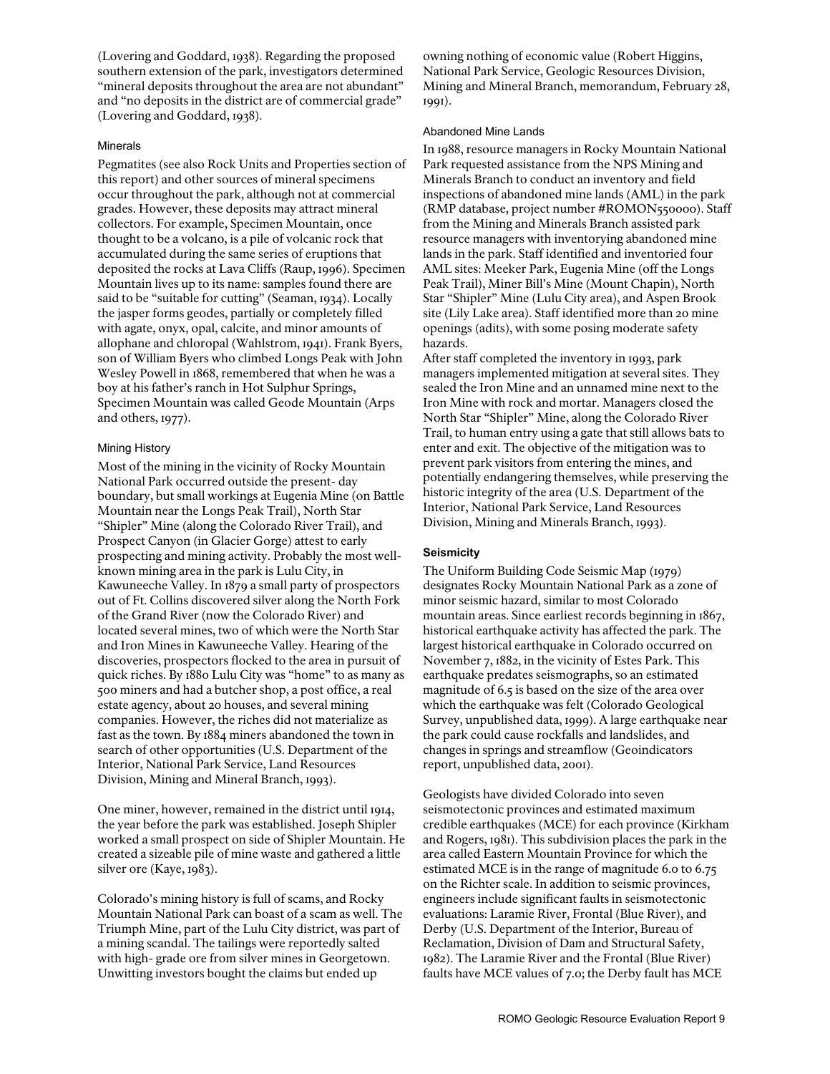(Lovering and Goddard, 1938). Regarding the proposed southern extension of the park, investigators determined "mineral deposits throughout the area are not abundant" and "no deposits in the district are of commercial grade" (Lovering and Goddard, 1938).

#### Minerals

Pegmatites (see also Rock Units and Properties section of this report) and other sources of mineral specimens occur throughout the park, although not at commercial grades. However, these deposits may attract mineral collectors. For example, Specimen Mountain, once thought to be a volcano, is a pile of volcanic rock that accumulated during the same series of eruptions that deposited the rocks at Lava Cliffs (Raup, 1996). Specimen Mountain lives up to its name: samples found there are said to be "suitable for cutting" (Seaman, 1934). Locally the jasper forms geodes, partially or completely filled with agate, onyx, opal, calcite, and minor amounts of allophane and chloropal (Wahlstrom, 1941). Frank Byers, son of William Byers who climbed Longs Peak with John Wesley Powell in 1868, remembered that when he was a boy at his father's ranch in Hot Sulphur Springs, Specimen Mountain was called Geode Mountain (Arps and others, 1977).

#### Mining History

Most of the mining in the vicinity of Rocky Mountain National Park occurred outside the present- day boundary, but small workings at Eugenia Mine (on Battle Mountain near the Longs Peak Trail), North Star "Shipler" Mine (along the Colorado River Trail), and Prospect Canyon (in Glacier Gorge) attest to early prospecting and mining activity. Probably the most wellknown mining area in the park is Lulu City, in Kawuneeche Valley. In 1879 a small party of prospectors out of Ft. Collins discovered silver along the North Fork of the Grand River (now the Colorado River) and located several mines, two of which were the North Star and Iron Mines in Kawuneeche Valley. Hearing of the discoveries, prospectors flocked to the area in pursuit of quick riches. By 1880 Lulu City was "home" to as many as 500 miners and had a butcher shop, a post office, a real estate agency, about 20 houses, and several mining companies. However, the riches did not materialize as fast as the town. By 1884 miners abandoned the town in search of other opportunities (U.S. Department of the Interior, National Park Service, Land Resources Division, Mining and Mineral Branch, 1993).

One miner, however, remained in the district until 1914, the year before the park was established. Joseph Shipler worked a small prospect on side of Shipler Mountain. He created a sizeable pile of mine waste and gathered a little silver ore (Kaye, 1983).

Colorado's mining history is full of scams, and Rocky Mountain National Park can boast of a scam as well. The Triumph Mine, part of the Lulu City district, was part of a mining scandal. The tailings were reportedly salted with high- grade ore from silver mines in Georgetown. Unwitting investors bought the claims but ended up

owning nothing of economic value (Robert Higgins, National Park Service, Geologic Resources Division, Mining and Mineral Branch, memorandum, February 28,  $1991$ .

#### Abandoned Mine Lands

In 1988, resource managers in Rocky Mountain National Park requested assistance from the NPS Mining and Minerals Branch to conduct an inventory and field inspections of abandoned mine lands (AML) in the park (RMP database, project number #ROMON550000). Staff from the Mining and Minerals Branch assisted park resource managers with inventorying abandoned mine lands in the park. Staff identified and inventoried four AML sites: Meeker Park, Eugenia Mine (off the Longs Peak Trail), Miner Bill's Mine (Mount Chapin), North Star "Shipler" Mine (Lulu City area), and Aspen Brook site (Lily Lake area). Staff identified more than 20 mine openings (adits), with some posing moderate safety hazards.

After staff completed the inventory in 1993, park managers implemented mitigation at several sites. They sealed the Iron Mine and an unnamed mine next to the Iron Mine with rock and mortar. Managers closed the North Star "Shipler" Mine, along the Colorado River Trail, to human entry using a gate that still allows bats to enter and exit. The objective of the mitigation was to prevent park visitors from entering the mines, and potentially endangering themselves, while preserving the historic integrity of the area (U.S. Department of the Interior, National Park Service, Land Resources Division, Mining and Minerals Branch, 1993).

#### **Seismicity**

The Uniform Building Code Seismic Map (1979) designates Rocky Mountain National Park as a zone of minor seismic hazard, similar to most Colorado mountain areas. Since earliest records beginning in 1867, historical earthquake activity has affected the park. The largest historical earthquake in Colorado occurred on November 7, 1882, in the vicinity of Estes Park. This earthquake predates seismographs, so an estimated magnitude of 6.5 is based on the size of the area over which the earthquake was felt (Colorado Geological Survey, unpublished data, 1999). A large earthquake near the park could cause rockfalls and landslides, and changes in springs and streamflow (Geoindicators report, unpublished data, 2001).

Geologists have divided Colorado into seven seismotectonic provinces and estimated maximum credible earthquakes (MCE) for each province (Kirkham and Rogers, 1981). This subdivision places the park in the area called Eastern Mountain Province for which the estimated MCE is in the range of magnitude 6.0 to 6.75 on the Richter scale. In addition to seismic provinces, engineers include significant faults in seismotectonic evaluations: Laramie River, Frontal (Blue River), and Derby (U.S. Department of the Interior, Bureau of Reclamation, Division of Dam and Structural Safety, 1982). The Laramie River and the Frontal (Blue River) faults have MCE values of 7.0; the Derby fault has MCE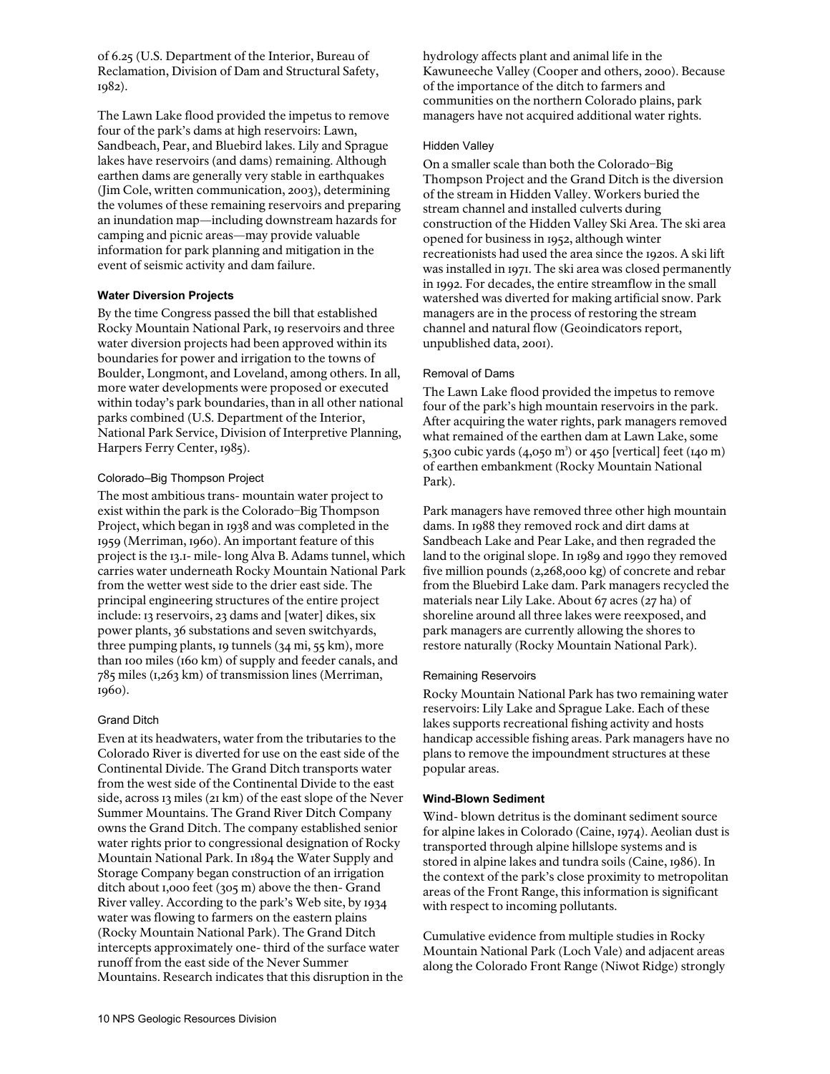of 6.25 (U.S. Department of the Interior, Bureau of Reclamation, Division of Dam and Structural Safety, 1982).

The Lawn Lake flood provided the impetus to remove four of the park's dams at high reservoirs: Lawn, Sandbeach, Pear, and Bluebird lakes. Lily and Sprague lakes have reservoirs (and dams) remaining. Although earthen dams are generally very stable in earthquakes (Jim Cole, written communication, 2003), determining the volumes of these remaining reservoirs and preparing an inundation map—including downstream hazards for camping and picnic areas—may provide valuable information for park planning and mitigation in the event of seismic activity and dam failure.

#### **Water Diversion Projects**

By the time Congress passed the bill that established Rocky Mountain National Park, 19 reservoirs and three water diversion projects had been approved within its boundaries for power and irrigation to the towns of Boulder, Longmont, and Loveland, among others. In all, more water developments were proposed or executed within today's park boundaries, than in all other national parks combined (U.S. Department of the Interior, National Park Service, Division of Interpretive Planning, Harpers Ferry Center, 1985).

#### Colorado–Big Thompson Project

The most ambitious trans- mountain water project to exist within the park is the Colorado–Big Thompson Project, which began in 1938 and was completed in the 1959 (Merriman, 1960). An important feature of this project is the 13.1- mile- long Alva B. Adams tunnel, which carries water underneath Rocky Mountain National Park from the wetter west side to the drier east side. The principal engineering structures of the entire project include: 13 reservoirs, 23 dams and [water] dikes, six power plants, 36 substations and seven switchyards, three pumping plants, 19 tunnels (34 mi, 55 km), more than 100 miles (160 km) of supply and feeder canals, and 785 miles (1,263 km) of transmission lines (Merriman, 1960).

#### Grand Ditch

Even at its headwaters, water from the tributaries to the Colorado River is diverted for use on the east side of the Continental Divide. The Grand Ditch transports water from the west side of the Continental Divide to the east side, across 13 miles (21 km) of the east slope of the Never Summer Mountains. The Grand River Ditch Company owns the Grand Ditch. The company established senior water rights prior to congressional designation of Rocky Mountain National Park. In 1894 the Water Supply and Storage Company began construction of an irrigation ditch about 1,000 feet (305 m) above the then- Grand River valley. According to the park's Web site, by 1934 water was flowing to farmers on the eastern plains (Rocky Mountain National Park). The Grand Ditch intercepts approximately one- third of the surface water runoff from the east side of the Never Summer Mountains. Research indicates that this disruption in the

hydrology affects plant and animal life in the Kawuneeche Valley (Cooper and others, 2000). Because of the importance of the ditch to farmers and communities on the northern Colorado plains, park managers have not acquired additional water rights.

#### Hidden Valley

On a smaller scale than both the Colorado–Big Thompson Project and the Grand Ditch is the diversion of the stream in Hidden Valley. Workers buried the stream channel and installed culverts during construction of the Hidden Valley Ski Area. The ski area opened for business in 1952, although winter recreationists had used the area since the 1920s. A ski lift was installed in 1971. The ski area was closed permanently in 1992. For decades, the entire streamflow in the small watershed was diverted for making artificial snow. Park managers are in the process of restoring the stream channel and natural flow (Geoindicators report, unpublished data, 2001).

#### Removal of Dams

The Lawn Lake flood provided the impetus to remove four of the park's high mountain reservoirs in the park. After acquiring the water rights, park managers removed what remained of the earthen dam at Lawn Lake, some 5,300 cubic yards  $(4,050 \text{ m}^3)$  or  $450$  [vertical] feet  $(140 \text{ m})$ of earthen embankment (Rocky Mountain National Park).

Park managers have removed three other high mountain dams. In 1988 they removed rock and dirt dams at Sandbeach Lake and Pear Lake, and then regraded the land to the original slope. In 1989 and 1990 they removed five million pounds (2,268,000 kg) of concrete and rebar from the Bluebird Lake dam. Park managers recycled the materials near Lily Lake. About 67 acres (27 ha) of shoreline around all three lakes were reexposed, and park managers are currently allowing the shores to restore naturally (Rocky Mountain National Park).

#### Remaining Reservoirs

Rocky Mountain National Park has two remaining water reservoirs: Lily Lake and Sprague Lake. Each of these lakes supports recreational fishing activity and hosts handicap accessible fishing areas. Park managers have no plans to remove the impoundment structures at these popular areas.

#### **Wind-Blown Sediment**

Wind- blown detritus is the dominant sediment source for alpine lakes in Colorado (Caine, 1974). Aeolian dust is transported through alpine hillslope systems and is stored in alpine lakes and tundra soils (Caine, 1986). In the context of the park's close proximity to metropolitan areas of the Front Range, this information is significant with respect to incoming pollutants.

Cumulative evidence from multiple studies in Rocky Mountain National Park (Loch Vale) and adjacent areas along the Colorado Front Range (Niwot Ridge) strongly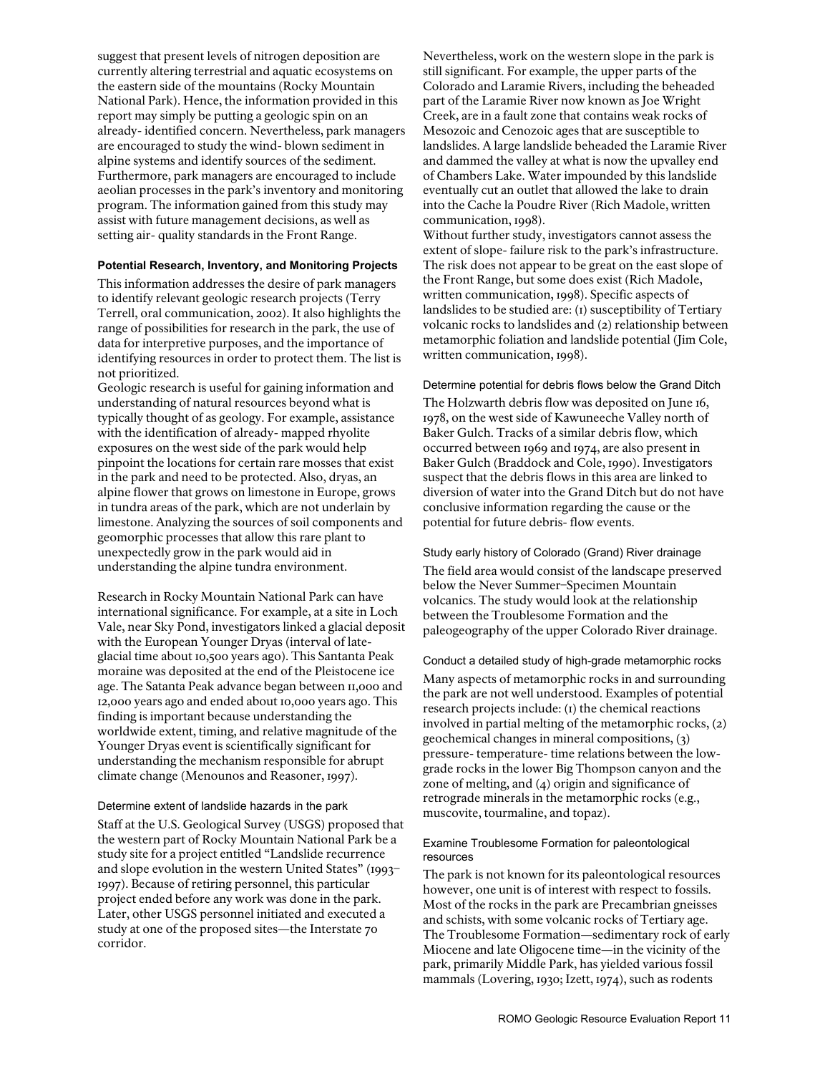suggest that present levels of nitrogen deposition are currently altering terrestrial and aquatic ecosystems on the eastern side of the mountains (Rocky Mountain National Park). Hence, the information provided in this report may simply be putting a geologic spin on an already- identified concern. Nevertheless, park managers are encouraged to study the wind- blown sediment in alpine systems and identify sources of the sediment. Furthermore, park managers are encouraged to include aeolian processes in the park's inventory and monitoring program. The information gained from this study may assist with future management decisions, as well as setting air- quality standards in the Front Range.

#### **Potential Research, Inventory, and Monitoring Projects**

This information addresses the desire of park managers to identify relevant geologic research projects (Terry Terrell, oral communication, 2002). It also highlights the range of possibilities for research in the park, the use of data for interpretive purposes, and the importance of identifying resources in order to protect them. The list is not prioritized.

Geologic research is useful for gaining information and understanding of natural resources beyond what is typically thought of as geology. For example, assistance with the identification of already- mapped rhyolite exposures on the west side of the park would help pinpoint the locations for certain rare mosses that exist in the park and need to be protected. Also, dryas, an alpine flower that grows on limestone in Europe, grows in tundra areas of the park, which are not underlain by limestone. Analyzing the sources of soil components and geomorphic processes that allow this rare plant to unexpectedly grow in the park would aid in understanding the alpine tundra environment.

Research in Rocky Mountain National Park can have international significance. For example, at a site in Loch Vale, near Sky Pond, investigators linked a glacial deposit with the European Younger Dryas (interval of lateglacial time about 10,500 years ago). This Santanta Peak moraine was deposited at the end of the Pleistocene ice age. The Satanta Peak advance began between 11,000 and 12,000 years ago and ended about 10,000 years ago. This finding is important because understanding the worldwide extent, timing, and relative magnitude of the Younger Dryas event is scientifically significant for understanding the mechanism responsible for abrupt climate change (Menounos and Reasoner, 1997).

#### Determine extent of landslide hazards in the park

Staff at the U.S. Geological Survey (USGS) proposed that the western part of Rocky Mountain National Park be a study site for a project entitled "Landslide recurrence and slope evolution in the western United States" (1993– 1997). Because of retiring personnel, this particular project ended before any work was done in the park. Later, other USGS personnel initiated and executed a study at one of the proposed sites—the Interstate 70 corridor.

Nevertheless, work on the western slope in the park is still significant. For example, the upper parts of the Colorado and Laramie Rivers, including the beheaded part of the Laramie River now known as Joe Wright Creek, are in a fault zone that contains weak rocks of Mesozoic and Cenozoic ages that are susceptible to landslides. A large landslide beheaded the Laramie River and dammed the valley at what is now the upvalley end of Chambers Lake. Water impounded by this landslide eventually cut an outlet that allowed the lake to drain into the Cache la Poudre River (Rich Madole, written communication, 1998).

Without further study, investigators cannot assess the extent of slope- failure risk to the park's infrastructure. The risk does not appear to be great on the east slope of the Front Range, but some does exist (Rich Madole, written communication, 1998). Specific aspects of landslides to be studied are: (1) susceptibility of Tertiary volcanic rocks to landslides and (2) relationship between metamorphic foliation and landslide potential (Jim Cole, written communication, 1998).

Determine potential for debris flows below the Grand Ditch The Holzwarth debris flow was deposited on June 16, 1978, on the west side of Kawuneeche Valley north of Baker Gulch. Tracks of a similar debris flow, which occurred between 1969 and 1974, are also present in Baker Gulch (Braddock and Cole, 1990). Investigators suspect that the debris flows in this area are linked to diversion of water into the Grand Ditch but do not have conclusive information regarding the cause or the potential for future debris- flow events.

#### Study early history of Colorado (Grand) River drainage

The field area would consist of the landscape preserved below the Never Summer–Specimen Mountain volcanics. The study would look at the relationship between the Troublesome Formation and the paleogeography of the upper Colorado River drainage.

#### Conduct a detailed study of high-grade metamorphic rocks

Many aspects of metamorphic rocks in and surrounding the park are not well understood. Examples of potential research projects include: (1) the chemical reactions involved in partial melting of the metamorphic rocks, (2) geochemical changes in mineral compositions, (3) pressure- temperature- time relations between the lowgrade rocks in the lower Big Thompson canyon and the zone of melting, and (4) origin and significance of retrograde minerals in the metamorphic rocks (e.g., muscovite, tourmaline, and topaz).

#### Examine Troublesome Formation for paleontological resources

The park is not known for its paleontological resources however, one unit is of interest with respect to fossils. Most of the rocks in the park are Precambrian gneisses and schists, with some volcanic rocks of Tertiary age. The Troublesome Formation—sedimentary rock of early Miocene and late Oligocene time—in the vicinity of the park, primarily Middle Park, has yielded various fossil mammals (Lovering, 1930; Izett, 1974), such as rodents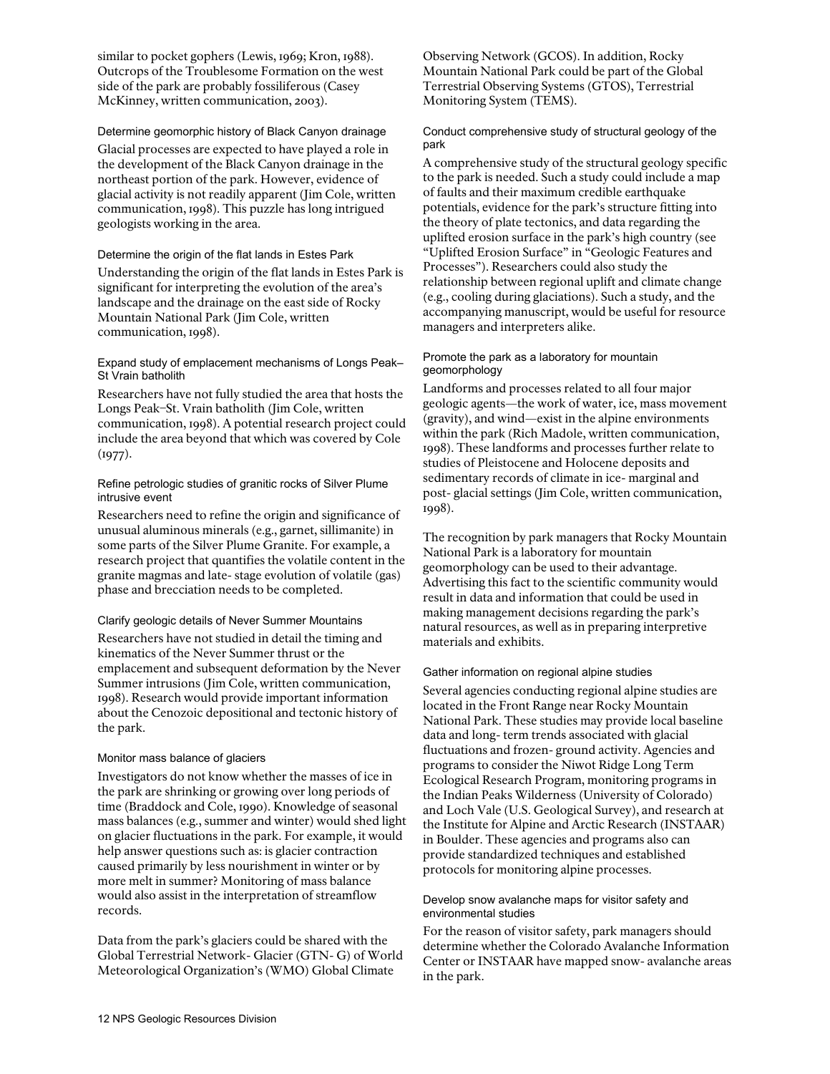similar to pocket gophers (Lewis, 1969; Kron, 1988). Outcrops of the Troublesome Formation on the west side of the park are probably fossiliferous (Casey McKinney, written communication, 2003).

#### Determine geomorphic history of Black Canyon drainage

Glacial processes are expected to have played a role in the development of the Black Canyon drainage in the northeast portion of the park. However, evidence of glacial activity is not readily apparent (Jim Cole, written communication, 1998). This puzzle has long intrigued geologists working in the area.

#### Determine the origin of the flat lands in Estes Park

Understanding the origin of the flat lands in Estes Park is significant for interpreting the evolution of the area's landscape and the drainage on the east side of Rocky Mountain National Park (Jim Cole, written communication, 1998).

#### Expand study of emplacement mechanisms of Longs Peak– St Vrain batholith

Researchers have not fully studied the area that hosts the Longs Peak–St. Vrain batholith (Jim Cole, written communication, 1998). A potential research project could include the area beyond that which was covered by Cole (1977).

#### Refine petrologic studies of granitic rocks of Silver Plume intrusive event

Researchers need to refine the origin and significance of unusual aluminous minerals (e.g., garnet, sillimanite) in some parts of the Silver Plume Granite. For example, a research project that quantifies the volatile content in the granite magmas and late- stage evolution of volatile (gas) phase and brecciation needs to be completed.

#### Clarify geologic details of Never Summer Mountains

Researchers have not studied in detail the timing and kinematics of the Never Summer thrust or the emplacement and subsequent deformation by the Never Summer intrusions (Jim Cole, written communication, 1998). Research would provide important information about the Cenozoic depositional and tectonic history of the park.

#### Monitor mass balance of glaciers

Investigators do not know whether the masses of ice in the park are shrinking or growing over long periods of time (Braddock and Cole, 1990). Knowledge of seasonal mass balances (e.g., summer and winter) would shed light on glacier fluctuations in the park. For example, it would help answer questions such as: is glacier contraction caused primarily by less nourishment in winter or by more melt in summer? Monitoring of mass balance would also assist in the interpretation of streamflow records.

Data from the park's glaciers could be shared with the Global Terrestrial Network- Glacier (GTN- G) of World Meteorological Organization's (WMO) Global Climate

Observing Network (GCOS). In addition, Rocky Mountain National Park could be part of the Global Terrestrial Observing Systems (GTOS), Terrestrial Monitoring System (TEMS).

Conduct comprehensive study of structural geology of the park

A comprehensive study of the structural geology specific to the park is needed. Such a study could include a map of faults and their maximum credible earthquake potentials, evidence for the park's structure fitting into the theory of plate tectonics, and data regarding the uplifted erosion surface in the park's high country (see "Uplifted Erosion Surface" in "Geologic Features and Processes"). Researchers could also study the relationship between regional uplift and climate change (e.g., cooling during glaciations). Such a study, and the accompanying manuscript, would be useful for resource managers and interpreters alike.

#### Promote the park as a laboratory for mountain geomorphology

Landforms and processes related to all four major geologic agents—the work of water, ice, mass movement (gravity), and wind—exist in the alpine environments within the park (Rich Madole, written communication, 1998). These landforms and processes further relate to studies of Pleistocene and Holocene deposits and sedimentary records of climate in ice- marginal and post- glacial settings (Jim Cole, written communication, 1998).

The recognition by park managers that Rocky Mountain National Park is a laboratory for mountain geomorphology can be used to their advantage. Advertising this fact to the scientific community would result in data and information that could be used in making management decisions regarding the park's natural resources, as well as in preparing interpretive materials and exhibits.

#### Gather information on regional alpine studies

Several agencies conducting regional alpine studies are located in the Front Range near Rocky Mountain National Park. These studies may provide local baseline data and long- term trends associated with glacial fluctuations and frozen- ground activity. Agencies and programs to consider the Niwot Ridge Long Term Ecological Research Program, monitoring programs in the Indian Peaks Wilderness (University of Colorado) and Loch Vale (U.S. Geological Survey), and research at the Institute for Alpine and Arctic Research (INSTAAR) in Boulder. These agencies and programs also can provide standardized techniques and established protocols for monitoring alpine processes.

#### Develop snow avalanche maps for visitor safety and environmental studies

For the reason of visitor safety, park managers should determine whether the Colorado Avalanche Information Center or INSTAAR have mapped snow- avalanche areas in the park.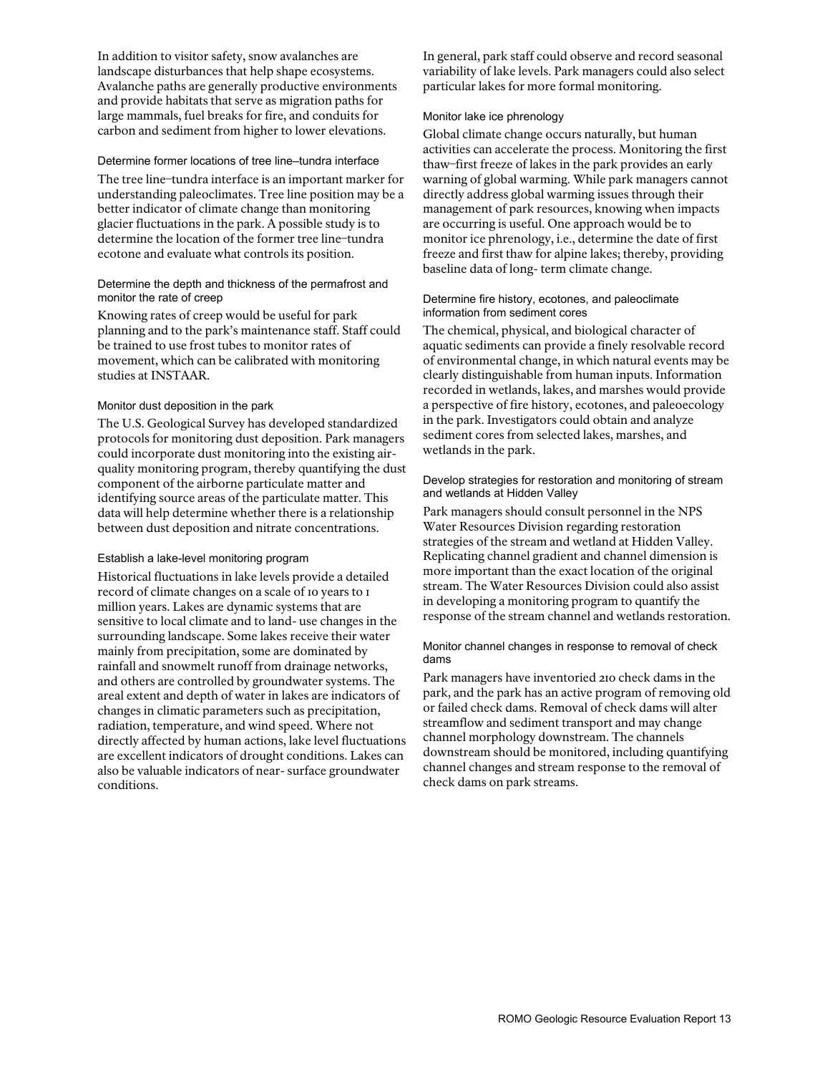In addition to visitor safety, snow avalanches are landscape disturbances that help shape ecosystems. Avalanche paths are generally productive environments and provide habitats that serve as migration paths for large mammals, fuel breaks for fire, and conduits for carbon and sediment from higher to lower elevations.

#### Determine former locations of tree line–tundra interface

The tree line–tundra interface is an important marker for understanding paleoclimates. Tree line position may be a better indicator of climate change than monitoring glacier fluctuations in the park. A possible study is to determine the location of the former tree line–tundra ecotone and evaluate what controls its position.

#### Determine the depth and thickness of the permafrost and monitor the rate of creep

Knowing rates of creep would be useful for park planning and to the park's maintenance staff. Staff could be trained to use frost tubes to monitor rates of movement, which can be calibrated with monitoring studies at INSTAAR.

#### Monitor dust deposition in the park

The U.S. Geological Survey has developed standardized protocols for monitoring dust deposition. Park managers could incorporate dust monitoring into the existing airquality monitoring program, thereby quantifying the dust component of the airborne particulate matter and identifying source areas of the particulate matter. This data will help determine whether there is a relationship between dust deposition and nitrate concentrations.

#### Establish a lake-level monitoring program

Historical fluctuations in lake levels provide a detailed record of climate changes on a scale of 10 years to 1 million years. Lakes are dynamic systems that are sensitive to local climate and to land- use changes in the surrounding landscape. Some lakes receive their water mainly from precipitation, some are dominated by rainfall and snowmelt runoff from drainage networks, and others are controlled by groundwater systems. The areal extent and depth of water in lakes are indicators of changes in climatic parameters such as precipitation, radiation, temperature, and wind speed. Where not directly affected by human actions, lake level fluctuations are excellent indicators of drought conditions. Lakes can also be valuable indicators of near- surface groundwater conditions.

In general, park staff could observe and record seasonal variability of lake levels. Park managers could also select particular lakes for more formal monitoring.

#### Monitor lake ice phrenology

Global climate change occurs naturally, but human activities can accelerate the process. Monitoring the first thaw–first freeze of lakes in the park provides an early warning of global warming. While park managers cannot directly address global warming issues through their management of park resources, knowing when impacts are occurring is useful. One approach would be to monitor ice phrenology, i.e., determine the date of first freeze and first thaw for alpine lakes; thereby, providing baseline data of long- term climate change.

#### Determine fire history, ecotones, and paleoclimate information from sediment cores

The chemical, physical, and biological character of aquatic sediments can provide a finely resolvable record of environmental change, in which natural events may be clearly distinguishable from human inputs. Information recorded in wetlands, lakes, and marshes would provide a perspective of fire history, ecotones, and paleoecology in the park. Investigators could obtain and analyze sediment cores from selected lakes, marshes, and wetlands in the park.

#### Develop strategies for restoration and monitoring of stream and wetlands at Hidden Valley

Park managers should consult personnel in the NPS Water Resources Division regarding restoration strategies of the stream and wetland at Hidden Valley. Replicating channel gradient and channel dimension is more important than the exact location of the original stream. The Water Resources Division could also assist in developing a monitoring program to quantify the response of the stream channel and wetlands restoration.

#### Monitor channel changes in response to removal of check dams

Park managers have inventoried 210 check dams in the park, and the park has an active program of removing old or failed check dams. Removal of check dams will alter streamflow and sediment transport and may change channel morphology downstream. The channels downstream should be monitored, including quantifying channel changes and stream response to the removal of check dams on park streams.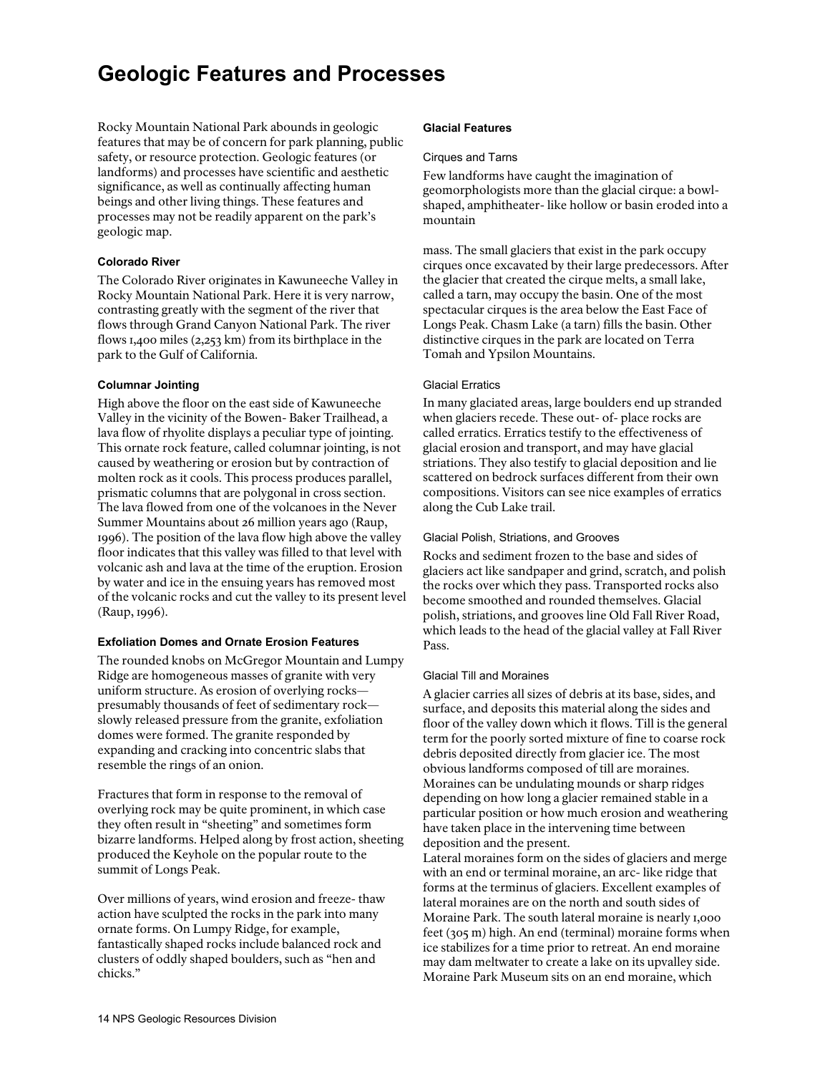## **Geologic Features and Processes**

Rocky Mountain National Park abounds in geologic features that may be of concern for park planning, public safety, or resource protection. Geologic features (or landforms) and processes have scientific and aesthetic significance, as well as continually affecting human beings and other living things. These features and processes may not be readily apparent on the park's geologic map.

#### **Colorado River**

The Colorado River originates in Kawuneeche Valley in Rocky Mountain National Park. Here it is very narrow, contrasting greatly with the segment of the river that flows through Grand Canyon National Park. The river flows 1,400 miles (2,253 km) from its birthplace in the park to the Gulf of California.

#### **Columnar Jointing**

High above the floor on the east side of Kawuneeche Valley in the vicinity of the Bowen- Baker Trailhead, a lava flow of rhyolite displays a peculiar type of jointing. This ornate rock feature, called columnar jointing, is not caused by weathering or erosion but by contraction of molten rock as it cools. This process produces parallel, prismatic columns that are polygonal in cross section. The lava flowed from one of the volcanoes in the Never Summer Mountains about 26 million years ago (Raup, 1996). The position of the lava flow high above the valley floor indicates that this valley was filled to that level with volcanic ash and lava at the time of the eruption. Erosion by water and ice in the ensuing years has removed most of the volcanic rocks and cut the valley to its present level (Raup, 1996).

#### **Exfoliation Domes and Ornate Erosion Features**

The rounded knobs on McGregor Mountain and Lumpy Ridge are homogeneous masses of granite with very uniform structure. As erosion of overlying rocks presumably thousands of feet of sedimentary rock slowly released pressure from the granite, exfoliation domes were formed. The granite responded by expanding and cracking into concentric slabs that resemble the rings of an onion.

Fractures that form in response to the removal of overlying rock may be quite prominent, in which case they often result in "sheeting" and sometimes form bizarre landforms. Helped along by frost action, sheeting produced the Keyhole on the popular route to the summit of Longs Peak.

Over millions of years, wind erosion and freeze- thaw action have sculpted the rocks in the park into many ornate forms. On Lumpy Ridge, for example, fantastically shaped rocks include balanced rock and clusters of oddly shaped boulders, such as "hen and chicks."

#### **Glacial Features**

#### Cirques and Tarns

Few landforms have caught the imagination of geomorphologists more than the glacial cirque: a bowlshaped, amphitheater- like hollow or basin eroded into a mountain

mass. The small glaciers that exist in the park occupy cirques once excavated by their large predecessors. After the glacier that created the cirque melts, a small lake, called a tarn, may occupy the basin. One of the most spectacular cirques is the area below the East Face of Longs Peak. Chasm Lake (a tarn) fills the basin. Other distinctive cirques in the park are located on Terra Tomah and Ypsilon Mountains.

#### Glacial Erratics

In many glaciated areas, large boulders end up stranded when glaciers recede. These out- of- place rocks are called erratics. Erratics testify to the effectiveness of glacial erosion and transport, and may have glacial striations. They also testify to glacial deposition and lie scattered on bedrock surfaces different from their own compositions. Visitors can see nice examples of erratics along the Cub Lake trail.

#### Glacial Polish, Striations, and Grooves

Rocks and sediment frozen to the base and sides of glaciers act like sandpaper and grind, scratch, and polish the rocks over which they pass. Transported rocks also become smoothed and rounded themselves. Glacial polish, striations, and grooves line Old Fall River Road, which leads to the head of the glacial valley at Fall River Pass.

#### Glacial Till and Moraines

A glacier carries all sizes of debris at its base, sides, and surface, and deposits this material along the sides and floor of the valley down which it flows. Till is the general term for the poorly sorted mixture of fine to coarse rock debris deposited directly from glacier ice. The most obvious landforms composed of till are moraines. Moraines can be undulating mounds or sharp ridges depending on how long a glacier remained stable in a particular position or how much erosion and weathering have taken place in the intervening time between deposition and the present.

Lateral moraines form on the sides of glaciers and merge with an end or terminal moraine, an arc- like ridge that forms at the terminus of glaciers. Excellent examples of lateral moraines are on the north and south sides of Moraine Park. The south lateral moraine is nearly 1,000 feet (305 m) high. An end (terminal) moraine forms when ice stabilizes for a time prior to retreat. An end moraine may dam meltwater to create a lake on its upvalley side. Moraine Park Museum sits on an end moraine, which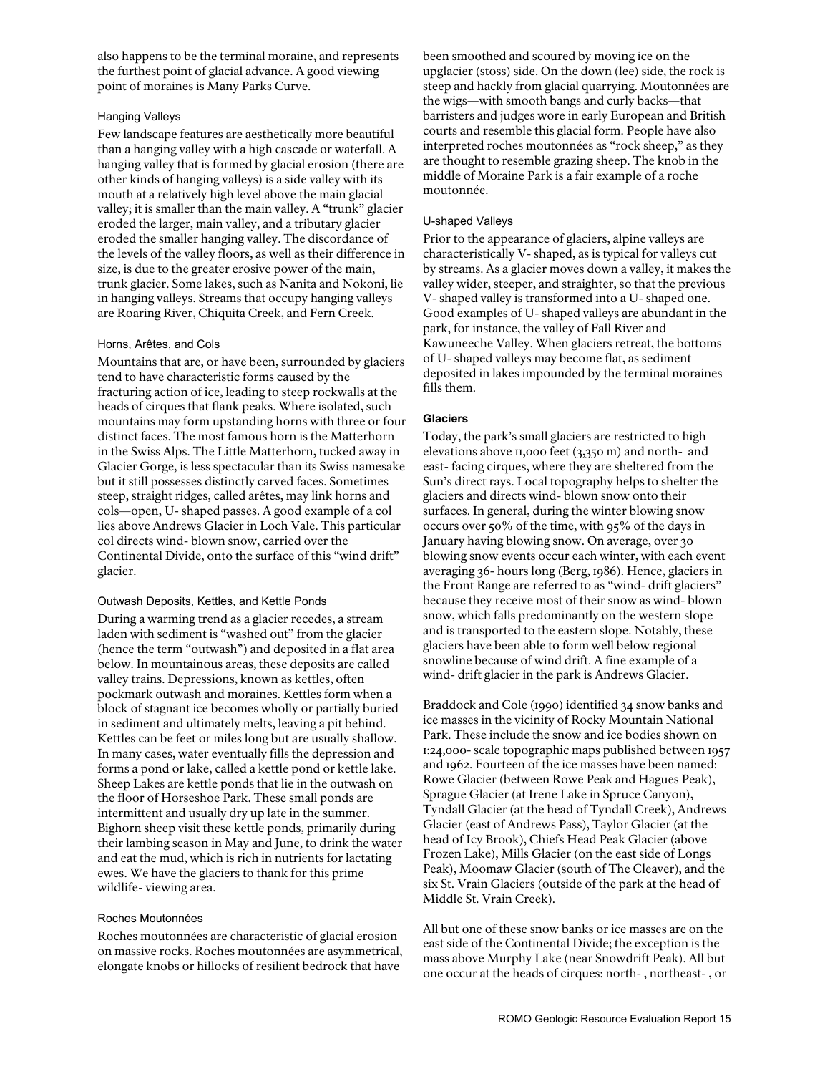also happens to be the terminal moraine, and represents the furthest point of glacial advance. A good viewing point of moraines is Many Parks Curve.

#### Hanging Valleys

Few landscape features are aesthetically more beautiful than a hanging valley with a high cascade or waterfall. A hanging valley that is formed by glacial erosion (there are other kinds of hanging valleys) is a side valley with its mouth at a relatively high level above the main glacial valley; it is smaller than the main valley. A "trunk" glacier eroded the larger, main valley, and a tributary glacier eroded the smaller hanging valley. The discordance of the levels of the valley floors, as well as their difference in size, is due to the greater erosive power of the main, trunk glacier. Some lakes, such as Nanita and Nokoni, lie in hanging valleys. Streams that occupy hanging valleys are Roaring River, Chiquita Creek, and Fern Creek.

#### Horns, Arêtes, and Cols

Mountains that are, or have been, surrounded by glaciers tend to have characteristic forms caused by the fracturing action of ice, leading to steep rockwalls at the heads of cirques that flank peaks. Where isolated, such mountains may form upstanding horns with three or four distinct faces. The most famous horn is the Matterhorn in the Swiss Alps. The Little Matterhorn, tucked away in Glacier Gorge, is less spectacular than its Swiss namesake but it still possesses distinctly carved faces. Sometimes steep, straight ridges, called arêtes, may link horns and cols—open, U- shaped passes. A good example of a col lies above Andrews Glacier in Loch Vale. This particular col directs wind- blown snow, carried over the Continental Divide, onto the surface of this "wind drift" glacier.

#### Outwash Deposits, Kettles, and Kettle Ponds

During a warming trend as a glacier recedes, a stream laden with sediment is "washed out" from the glacier (hence the term "outwash") and deposited in a flat area below. In mountainous areas, these deposits are called valley trains. Depressions, known as kettles, often pockmark outwash and moraines. Kettles form when a block of stagnant ice becomes wholly or partially buried in sediment and ultimately melts, leaving a pit behind. Kettles can be feet or miles long but are usually shallow. In many cases, water eventually fills the depression and forms a pond or lake, called a kettle pond or kettle lake. Sheep Lakes are kettle ponds that lie in the outwash on the floor of Horseshoe Park. These small ponds are intermittent and usually dry up late in the summer. Bighorn sheep visit these kettle ponds, primarily during their lambing season in May and June, to drink the water and eat the mud, which is rich in nutrients for lactating ewes. We have the glaciers to thank for this prime wildlife- viewing area.

#### Roches Moutonnées

Roches moutonnées are characteristic of glacial erosion on massive rocks. Roches moutonnées are asymmetrical, elongate knobs or hillocks of resilient bedrock that have

been smoothed and scoured by moving ice on the upglacier (stoss) side. On the down (lee) side, the rock is steep and hackly from glacial quarrying. Moutonnées are the wigs—with smooth bangs and curly backs—that barristers and judges wore in early European and British courts and resemble this glacial form. People have also interpreted roches moutonnées as "rock sheep," as they are thought to resemble grazing sheep. The knob in the middle of Moraine Park is a fair example of a roche moutonnée.

#### U-shaped Valleys

Prior to the appearance of glaciers, alpine valleys are characteristically V- shaped, as is typical for valleys cut by streams. As a glacier moves down a valley, it makes the valley wider, steeper, and straighter, so that the previous V- shaped valley is transformed into a U- shaped one. Good examples of U- shaped valleys are abundant in the park, for instance, the valley of Fall River and Kawuneeche Valley. When glaciers retreat, the bottoms of U- shaped valleys may become flat, as sediment deposited in lakes impounded by the terminal moraines fills them.

#### **Glaciers**

Today, the park's small glaciers are restricted to high elevations above 11,000 feet (3,350 m) and north- and east- facing cirques, where they are sheltered from the Sun's direct rays. Local topography helps to shelter the glaciers and directs wind- blown snow onto their surfaces. In general, during the winter blowing snow occurs over 50% of the time, with 95% of the days in January having blowing snow. On average, over 30 blowing snow events occur each winter, with each event averaging 36- hours long (Berg, 1986). Hence, glaciers in the Front Range are referred to as "wind- drift glaciers" because they receive most of their snow as wind- blown snow, which falls predominantly on the western slope and is transported to the eastern slope. Notably, these glaciers have been able to form well below regional snowline because of wind drift. A fine example of a wind- drift glacier in the park is Andrews Glacier.

Braddock and Cole (1990) identified 34 snow banks and ice masses in the vicinity of Rocky Mountain National Park. These include the snow and ice bodies shown on 1:24,000- scale topographic maps published between 1957 and 1962. Fourteen of the ice masses have been named: Rowe Glacier (between Rowe Peak and Hagues Peak), Sprague Glacier (at Irene Lake in Spruce Canyon), Tyndall Glacier (at the head of Tyndall Creek), Andrews Glacier (east of Andrews Pass), Taylor Glacier (at the head of Icy Brook), Chiefs Head Peak Glacier (above Frozen Lake), Mills Glacier (on the east side of Longs Peak), Moomaw Glacier (south of The Cleaver), and the six St. Vrain Glaciers (outside of the park at the head of Middle St. Vrain Creek).

All but one of these snow banks or ice masses are on the east side of the Continental Divide; the exception is the mass above Murphy Lake (near Snowdrift Peak). All but one occur at the heads of cirques: north- , northeast- , or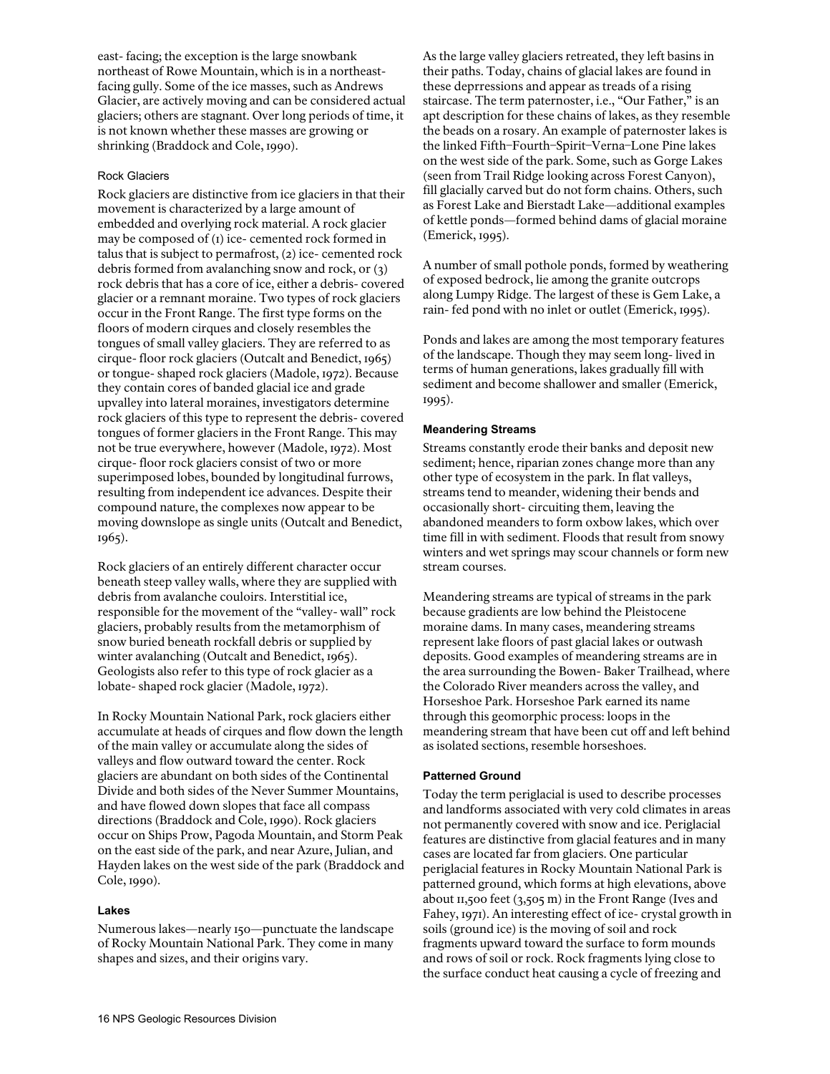east- facing; the exception is the large snowbank northeast of Rowe Mountain, which is in a northeastfacing gully. Some of the ice masses, such as Andrews Glacier, are actively moving and can be considered actual glaciers; others are stagnant. Over long periods of time, it is not known whether these masses are growing or shrinking (Braddock and Cole, 1990).

#### Rock Glaciers

Rock glaciers are distinctive from ice glaciers in that their movement is characterized by a large amount of embedded and overlying rock material. A rock glacier may be composed of (1) ice- cemented rock formed in talus that is subject to permafrost, (2) ice- cemented rock debris formed from avalanching snow and rock, or (3) rock debris that has a core of ice, either a debris- covered glacier or a remnant moraine. Two types of rock glaciers occur in the Front Range. The first type forms on the floors of modern cirques and closely resembles the tongues of small valley glaciers. They are referred to as cirque- floor rock glaciers (Outcalt and Benedict, 1965) or tongue- shaped rock glaciers (Madole, 1972). Because they contain cores of banded glacial ice and grade upvalley into lateral moraines, investigators determine rock glaciers of this type to represent the debris- covered tongues of former glaciers in the Front Range. This may not be true everywhere, however (Madole, 1972). Most cirque- floor rock glaciers consist of two or more superimposed lobes, bounded by longitudinal furrows, resulting from independent ice advances. Despite their compound nature, the complexes now appear to be moving downslope as single units (Outcalt and Benedict, 1965).

Rock glaciers of an entirely different character occur beneath steep valley walls, where they are supplied with debris from avalanche couloirs. Interstitial ice, responsible for the movement of the "valley- wall" rock glaciers, probably results from the metamorphism of snow buried beneath rockfall debris or supplied by winter avalanching (Outcalt and Benedict, 1965). Geologists also refer to this type of rock glacier as a lobate- shaped rock glacier (Madole, 1972).

In Rocky Mountain National Park, rock glaciers either accumulate at heads of cirques and flow down the length of the main valley or accumulate along the sides of valleys and flow outward toward the center. Rock glaciers are abundant on both sides of the Continental Divide and both sides of the Never Summer Mountains, and have flowed down slopes that face all compass directions (Braddock and Cole, 1990). Rock glaciers occur on Ships Prow, Pagoda Mountain, and Storm Peak on the east side of the park, and near Azure, Julian, and Hayden lakes on the west side of the park (Braddock and Cole, 1990).

#### **Lakes**

Numerous lakes—nearly 150—punctuate the landscape of Rocky Mountain National Park. They come in many shapes and sizes, and their origins vary.

As the large valley glaciers retreated, they left basins in their paths. Today, chains of glacial lakes are found in these deprressions and appear as treads of a rising staircase. The term paternoster, i.e., "Our Father," is an apt description for these chains of lakes, as they resemble the beads on a rosary. An example of paternoster lakes is the linked Fifth–Fourth–Spirit–Verna–Lone Pine lakes on the west side of the park. Some, such as Gorge Lakes (seen from Trail Ridge looking across Forest Canyon), fill glacially carved but do not form chains. Others, such as Forest Lake and Bierstadt Lake—additional examples of kettle ponds—formed behind dams of glacial moraine (Emerick, 1995).

A number of small pothole ponds, formed by weathering of exposed bedrock, lie among the granite outcrops along Lumpy Ridge. The largest of these is Gem Lake, a rain- fed pond with no inlet or outlet (Emerick, 1995).

Ponds and lakes are among the most temporary features of the landscape. Though they may seem long- lived in terms of human generations, lakes gradually fill with sediment and become shallower and smaller (Emerick, 1995).

#### **Meandering Streams**

Streams constantly erode their banks and deposit new sediment; hence, riparian zones change more than any other type of ecosystem in the park. In flat valleys, streams tend to meander, widening their bends and occasionally short- circuiting them, leaving the abandoned meanders to form oxbow lakes, which over time fill in with sediment. Floods that result from snowy winters and wet springs may scour channels or form new stream courses.

Meandering streams are typical of streams in the park because gradients are low behind the Pleistocene moraine dams. In many cases, meandering streams represent lake floors of past glacial lakes or outwash deposits. Good examples of meandering streams are in the area surrounding the Bowen- Baker Trailhead, where the Colorado River meanders across the valley, and Horseshoe Park. Horseshoe Park earned its name through this geomorphic process: loops in the meandering stream that have been cut off and left behind as isolated sections, resemble horseshoes.

#### **Patterned Ground**

Today the term periglacial is used to describe processes and landforms associated with very cold climates in areas not permanently covered with snow and ice. Periglacial features are distinctive from glacial features and in many cases are located far from glaciers. One particular periglacial features in Rocky Mountain National Park is patterned ground, which forms at high elevations, above about 11,500 feet (3,505 m) in the Front Range (Ives and Fahey, 1971). An interesting effect of ice- crystal growth in soils (ground ice) is the moving of soil and rock fragments upward toward the surface to form mounds and rows of soil or rock. Rock fragments lying close to the surface conduct heat causing a cycle of freezing and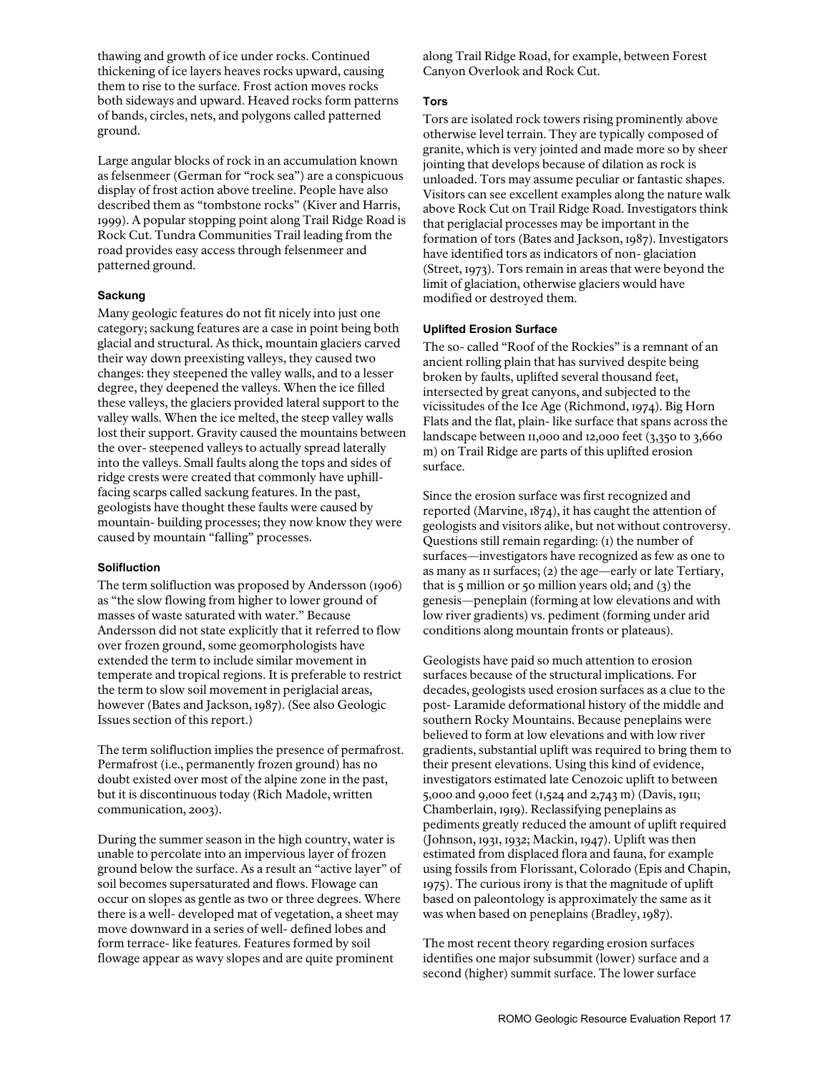thawing and growth of ice under rocks. Continued thickening of ice layers heaves rocks upward, causing them to rise to the surface. Frost action moves rocks both sideways and upward. Heaved rocks form patterns of bands, circles, nets, and polygons called patterned ground.

Large angular blocks of rock in an accumulation known as felsenmeer (German for "rock sea") are a conspicuous display of frost action above treeline. People have also described them as "tombstone rocks" (Kiver and Harris, 1999). A popular stopping point along Trail Ridge Road is Rock Cut. Tundra Communities Trail leading from the road provides easy access through felsenmeer and patterned ground.

#### **Sackung**

Many geologic features do not fit nicely into just one category; sackung features are a case in point being both glacial and structural. As thick, mountain glaciers carved their way down preexisting valleys, they caused two changes: they steepened the valley walls, and to a lesser degree, they deepened the valleys. When the ice filled these valleys, the glaciers provided lateral support to the valley walls. When the ice melted, the steep valley walls lost their support. Gravity caused the mountains between the over- steepened valleys to actually spread laterally into the valleys. Small faults along the tops and sides of ridge crests were created that commonly have uphillfacing scarps called sackung features. In the past, geologists have thought these faults were caused by mountain- building processes; they now know they were caused by mountain "falling" processes.

#### **Solifluction**

The term solifluction was proposed by Andersson (1906) as "the slow flowing from higher to lower ground of masses of waste saturated with water." Because Andersson did not state explicitly that it referred to flow over frozen ground, some geomorphologists have extended the term to include similar movement in temperate and tropical regions. It is preferable to restrict the term to slow soil movement in periglacial areas, however (Bates and Jackson, 1987). (See also Geologic Issues section of this report.)

The term solifluction implies the presence of permafrost. Permafrost (i.e., permanently frozen ground) has no doubt existed over most of the alpine zone in the past, but it is discontinuous today (Rich Madole, written communication, 2003).

During the summer season in the high country, water is unable to percolate into an impervious layer of frozen ground below the surface. As a result an "active layer" of soil becomes supersaturated and flows. Flowage can occur on slopes as gentle as two or three degrees. Where there is a well- developed mat of vegetation, a sheet may move downward in a series of well- defined lobes and form terrace- like features. Features formed by soil flowage appear as wavy slopes and are quite prominent

along Trail Ridge Road, for example, between Forest Canyon Overlook and Rock Cut.

#### **Tors**

Tors are isolated rock towers rising prominently above otherwise level terrain. They are typically composed of granite, which is very jointed and made more so by sheer jointing that develops because of dilation as rock is unloaded. Tors may assume peculiar or fantastic shapes. Visitors can see excellent examples along the nature walk above Rock Cut on Trail Ridge Road. Investigators think that periglacial processes may be important in the formation of tors (Bates and Jackson, 1987). Investigators have identified tors as indicators of non- glaciation (Street, 1973). Tors remain in areas that were beyond the limit of glaciation, otherwise glaciers would have modified or destroyed them.

#### **Uplifted Erosion Surface**

The so- called "Roof of the Rockies" is a remnant of an ancient rolling plain that has survived despite being broken by faults, uplifted several thousand feet, intersected by great canyons, and subjected to the vicissitudes of the Ice Age (Richmond, 1974). Big Horn Flats and the flat, plain- like surface that spans across the landscape between 11,000 and 12,000 feet (3,350 to 3,660 m) on Trail Ridge are parts of this uplifted erosion surface.

Since the erosion surface was first recognized and reported (Marvine, 1874), it has caught the attention of geologists and visitors alike, but not without controversy. Questions still remain regarding: (1) the number of surfaces—investigators have recognized as few as one to as many as 11 surfaces; (2) the age—early or late Tertiary, that is  $\frac{1}{2}$  million or  $\frac{1}{2}$  o million years old; and  $\left(\frac{1}{2}\right)$  the genesis—peneplain (forming at low elevations and with low river gradients) vs. pediment (forming under arid conditions along mountain fronts or plateaus).

Geologists have paid so much attention to erosion surfaces because of the structural implications. For decades, geologists used erosion surfaces as a clue to the post- Laramide deformational history of the middle and southern Rocky Mountains. Because peneplains were believed to form at low elevations and with low river gradients, substantial uplift was required to bring them to their present elevations. Using this kind of evidence, investigators estimated late Cenozoic uplift to between 5,000 and 9,000 feet (1,524 and 2,743 m) (Davis, 1911; Chamberlain, 1919). Reclassifying peneplains as pediments greatly reduced the amount of uplift required (Johnson, 1931, 1932; Mackin, 1947). Uplift was then estimated from displaced flora and fauna, for example using fossils from Florissant, Colorado (Epis and Chapin, 1975). The curious irony is that the magnitude of uplift based on paleontology is approximately the same as it was when based on peneplains (Bradley, 1987).

The most recent theory regarding erosion surfaces identifies one major subsummit (lower) surface and a second (higher) summit surface. The lower surface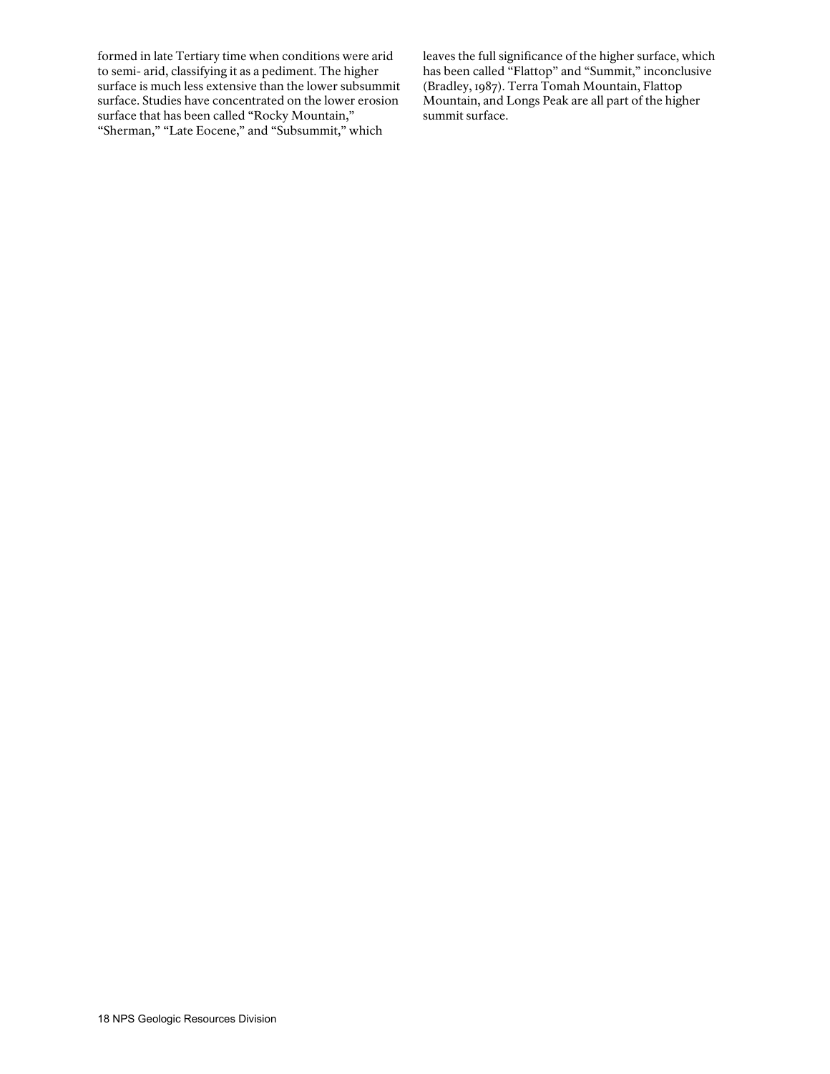formed in late Tertiary time when conditions were arid to semi- arid, classifying it as a pediment. The higher surface is much less extensive than the lower subsummit surface. Studies have concentrated on the lower erosion surface that has been called "Rocky Mountain," "Sherman," "Late Eocene," and "Subsummit," which

leaves the full significance of the higher surface, which has been called "Flattop" and "Summit," inconclusive (Bradley, 1987). Terra Tomah Mountain, Flattop Mountain, and Longs Peak are all part of the higher summit surface.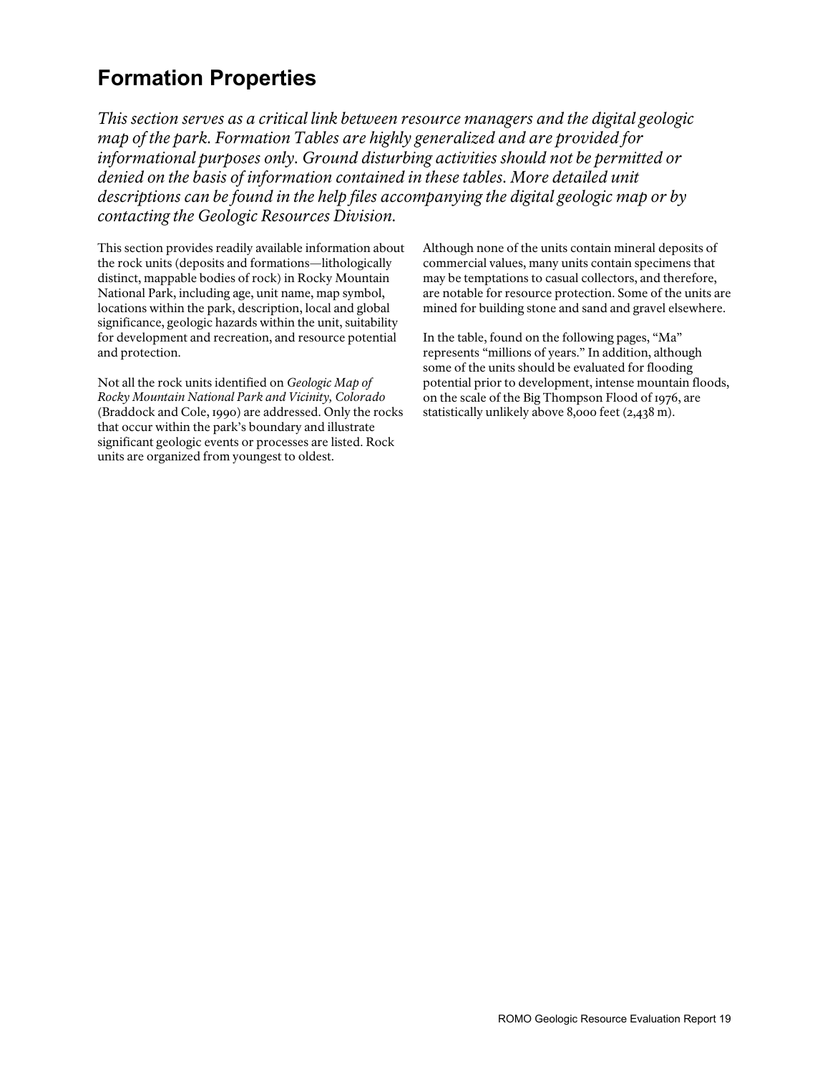# **Formation Properties**

*This section serves as a critical link between resource managers and the digital geologic map of the park. Formation Tables are highly generalized and are provided for informational purposes only. Ground disturbing activities should not be permitted or denied on the basis of information contained in these tables. More detailed unit descriptions can be found in the help files accompanying the digital geologic map or by contacting the Geologic Resources Division.* 

This section provides readily available information about the rock units (deposits and formations—lithologically distinct, mappable bodies of rock) in Rocky Mountain National Park, including age, unit name, map symbol, locations within the park, description, local and global significance, geologic hazards within the unit, suitability for development and recreation, and resource potential and protection.

Not all the rock units identified on *Geologic Map of Rocky Mountain National Park and Vicinity, Colorado* (Braddock and Cole, 1990) are addressed. Only the rocks that occur within the park's boundary and illustrate significant geologic events or processes are listed. Rock units are organized from youngest to oldest.

Although none of the units contain mineral deposits of commercial values, many units contain specimens that may be temptations to casual collectors, and therefore, are notable for resource protection. Some of the units are mined for building stone and sand and gravel elsewhere.

In the table, found on the following pages, "Ma" represents "millions of years." In addition, although some of the units should be evaluated for flooding potential prior to development, intense mountain floods, on the scale of the Big Thompson Flood of 1976, are statistically unlikely above 8,000 feet (2,438 m).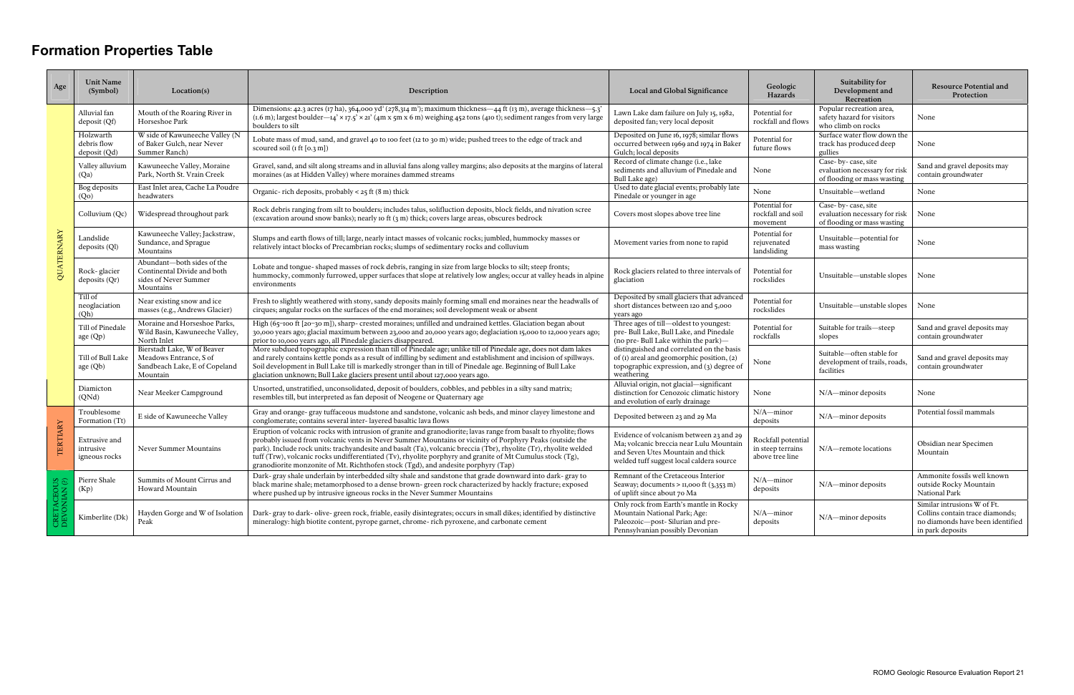# **Formation Properties Table**

| Age                                    | <b>Unit Name</b><br>(Symbol)                | Location(s)                                                                                        | Description                                                                                                                                                                                                                                                                                                                                                                                                                                                                                                                                          | Local and Global Significance                                                                                                                                                                                                                                                 | Geologic<br>Hazards                                        | Suitability for<br>Development and<br>Recreation                                   | <b>Resource Potential and</b><br>Protection                                                                            |
|----------------------------------------|---------------------------------------------|----------------------------------------------------------------------------------------------------|------------------------------------------------------------------------------------------------------------------------------------------------------------------------------------------------------------------------------------------------------------------------------------------------------------------------------------------------------------------------------------------------------------------------------------------------------------------------------------------------------------------------------------------------------|-------------------------------------------------------------------------------------------------------------------------------------------------------------------------------------------------------------------------------------------------------------------------------|------------------------------------------------------------|------------------------------------------------------------------------------------|------------------------------------------------------------------------------------------------------------------------|
|                                        | Alluvial fan<br>deposit(Qf)                 | Mouth of the Roaring River in<br>Horseshoe Park                                                    | Dimensions: 42.3 acres (17 ha), 364,000 yd <sup>3</sup> (278,314 m <sup>3</sup> ); maximum thickness—44 ft (13 m), average thickness—5.3 <sup>7</sup><br>$(1.6 \text{ m})$ ; largest boulder— $14' \times 17.5' \times 21'$ (4m x 5m x 6 m) weighing 452 tons (410 t); sediment ranges from very large<br>boulders to silt                                                                                                                                                                                                                           | Lawn Lake dam failure on July 15, 1982,<br>deposited fan; very local deposit                                                                                                                                                                                                  | Potential for<br>rockfall and flows                        | Popular recreation area,<br>safety hazard for visitors<br>who climb on rocks       | None                                                                                                                   |
|                                        | Holzwarth<br>debris flow<br>deposit (Qd)    | W side of Kawuneeche Valley (N<br>of Baker Gulch, near Never<br>Summer Ranch)                      | Lobate mass of mud, sand, and gravel 40 to 100 feet (12 to 30 m) wide; pushed trees to the edge of track and<br>scoured soil ( <i>I</i> ft [0.3 m])                                                                                                                                                                                                                                                                                                                                                                                                  | Deposited on June 16, 1978; similar flows<br>occurred between 1969 and 1974 in Baker<br>Gulch; local deposits                                                                                                                                                                 | Potential for<br>future flows                              | Surface water flow down the<br>track has produced deep<br>gullies                  | None                                                                                                                   |
|                                        | Valley alluvium<br>(Qa)                     | Kawuneeche Valley, Moraine<br>Park, North St. Vrain Creek                                          | Gravel, sand, and silt along streams and in alluvial fans along valley margins; also deposits at the margins of latera<br>moraines (as at Hidden Valley) where moraines dammed streams                                                                                                                                                                                                                                                                                                                                                               | Record of climate change (i.e., lake<br>sediments and alluvium of Pinedale and<br>Bull Lake age)                                                                                                                                                                              | None                                                       | Case-by-case, site<br>evaluation necessary for risk<br>of flooding or mass wasting | Sand and gravel deposits may<br>contain groundwater                                                                    |
|                                        | Bog deposits<br>(Qo)                        | East Inlet area, Cache La Poudre<br>headwaters                                                     | Organic-rich deposits, probably < $25$ ft (8 m) thick                                                                                                                                                                                                                                                                                                                                                                                                                                                                                                | Used to date glacial events; probably late<br>Pinedale or younger in age                                                                                                                                                                                                      | None                                                       | Unsuitable-wetland                                                                 | None                                                                                                                   |
| QUATERNARY                             | Colluvium (Qc)                              | Widespread throughout park                                                                         | Rock debris ranging from silt to boulders; includes talus, solifluction deposits, block fields, and nivation scree<br>(excavation around snow banks); nearly 10 ft (3 m) thick; covers large areas, obscures bedrock                                                                                                                                                                                                                                                                                                                                 | Covers most slopes above tree line                                                                                                                                                                                                                                            | Potential for<br>rockfall and soil<br>movement             | Case-by-case, site<br>evaluation necessary for risk<br>of flooding or mass wasting | None                                                                                                                   |
|                                        | Landslide<br>deposits (Ql)                  | Kawuneeche Valley; Jackstraw,<br>Sundance, and Sprague<br>Mountains                                | Slumps and earth flows of till; large, nearly intact masses of volcanic rocks; jumbled, hummocky masses or<br>relatively intact blocks of Precambrian rocks; slumps of sedimentary rocks and colluvium                                                                                                                                                                                                                                                                                                                                               | Movement varies from none to rapid                                                                                                                                                                                                                                            | Potential for<br>rejuvenated<br>landsliding                | Unsuitable-potential for<br>mass wasting                                           | None                                                                                                                   |
|                                        | Rock-glacier<br>deposits(Qr)                | Abundant-both sides of the<br>Continental Divide and both<br>sides of Never Summer<br>Mountains    | Lobate and tongue-shaped masses of rock debris, ranging in size from large blocks to silt; steep fronts;<br>hummocky, commonly furrowed, upper surfaces that slope at relatively low angles; occur at valley heads in alpine<br>environments                                                                                                                                                                                                                                                                                                         | Rock glaciers related to three intervals of<br>glaciation                                                                                                                                                                                                                     | Potential for<br>rockslides                                | Unsuitable-unstable slopes                                                         | None                                                                                                                   |
|                                        | Till of<br>neoglaciation<br>(Qh)            | Near existing snow and ice<br>masses (e.g., Andrews Glacier)                                       | Fresh to slightly weathered with stony, sandy deposits mainly forming small end moraines near the headwalls of<br>cirques; angular rocks on the surfaces of the end moraines; soil development weak or absent                                                                                                                                                                                                                                                                                                                                        | Deposited by small glaciers that advanced<br>short distances between 120 and 5,000<br>years ago                                                                                                                                                                               | Potential for<br>rockslides                                | Unsuitable—unstable slopes                                                         | None                                                                                                                   |
|                                        | Till of Pinedale<br>age (Qp)                | Moraine and Horseshoe Parks,<br>Wild Basin, Kawuneeche Valley,<br>North Inlet                      | High (65-100 ft [20-30 m]), sharp- crested moraines; unfilled and undrained kettles. Glaciation began about<br>30,000 years ago; glacial maximum between 23,000 and 20,000 years ago; deglaciation 15,000 to 12,000 years ago<br>prior to 10,000 years ago, all Pinedale glaciers disappeared.                                                                                                                                                                                                                                                       | Three ages of till-oldest to youngest:<br>pre- Bull Lake, Bull Lake, and Pinedale<br>(no pre-Bull Lake within the park)-<br>distinguished and correlated on the basis<br>of (1) areal and geomorphic position, (2)<br>topographic expression, and (3) degree of<br>weathering | Potential for<br>rockfalls                                 | Suitable for trails-steep<br>slopes                                                | Sand and gravel deposits may<br>contain groundwater                                                                    |
|                                        | Till of Bull Lake<br>age $(Qb)$             | Bierstadt Lake, W of Beaver<br>Meadows Entrance, S of<br>Sandbeach Lake, E of Copeland<br>Mountain | More subdued topographic expression than till of Pinedale age; unlike till of Pinedale age, does not dam lakes<br>and rarely contains kettle ponds as a result of infilling by sediment and establishment and incision of spillways.<br>Soil development in Bull Lake till is markedly stronger than in till of Pinedale age. Beginning of Bull Lake<br>glaciation unknown; Bull Lake glaciers present until about 127,000 years ago.                                                                                                                |                                                                                                                                                                                                                                                                               | None                                                       | Suitable-often stable for<br>development of trails, roads,<br>facilities           | Sand and gravel deposits may<br>contain groundwater                                                                    |
|                                        | Diamicton<br>(QNd)                          | Near Meeker Campground                                                                             | Unsorted, unstratified, unconsolidated, deposit of boulders, cobbles, and pebbles in a silty sand matrix;<br>resembles till, but interpreted as fan deposit of Neogene or Quaternary age                                                                                                                                                                                                                                                                                                                                                             | Alluvial origin, not glacial-significant<br>distinction for Cenozoic climatic history<br>and evolution of early drainage                                                                                                                                                      | None                                                       | N/A-minor deposits                                                                 | None                                                                                                                   |
| TERTIARY<br>CRETACEOUS<br>DEVONIAN (?) | Troublesome<br>Formation (Tt)               | E side of Kawuneeche Valley                                                                        | Gray and orange- gray tuffaceous mudstone and sandstone, volcanic ash beds, and minor clayey limestone and<br>conglomerate; contains several inter-layered basaltic lava flows                                                                                                                                                                                                                                                                                                                                                                       | Deposited between 23 and 29 Ma                                                                                                                                                                                                                                                | $N/A$ -minor<br>deposits                                   | N/A-minor deposits                                                                 | Potential fossil mammals                                                                                               |
|                                        | Extrusive and<br>intrusive<br>igneous rocks | <b>Never Summer Mountains</b>                                                                      | Eruption of volcanic rocks with intrusion of granite and granodiorite; lavas range from basalt to rhyolite; flows<br>probably issued from volcanic vents in Never Summer Mountains or vicinity of Porphyry Peaks (outside the<br>park). Include rock units: trachyandesite and basalt (Ta), volcanic breccia (Tbr), rhyolite (Tr), rhyolite welded<br>tuff (Trw), volcanic rocks undifferentiated (Tv), rhyolite porphyry and granite of Mt Cumulus stock (Tg),<br>granodiorite monzonite of Mt. Richthofen stock (Tgd), and andesite porphyry (Tap) | Evidence of volcanism between 23 and 29<br>Ma; volcanic breccia near Lulu Mountain<br>and Seven Utes Mountain and thick<br>welded tuff suggest local caldera source                                                                                                           | Rockfall potential<br>in steep terrains<br>above tree line | N/A—remote locations                                                               | Obsidian near Specimen<br>Mountain                                                                                     |
|                                        | Pierre Shale<br>(Kp)                        | Summits of Mount Cirrus and<br>Howard Mountain                                                     | Dark- gray shale underlain by interbedded silty shale and sandstone that grade downward into dark- gray to<br>black marine shale; metamorphosed to a dense brown- green rock characterized by hackly fracture; exposed<br>where pushed up by intrusive igneous rocks in the Never Summer Mountains                                                                                                                                                                                                                                                   | Remnant of the Cretaceous Interior<br>Seaway; documents > $11,000$ ft $(3,353)$ m)<br>of uplift since about 70 Ma                                                                                                                                                             | $N/A$ -minor<br>deposits                                   | N/A-minor deposits                                                                 | Ammonite fossils well known<br>outside Rocky Mountain<br>National Park                                                 |
|                                        | Kimberlite (Dk)                             | Hayden Gorge and W of Isolation<br>Peak                                                            | Dark- gray to dark- olive- green rock, friable, easily disintegrates; occurs in small dikes; identified by distinctive<br>mineralogy: high biotite content, pyrope garnet, chrome- rich pyroxene, and carbonate cement                                                                                                                                                                                                                                                                                                                               | Only rock from Earth's mantle in Rocky<br>Mountain National Park; Age:<br>Paleozoic-post-Silurian and pre-<br>Pennsylvanian possibly Devonian                                                                                                                                 | $N/A$ -minor<br>deposits                                   | N/A-minor deposits                                                                 | Similar intrusions W of Ft.<br>Collins contain trace diamonds;<br>no diamonds have been identified<br>in park deposits |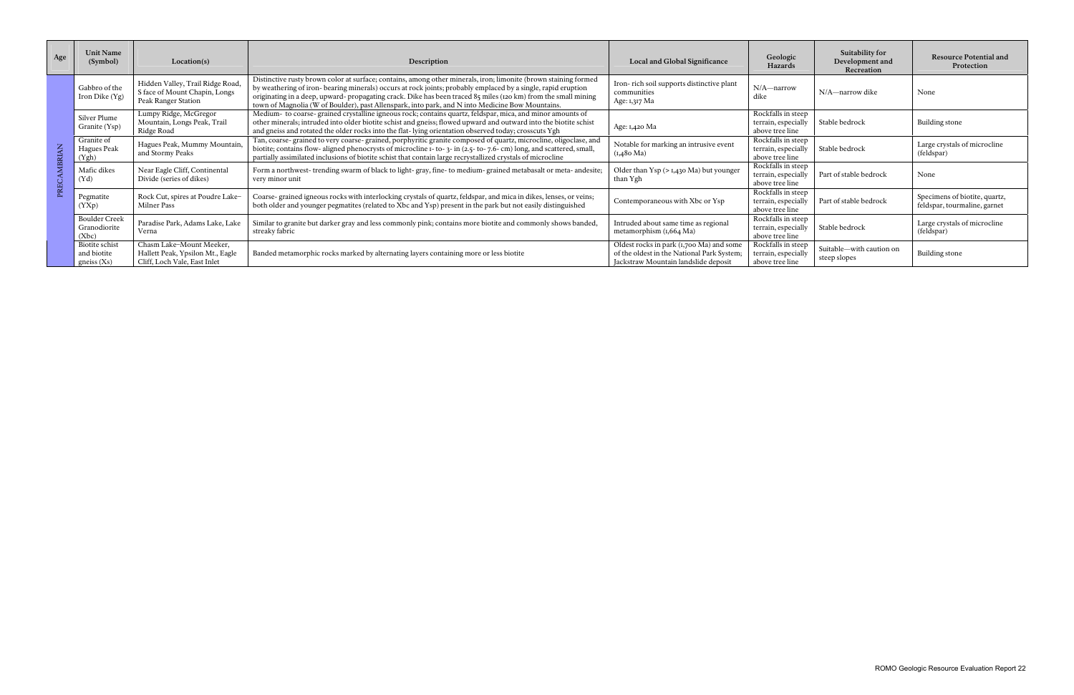| Age          | <b>Unit Name</b><br>(Symbol)                   | Location(s)                                                                                  | Description                                                                                                                                                                                                                                                                                                                                                                                                                                         | <b>Local and Global Significance</b>                                                                                           | Geologic<br>Hazards                                          | Suitability for<br>Development and<br>Recreation | <b>Resource Potential and</b><br>Protection                   |
|--------------|------------------------------------------------|----------------------------------------------------------------------------------------------|-----------------------------------------------------------------------------------------------------------------------------------------------------------------------------------------------------------------------------------------------------------------------------------------------------------------------------------------------------------------------------------------------------------------------------------------------------|--------------------------------------------------------------------------------------------------------------------------------|--------------------------------------------------------------|--------------------------------------------------|---------------------------------------------------------------|
| <b>MBRIA</b> | Gabbro of the<br>Iron Dike $(Yg)$              | Hidden Valley, Trail Ridge Road,<br>S face of Mount Chapin, Longs<br>Peak Ranger Station     | Distinctive rusty brown color at surface; contains, among other minerals, iron; limonite (brown staining formed<br>by weathering of iron-bearing minerals) occurs at rock joints; probably emplaced by a single, rapid eruption<br>originating in a deep, upward-propagating crack. Dike has been traced 85 miles (120 km) from the small mining<br>town of Magnolia (W of Boulder), past Allenspark, into park, and N into Medicine Bow Mountains. | Iron-rich soil supports distinctive plant<br>communities<br>Age: 1,317 Ma                                                      | $N/A -$ narrow<br>dike                                       | N/A-narrow dike                                  | None                                                          |
|              | Silver Plume<br>Granite (Ysp)                  | Lumpy Ridge, McGregor<br>Mountain, Longs Peak, Trail<br>Ridge Road                           | Medium- to coarse- grained crystalline igneous rock; contains quartz, feldspar, mica, and minor amounts of<br>other minerals; intruded into older biotite schist and gneiss; flowed upward and outward into the biotite schist<br>and gneiss and rotated the older rocks into the flat-lying orientation observed today; crosscuts Ygh                                                                                                              | Age: 1,420 Ma                                                                                                                  | Rockfalls in steep<br>terrain, especially<br>above tree line | Stable bedrock                                   | Building stone                                                |
|              | Granite of<br>Hagues Peak<br>(Ygh)             | Hagues Peak, Mummy Mountain,<br>and Stormy Peaks                                             | Tan, coarse- grained to very coarse- grained, porphyritic granite composed of quartz, microcline, oligoclase, and<br>biotite; contains flow-aligned phenocrysts of microcline 1- to-3- in (2.5- to-7.6- cm) long, and scattered, small,<br>partially assimilated inclusions of biotite schist that contain large recrystallized crystals of microcline                                                                                              | Notable for marking an intrusive event<br>(1,480 Ma)                                                                           | Rockfalls in steep<br>terrain, especially<br>above tree line | Stable bedrock                                   | Large crystals of microcline<br>(feldspar)                    |
|              | Mafic dikes<br>(Yd)                            | Near Eagle Cliff, Continental<br>Divide (series of dikes)                                    | Form a northwest-trending swarm of black to light-gray, fine-to medium-grained metabasalt or meta-andesite;<br>very minor unit                                                                                                                                                                                                                                                                                                                      | Older than $Ysp (> 1,430$ Ma) but younger<br>than Ygh                                                                          | Rockfalls in steep<br>terrain, especially<br>above tree line | Part of stable bedrock                           | None                                                          |
|              | Pegmatite<br>(YXp)                             | Rock Cut, spires at Poudre Lake-<br>Milner Pass                                              | Coarse- grained igneous rocks with interlocking crystals of quartz, feldspar, and mica in dikes, lenses, or veins;<br>both older and younger pegmatites (related to Xbc and Ysp) present in the park but not easily distinguished                                                                                                                                                                                                                   | Contemporaneous with Xbc or Ysp                                                                                                | Rockfalls in steep<br>terrain, especially<br>above tree line | Part of stable bedrock                           | Specimens of biotite, quartz,<br>feldspar, tourmaline, garnet |
|              | <b>Boulder Creek</b><br>Granodiorite<br>(Xbc)  | Paradise Park, Adams Lake, Lake<br>Verna                                                     | Similar to granite but darker gray and less commonly pink; contains more biotite and commonly shows banded,<br>streaky fabric                                                                                                                                                                                                                                                                                                                       | Intruded about same time as regional<br>metamorphism $(i, 664 \text{ Ma})$                                                     | Rockfalls in steep<br>terrain, especially<br>above tree line | Stable bedrock                                   | Large crystals of microcline<br>(feldspar)                    |
|              | Biotite schist<br>and biotite<br>gneiss $(Xs)$ | Chasm Lake-Mount Meeker,<br>Hallett Peak, Ypsilon Mt., Eagle<br>Cliff, Loch Vale, East Inlet | Banded metamorphic rocks marked by alternating layers containing more or less biotite                                                                                                                                                                                                                                                                                                                                                               | Oldest rocks in park (1,700 Ma) and some<br>of the oldest in the National Park System;<br>Jackstraw Mountain landslide deposit | Rockfalls in steep<br>terrain, especially<br>above tree line | Suitable-with caution on<br>steep slopes         | Building stone                                                |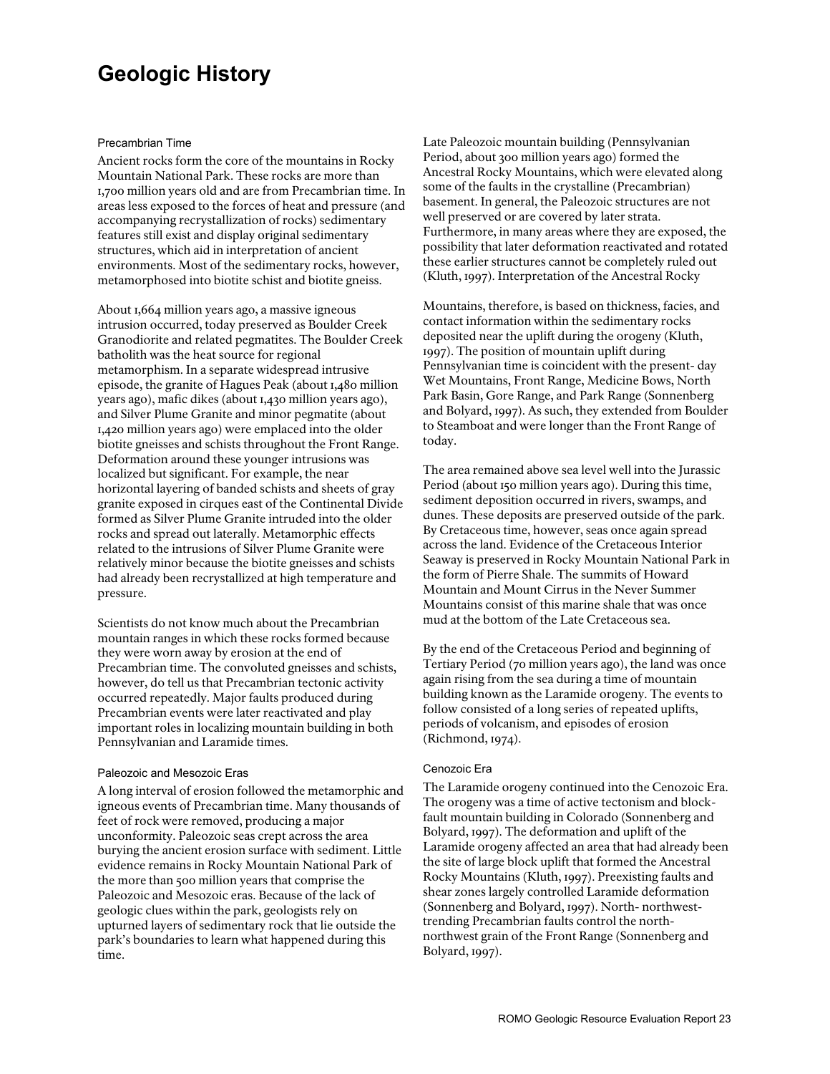### **Geologic History**

#### Precambrian Time

Ancient rocks form the core of the mountains in Rocky Mountain National Park. These rocks are more than 1,700 million years old and are from Precambrian time. In areas less exposed to the forces of heat and pressure (and accompanying recrystallization of rocks) sedimentary features still exist and display original sedimentary structures, which aid in interpretation of ancient environments. Most of the sedimentary rocks, however, metamorphosed into biotite schist and biotite gneiss.

About 1,664 million years ago, a massive igneous intrusion occurred, today preserved as Boulder Creek Granodiorite and related pegmatites. The Boulder Creek batholith was the heat source for regional metamorphism. In a separate widespread intrusive episode, the granite of Hagues Peak (about 1,480 million years ago), mafic dikes (about 1,430 million years ago), and Silver Plume Granite and minor pegmatite (about 1,420 million years ago) were emplaced into the older biotite gneisses and schists throughout the Front Range. Deformation around these younger intrusions was localized but significant. For example, the near horizontal layering of banded schists and sheets of gray granite exposed in cirques east of the Continental Divide formed as Silver Plume Granite intruded into the older rocks and spread out laterally. Metamorphic effects related to the intrusions of Silver Plume Granite were relatively minor because the biotite gneisses and schists had already been recrystallized at high temperature and pressure.

Scientists do not know much about the Precambrian mountain ranges in which these rocks formed because they were worn away by erosion at the end of Precambrian time. The convoluted gneisses and schists, however, do tell us that Precambrian tectonic activity occurred repeatedly. Major faults produced during Precambrian events were later reactivated and play important roles in localizing mountain building in both Pennsylvanian and Laramide times.

#### Paleozoic and Mesozoic Eras

A long interval of erosion followed the metamorphic and igneous events of Precambrian time. Many thousands of feet of rock were removed, producing a major unconformity. Paleozoic seas crept across the area burying the ancient erosion surface with sediment. Little evidence remains in Rocky Mountain National Park of the more than 500 million years that comprise the Paleozoic and Mesozoic eras. Because of the lack of geologic clues within the park, geologists rely on upturned layers of sedimentary rock that lie outside the park's boundaries to learn what happened during this time.

Late Paleozoic mountain building (Pennsylvanian Period, about 300 million years ago) formed the Ancestral Rocky Mountains, which were elevated along some of the faults in the crystalline (Precambrian) basement. In general, the Paleozoic structures are not well preserved or are covered by later strata. Furthermore, in many areas where they are exposed, the possibility that later deformation reactivated and rotated these earlier structures cannot be completely ruled out (Kluth, 1997). Interpretation of the Ancestral Rocky

Mountains, therefore, is based on thickness, facies, and contact information within the sedimentary rocks deposited near the uplift during the orogeny (Kluth, 1997). The position of mountain uplift during Pennsylvanian time is coincident with the present- day Wet Mountains, Front Range, Medicine Bows, North Park Basin, Gore Range, and Park Range (Sonnenberg and Bolyard, 1997). As such, they extended from Boulder to Steamboat and were longer than the Front Range of today.

The area remained above sea level well into the Jurassic Period (about 150 million years ago). During this time, sediment deposition occurred in rivers, swamps, and dunes. These deposits are preserved outside of the park. By Cretaceous time, however, seas once again spread across the land. Evidence of the Cretaceous Interior Seaway is preserved in Rocky Mountain National Park in the form of Pierre Shale. The summits of Howard Mountain and Mount Cirrus in the Never Summer Mountains consist of this marine shale that was once mud at the bottom of the Late Cretaceous sea.

By the end of the Cretaceous Period and beginning of Tertiary Period (70 million years ago), the land was once again rising from the sea during a time of mountain building known as the Laramide orogeny. The events to follow consisted of a long series of repeated uplifts, periods of volcanism, and episodes of erosion (Richmond, 1974).

#### Cenozoic Era

The Laramide orogeny continued into the Cenozoic Era. The orogeny was a time of active tectonism and blockfault mountain building in Colorado (Sonnenberg and Bolyard, 1997). The deformation and uplift of the Laramide orogeny affected an area that had already been the site of large block uplift that formed the Ancestral Rocky Mountains (Kluth, 1997). Preexisting faults and shear zones largely controlled Laramide deformation (Sonnenberg and Bolyard, 1997). North- northwesttrending Precambrian faults control the northnorthwest grain of the Front Range (Sonnenberg and Bolyard, 1997).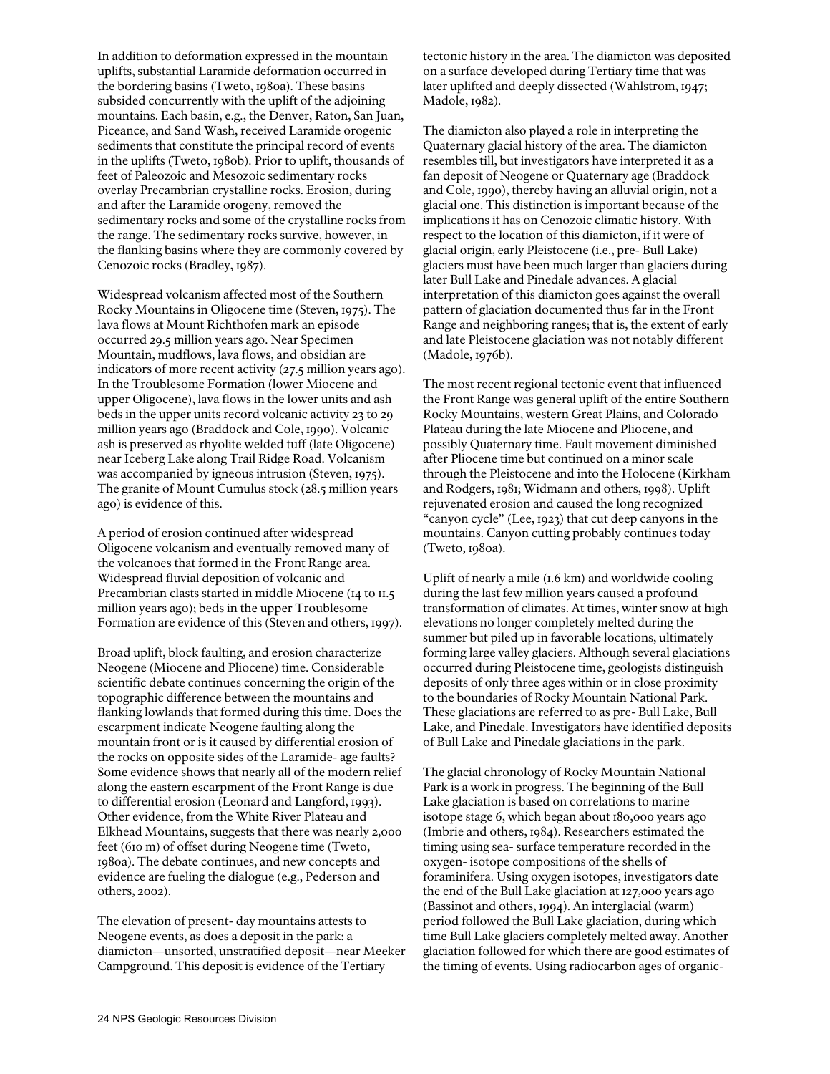In addition to deformation expressed in the mountain uplifts, substantial Laramide deformation occurred in the bordering basins (Tweto, 1980a). These basins subsided concurrently with the uplift of the adjoining mountains. Each basin, e.g., the Denver, Raton, San Juan, Piceance, and Sand Wash, received Laramide orogenic sediments that constitute the principal record of events in the uplifts (Tweto, 1980b). Prior to uplift, thousands of feet of Paleozoic and Mesozoic sedimentary rocks overlay Precambrian crystalline rocks. Erosion, during and after the Laramide orogeny, removed the sedimentary rocks and some of the crystalline rocks from the range. The sedimentary rocks survive, however, in the flanking basins where they are commonly covered by Cenozoic rocks (Bradley, 1987).

Widespread volcanism affected most of the Southern Rocky Mountains in Oligocene time (Steven, 1975). The lava flows at Mount Richthofen mark an episode occurred 29.5 million years ago. Near Specimen Mountain, mudflows, lava flows, and obsidian are indicators of more recent activity (27.5 million years ago). In the Troublesome Formation (lower Miocene and upper Oligocene), lava flows in the lower units and ash beds in the upper units record volcanic activity 23 to 29 million years ago (Braddock and Cole, 1990). Volcanic ash is preserved as rhyolite welded tuff (late Oligocene) near Iceberg Lake along Trail Ridge Road. Volcanism was accompanied by igneous intrusion (Steven, 1975). The granite of Mount Cumulus stock (28.5 million years ago) is evidence of this.

A period of erosion continued after widespread Oligocene volcanism and eventually removed many of the volcanoes that formed in the Front Range area. Widespread fluvial deposition of volcanic and Precambrian clasts started in middle Miocene (14 to 11.5 million years ago); beds in the upper Troublesome Formation are evidence of this (Steven and others, 1997).

Broad uplift, block faulting, and erosion characterize Neogene (Miocene and Pliocene) time. Considerable scientific debate continues concerning the origin of the topographic difference between the mountains and flanking lowlands that formed during this time. Does the escarpment indicate Neogene faulting along the mountain front or is it caused by differential erosion of the rocks on opposite sides of the Laramide- age faults? Some evidence shows that nearly all of the modern relief along the eastern escarpment of the Front Range is due to differential erosion (Leonard and Langford, 1993). Other evidence, from the White River Plateau and Elkhead Mountains, suggests that there was nearly 2,000 feet (610 m) of offset during Neogene time (Tweto, 1980a). The debate continues, and new concepts and evidence are fueling the dialogue (e.g., Pederson and others, 2002).

The elevation of present- day mountains attests to Neogene events, as does a deposit in the park: a diamicton—unsorted, unstratified deposit—near Meeker Campground. This deposit is evidence of the Tertiary

tectonic history in the area. The diamicton was deposited on a surface developed during Tertiary time that was later uplifted and deeply dissected (Wahlstrom, 1947; Madole, 1982).

The diamicton also played a role in interpreting the Quaternary glacial history of the area. The diamicton resembles till, but investigators have interpreted it as a fan deposit of Neogene or Quaternary age (Braddock and Cole, 1990), thereby having an alluvial origin, not a glacial one. This distinction is important because of the implications it has on Cenozoic climatic history. With respect to the location of this diamicton, if it were of glacial origin, early Pleistocene (i.e., pre- Bull Lake) glaciers must have been much larger than glaciers during later Bull Lake and Pinedale advances. A glacial interpretation of this diamicton goes against the overall pattern of glaciation documented thus far in the Front Range and neighboring ranges; that is, the extent of early and late Pleistocene glaciation was not notably different (Madole, 1976b).

The most recent regional tectonic event that influenced the Front Range was general uplift of the entire Southern Rocky Mountains, western Great Plains, and Colorado Plateau during the late Miocene and Pliocene, and possibly Quaternary time. Fault movement diminished after Pliocene time but continued on a minor scale through the Pleistocene and into the Holocene (Kirkham and Rodgers, 1981; Widmann and others, 1998). Uplift rejuvenated erosion and caused the long recognized "canyon cycle" (Lee, 1923) that cut deep canyons in the mountains. Canyon cutting probably continues today (Tweto, 1980a).

Uplift of nearly a mile (1.6 km) and worldwide cooling during the last few million years caused a profound transformation of climates. At times, winter snow at high elevations no longer completely melted during the summer but piled up in favorable locations, ultimately forming large valley glaciers. Although several glaciations occurred during Pleistocene time, geologists distinguish deposits of only three ages within or in close proximity to the boundaries of Rocky Mountain National Park. These glaciations are referred to as pre- Bull Lake, Bull Lake, and Pinedale. Investigators have identified deposits of Bull Lake and Pinedale glaciations in the park.

The glacial chronology of Rocky Mountain National Park is a work in progress. The beginning of the Bull Lake glaciation is based on correlations to marine isotope stage 6, which began about 180,000 years ago (Imbrie and others, 1984). Researchers estimated the timing using sea- surface temperature recorded in the oxygen- isotope compositions of the shells of foraminifera. Using oxygen isotopes, investigators date the end of the Bull Lake glaciation at 127,000 years ago (Bassinot and others, 1994). An interglacial (warm) period followed the Bull Lake glaciation, during which time Bull Lake glaciers completely melted away. Another glaciation followed for which there are good estimates of the timing of events. Using radiocarbon ages of organic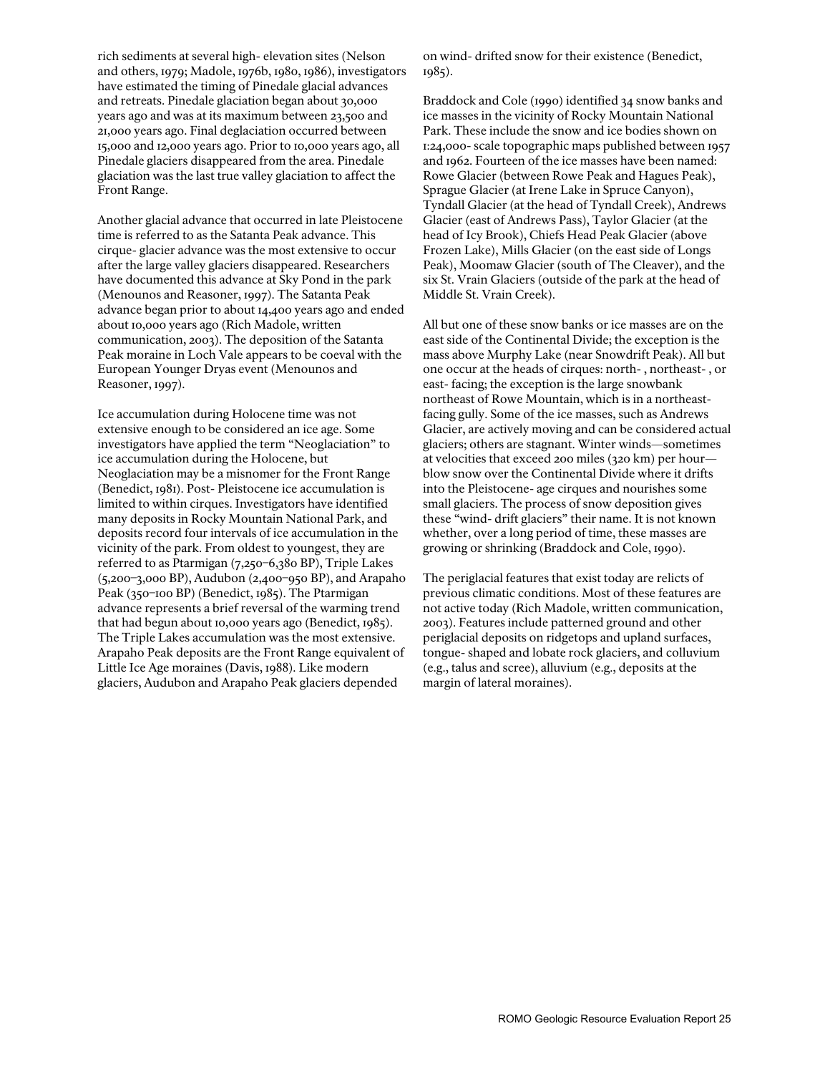rich sediments at several high- elevation sites (Nelson and others, 1979; Madole, 1976b, 1980, 1986), investigators have estimated the timing of Pinedale glacial advances and retreats. Pinedale glaciation began about 30,000 years ago and was at its maximum between 23,500 and 21,000 years ago. Final deglaciation occurred between 15,000 and 12,000 years ago. Prior to 10,000 years ago, all Pinedale glaciers disappeared from the area. Pinedale glaciation was the last true valley glaciation to affect the Front Range.

Another glacial advance that occurred in late Pleistocene time is referred to as the Satanta Peak advance. This cirque- glacier advance was the most extensive to occur after the large valley glaciers disappeared. Researchers have documented this advance at Sky Pond in the park (Menounos and Reasoner, 1997). The Satanta Peak advance began prior to about 14,400 years ago and ended about 10,000 years ago (Rich Madole, written communication, 2003). The deposition of the Satanta Peak moraine in Loch Vale appears to be coeval with the European Younger Dryas event (Menounos and Reasoner, 1997).

Ice accumulation during Holocene time was not extensive enough to be considered an ice age. Some investigators have applied the term "Neoglaciation" to ice accumulation during the Holocene, but Neoglaciation may be a misnomer for the Front Range (Benedict, 1981). Post- Pleistocene ice accumulation is limited to within cirques. Investigators have identified many deposits in Rocky Mountain National Park, and deposits record four intervals of ice accumulation in the vicinity of the park. From oldest to youngest, they are referred to as Ptarmigan (7,250–6,380 BP), Triple Lakes (5,200–3,000 BP), Audubon (2,400–950 BP), and Arapaho Peak (350–100 BP) (Benedict, 1985). The Ptarmigan advance represents a brief reversal of the warming trend that had begun about 10,000 years ago (Benedict, 1985). The Triple Lakes accumulation was the most extensive. Arapaho Peak deposits are the Front Range equivalent of Little Ice Age moraines (Davis, 1988). Like modern glaciers, Audubon and Arapaho Peak glaciers depended

on wind- drifted snow for their existence (Benedict, 1985).

Braddock and Cole (1990) identified 34 snow banks and ice masses in the vicinity of Rocky Mountain National Park. These include the snow and ice bodies shown on 1:24,000- scale topographic maps published between 1957 and 1962. Fourteen of the ice masses have been named: Rowe Glacier (between Rowe Peak and Hagues Peak), Sprague Glacier (at Irene Lake in Spruce Canyon), Tyndall Glacier (at the head of Tyndall Creek), Andrews Glacier (east of Andrews Pass), Taylor Glacier (at the head of Icy Brook), Chiefs Head Peak Glacier (above Frozen Lake), Mills Glacier (on the east side of Longs Peak), Moomaw Glacier (south of The Cleaver), and the six St. Vrain Glaciers (outside of the park at the head of Middle St. Vrain Creek).

All but one of these snow banks or ice masses are on the east side of the Continental Divide; the exception is the mass above Murphy Lake (near Snowdrift Peak). All but one occur at the heads of cirques: north- , northeast- , or east- facing; the exception is the large snowbank northeast of Rowe Mountain, which is in a northeastfacing gully. Some of the ice masses, such as Andrews Glacier, are actively moving and can be considered actual glaciers; others are stagnant. Winter winds—sometimes at velocities that exceed 200 miles (320 km) per hour blow snow over the Continental Divide where it drifts into the Pleistocene- age cirques and nourishes some small glaciers. The process of snow deposition gives these "wind- drift glaciers" their name. It is not known whether, over a long period of time, these masses are growing or shrinking (Braddock and Cole, 1990).

The periglacial features that exist today are relicts of previous climatic conditions. Most of these features are not active today (Rich Madole, written communication, 2003). Features include patterned ground and other periglacial deposits on ridgetops and upland surfaces, tongue- shaped and lobate rock glaciers, and colluvium (e.g., talus and scree), alluvium (e.g., deposits at the margin of lateral moraines).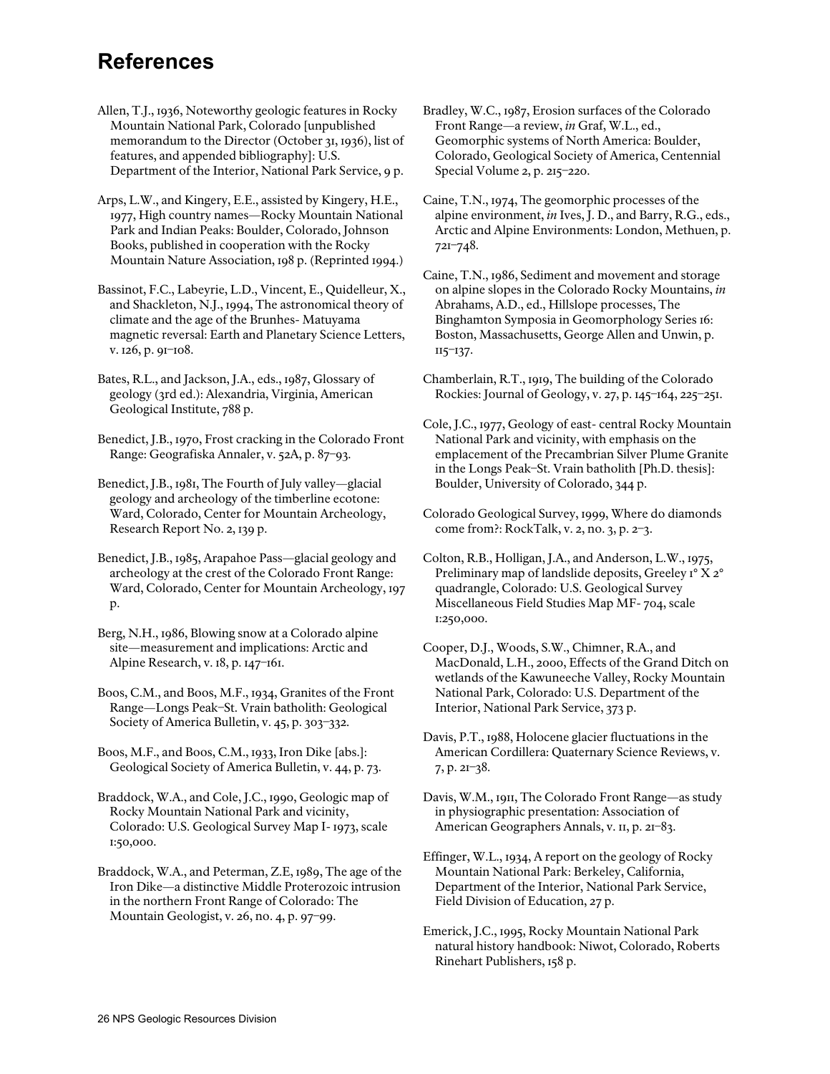### **References**

Allen, T.J., 1936, Noteworthy geologic features in Rocky Mountain National Park, Colorado [unpublished memorandum to the Director (October 31, 1936), list of features, and appended bibliography]: U.S. Department of the Interior, National Park Service, 9 p.

Arps, L.W., and Kingery, E.E., assisted by Kingery, H.E., 1977, High country names—Rocky Mountain National Park and Indian Peaks: Boulder, Colorado, Johnson Books, published in cooperation with the Rocky Mountain Nature Association, 198 p. (Reprinted 1994.)

Bassinot, F.C., Labeyrie, L.D., Vincent, E., Quidelleur, X., and Shackleton, N.J., 1994, The astronomical theory of climate and the age of the Brunhes- Matuyama magnetic reversal: Earth and Planetary Science Letters, v. 126, p. 91–108.

Bates, R.L., and Jackson, J.A., eds., 1987, Glossary of geology (3rd ed.): Alexandria, Virginia, American Geological Institute, 788 p.

Benedict, J.B., 1970, Frost cracking in the Colorado Front Range: Geografiska Annaler, v. 52A, p. 87–93.

Benedict, J.B., 1981, The Fourth of July valley—glacial geology and archeology of the timberline ecotone: Ward, Colorado, Center for Mountain Archeology, Research Report No. 2, 139 p.

Benedict, J.B., 1985, Arapahoe Pass—glacial geology and archeology at the crest of the Colorado Front Range: Ward, Colorado, Center for Mountain Archeology, 197 p.

Berg, N.H., 1986, Blowing snow at a Colorado alpine site—measurement and implications: Arctic and Alpine Research, v. 18, p. 147–161.

Boos, C.M., and Boos, M.F., 1934, Granites of the Front Range—Longs Peak–St. Vrain batholith: Geological Society of America Bulletin, v. 45, p. 303–332.

Boos, M.F., and Boos, C.M., 1933, Iron Dike [abs.]: Geological Society of America Bulletin, v. 44, p. 73.

Braddock, W.A., and Cole, J.C., 1990, Geologic map of Rocky Mountain National Park and vicinity, Colorado: U.S. Geological Survey Map I- 1973, scale 1:50,000.

Braddock, W.A., and Peterman, Z.E, 1989, The age of the Iron Dike—a distinctive Middle Proterozoic intrusion in the northern Front Range of Colorado: The Mountain Geologist, v. 26, no. 4, p. 97–99.

Bradley, W.C., 1987, Erosion surfaces of the Colorado Front Range—a review, *in* Graf, W.L., ed., Geomorphic systems of North America: Boulder, Colorado, Geological Society of America, Centennial Special Volume 2, p. 215–220.

Caine, T.N., 1974, The geomorphic processes of the alpine environment, *in* Ives, J. D., and Barry, R.G., eds., Arctic and Alpine Environments: London, Methuen, p. 721–748.

Caine, T.N., 1986, Sediment and movement and storage on alpine slopes in the Colorado Rocky Mountains, *in* Abrahams, A.D., ed., Hillslope processes, The Binghamton Symposia in Geomorphology Series 16: Boston, Massachusetts, George Allen and Unwin, p. 115–137.

Chamberlain, R.T., 1919, The building of the Colorado Rockies: Journal of Geology, v. 27, p. 145–164, 225–251.

Cole, J.C., 1977, Geology of east- central Rocky Mountain National Park and vicinity, with emphasis on the emplacement of the Precambrian Silver Plume Granite in the Longs Peak–St. Vrain batholith [Ph.D. thesis]: Boulder, University of Colorado, 344 p.

Colorado Geological Survey, 1999, Where do diamonds come from?: RockTalk, v. 2, no. 3, p. 2–3.

Colton, R.B., Holligan, J.A., and Anderson, L.W., 1975, Preliminary map of landslide deposits, Greeley 1° X 2° quadrangle, Colorado: U.S. Geological Survey Miscellaneous Field Studies Map MF- 704, scale 1:250,000.

Cooper, D.J., Woods, S.W., Chimner, R.A., and MacDonald, L.H., 2000, Effects of the Grand Ditch on wetlands of the Kawuneeche Valley, Rocky Mountain National Park, Colorado: U.S. Department of the Interior, National Park Service, 373 p.

Davis, P.T., 1988, Holocene glacier fluctuations in the American Cordillera: Quaternary Science Reviews, v. 7, p. 21–38.

Davis, W.M., 1911, The Colorado Front Range—as study in physiographic presentation: Association of American Geographers Annals, v. 11, p. 21–83.

Effinger, W.L., 1934, A report on the geology of Rocky Mountain National Park: Berkeley, California, Department of the Interior, National Park Service, Field Division of Education, 27 p.

Emerick, J.C., 1995, Rocky Mountain National Park natural history handbook: Niwot, Colorado, Roberts Rinehart Publishers, 158 p.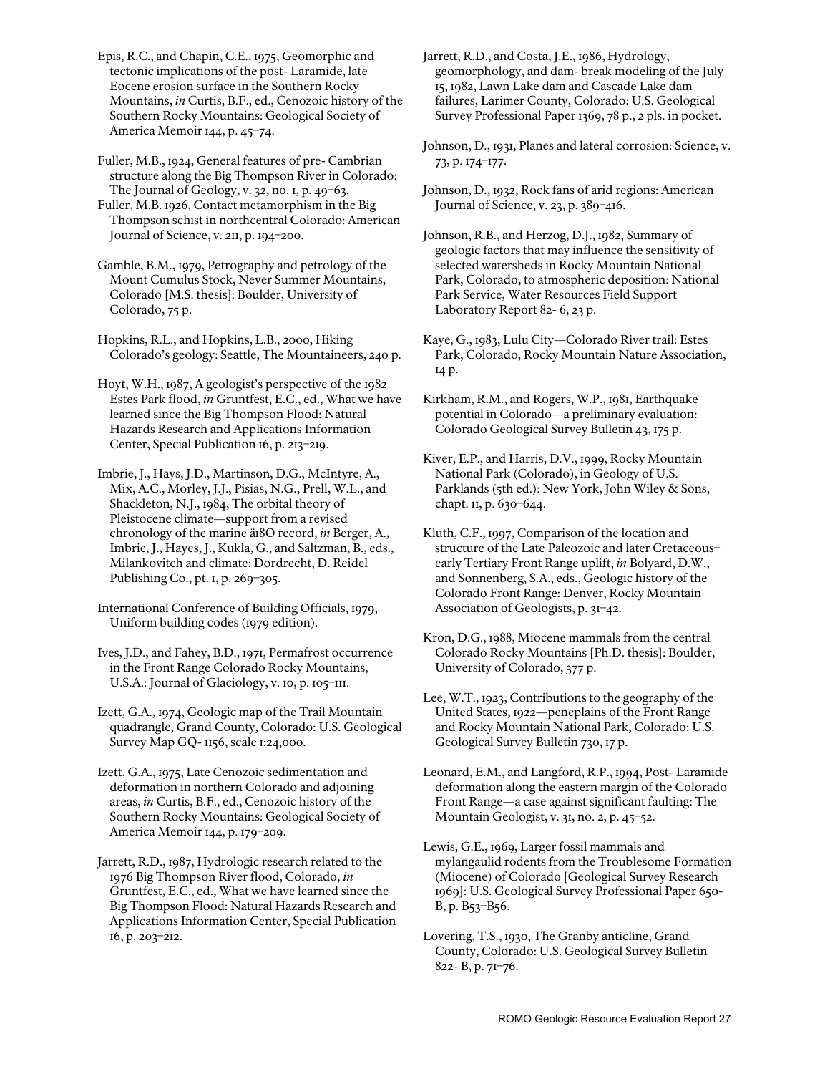Epis, R.C., and Chapin, C.E., 1975, Geomorphic and tectonic implications of the post- Laramide, late Eocene erosion surface in the Southern Rocky Mountains, *in* Curtis, B.F., ed., Cenozoic history of the Southern Rocky Mountains: Geological Society of America Memoir 144, p. 45–74.

Fuller, M.B., 1924, General features of pre- Cambrian structure along the Big Thompson River in Colorado: The Journal of Geology, v. 32, no. 1, p. 49-63.

Fuller, M.B. 1926, Contact metamorphism in the Big Thompson schist in northcentral Colorado: American Journal of Science, v. 211, p. 194–200.

Gamble, B.M., 1979, Petrography and petrology of the Mount Cumulus Stock, Never Summer Mountains, Colorado [M.S. thesis]: Boulder, University of Colorado, 75 p.

Hopkins, R.L., and Hopkins, L.B., 2000, Hiking Colorado's geology: Seattle, The Mountaineers, 240 p.

Hoyt, W.H., 1987, A geologist's perspective of the 1982 Estes Park flood, *in* Gruntfest, E.C., ed., What we have learned since the Big Thompson Flood: Natural Hazards Research and Applications Information Center, Special Publication 16, p. 213–219.

Imbrie, J., Hays, J.D., Martinson, D.G., McIntyre, A., Mix, A.C., Morley, J.J., Pisias, N.G., Prell, W.L., and Shackleton, N.J., 1984, The orbital theory of Pleistocene climate—support from a revised chronology of the marine ä18O record, *in* Berger, A., Imbrie, J., Hayes, J., Kukla, G., and Saltzman, B., eds., Milankovitch and climate: Dordrecht, D. Reidel Publishing Co., pt. 1, p. 269–305.

International Conference of Building Officials, 1979, Uniform building codes (1979 edition).

Ives, J.D., and Fahey, B.D., 1971, Permafrost occurrence in the Front Range Colorado Rocky Mountains, U.S.A.: Journal of Glaciology, v. 10, p. 105–111.

Izett, G.A., 1974, Geologic map of the Trail Mountain quadrangle, Grand County, Colorado: U.S. Geological Survey Map GQ- 1156, scale 1:24,000.

Izett, G.A., 1975, Late Cenozoic sedimentation and deformation in northern Colorado and adjoining areas, *in* Curtis, B.F., ed., Cenozoic history of the Southern Rocky Mountains: Geological Society of America Memoir 144, p. 179–209.

Jarrett, R.D., 1987, Hydrologic research related to the 1976 Big Thompson River flood, Colorado, *in* Gruntfest, E.C., ed., What we have learned since the Big Thompson Flood: Natural Hazards Research and Applications Information Center, Special Publication 16, p. 203–212.

Jarrett, R.D., and Costa, J.E., 1986, Hydrology, geomorphology, and dam- break modeling of the July 15, 1982, Lawn Lake dam and Cascade Lake dam failures, Larimer County, Colorado: U.S. Geological Survey Professional Paper 1369, 78 p., 2 pls. in pocket.

Johnson, D., 1931, Planes and lateral corrosion: Science, v. 73, p. 174–177.

Johnson, D., 1932, Rock fans of arid regions: American Journal of Science, v. 23, p. 389–416.

Johnson, R.B., and Herzog, D.J., 1982, Summary of geologic factors that may influence the sensitivity of selected watersheds in Rocky Mountain National Park, Colorado, to atmospheric deposition: National Park Service, Water Resources Field Support Laboratory Report 82- 6, 23 p.

Kaye, G., 1983, Lulu City—Colorado River trail: Estes Park, Colorado, Rocky Mountain Nature Association, 14 p.

Kirkham, R.M., and Rogers, W.P., 1981, Earthquake potential in Colorado—a preliminary evaluation: Colorado Geological Survey Bulletin 43, 175 p.

Kiver, E.P., and Harris, D.V., 1999, Rocky Mountain National Park (Colorado), in Geology of U.S. Parklands (5th ed.): New York, John Wiley & Sons, chapt. 11, p. 630–644.

Kluth, C.F., 1997, Comparison of the location and structure of the Late Paleozoic and later Cretaceous– early Tertiary Front Range uplift, *in* Bolyard, D.W., and Sonnenberg, S.A., eds., Geologic history of the Colorado Front Range: Denver, Rocky Mountain Association of Geologists, p. 31–42.

Lee, W.T., 1923, Contributions to the geography of the United States, 1922—peneplains of the Front Range and Rocky Mountain National Park, Colorado: U.S. Geological Survey Bulletin 730, 17 p.

Leonard, E.M., and Langford, R.P., 1994, Post- Laramide deformation along the eastern margin of the Colorado Front Range—a case against significant faulting: The Mountain Geologist, v. 31, no. 2, p. 45–52.

Lewis, G.E., 1969, Larger fossil mammals and mylangaulid rodents from the Troublesome Formation (Miocene) of Colorado [Geological Survey Research 1969]: U.S. Geological Survey Professional Paper 650- B, p. B53–B56.

Lovering, T.S., 1930, The Granby anticline, Grand County, Colorado: U.S. Geological Survey Bulletin 822- B, p. 71–76.

Kron, D.G., 1988, Miocene mammals from the central Colorado Rocky Mountains [Ph.D. thesis]: Boulder, University of Colorado, 377 p.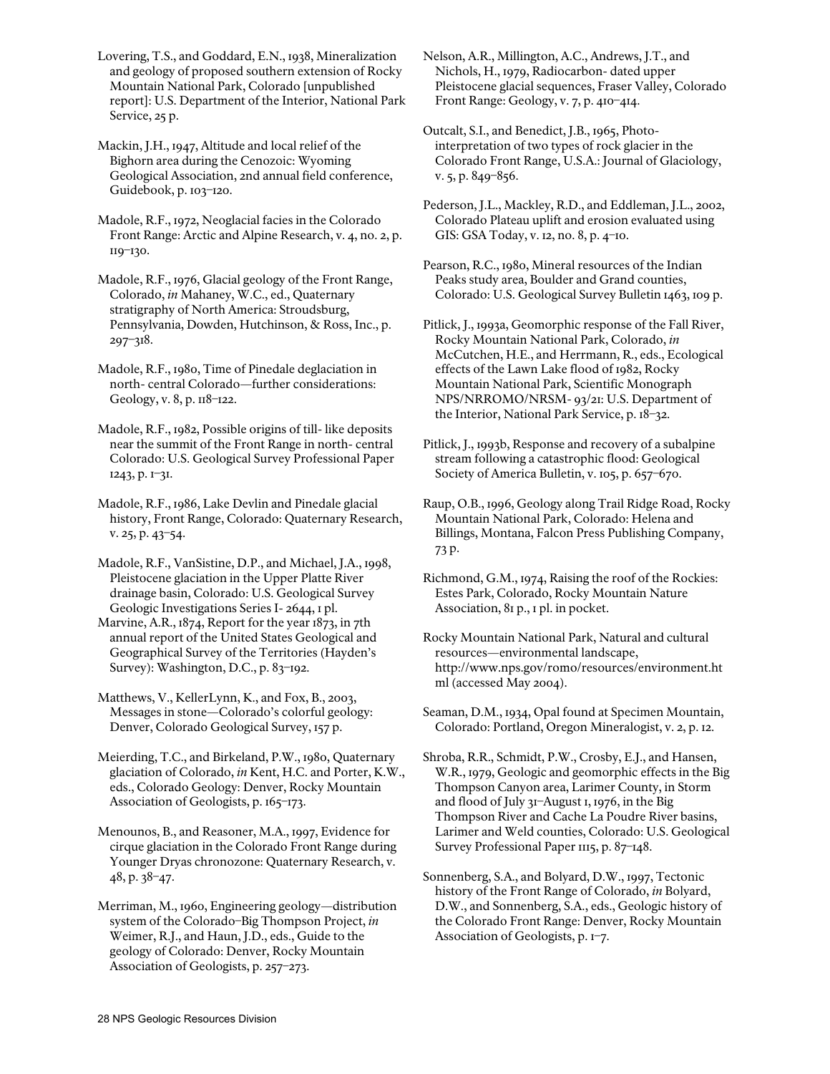Lovering, T.S., and Goddard, E.N., 1938, Mineralization and geology of proposed southern extension of Rocky Mountain National Park, Colorado [unpublished report]: U.S. Department of the Interior, National Park Service, 25 p.

Mackin, J.H., 1947, Altitude and local relief of the Bighorn area during the Cenozoic: Wyoming Geological Association, 2nd annual field conference, Guidebook, p. 103–120.

Madole, R.F., 1972, Neoglacial facies in the Colorado Front Range: Arctic and Alpine Research, v. 4, no. 2, p. 119–130.

Madole, R.F., 1976, Glacial geology of the Front Range, Colorado, *in* Mahaney, W.C., ed., Quaternary stratigraphy of North America: Stroudsburg, Pennsylvania, Dowden, Hutchinson, & Ross, Inc., p. 297–318.

Madole, R.F., 1980, Time of Pinedale deglaciation in north- central Colorado—further considerations: Geology, v. 8, p. 118–122.

Madole, R.F., 1982, Possible origins of till- like deposits near the summit of the Front Range in north- central Colorado: U.S. Geological Survey Professional Paper 1243, p. 1–31.

Madole, R.F., 1986, Lake Devlin and Pinedale glacial history, Front Range, Colorado: Quaternary Research, v. 25, p. 43–54.

Madole, R.F., VanSistine, D.P., and Michael, J.A., 1998, Pleistocene glaciation in the Upper Platte River drainage basin, Colorado: U.S. Geological Survey Geologic Investigations Series I- 2644, 1 pl.

Marvine, A.R., 1874, Report for the year 1873, in 7th annual report of the United States Geological and Geographical Survey of the Territories (Hayden's Survey): Washington, D.C., p. 83–192.

Matthews, V., KellerLynn, K., and Fox, B., 2003, Messages in stone—Colorado's colorful geology: Denver, Colorado Geological Survey, 157 p.

Meierding, T.C., and Birkeland, P.W., 1980, Quaternary glaciation of Colorado, *in* Kent, H.C. and Porter, K.W., eds., Colorado Geology: Denver, Rocky Mountain Association of Geologists, p. 165–173.

Menounos, B., and Reasoner, M.A., 1997, Evidence for cirque glaciation in the Colorado Front Range during Younger Dryas chronozone: Quaternary Research, v. 48, p. 38–47.

Merriman, M., 1960, Engineering geology—distribution system of the Colorado–Big Thompson Project, *in* Weimer, R.J., and Haun, J.D., eds., Guide to the geology of Colorado: Denver, Rocky Mountain Association of Geologists, p. 257–273.

Nelson, A.R., Millington, A.C., Andrews, J.T., and Nichols, H., 1979, Radiocarbon- dated upper Pleistocene glacial sequences, Fraser Valley, Colorado Front Range: Geology, v. 7, p. 410–414.

Outcalt, S.I., and Benedict, J.B., 1965, Photointerpretation of two types of rock glacier in the Colorado Front Range, U.S.A.: Journal of Glaciology,  $v. 5, p. 849 - 856.$ 

Pederson, J.L., Mackley, R.D., and Eddleman, J.L., 2002, Colorado Plateau uplift and erosion evaluated using GIS: GSA Today, v. 12, no. 8, p. 4–10.

Pearson, R.C., 1980, Mineral resources of the Indian Peaks study area, Boulder and Grand counties, Colorado: U.S. Geological Survey Bulletin 1463, 109 p.

Pitlick, J., 1993a, Geomorphic response of the Fall River, Rocky Mountain National Park, Colorado, *in* McCutchen, H.E., and Herrmann, R., eds., Ecological effects of the Lawn Lake flood of 1982, Rocky Mountain National Park, Scientific Monograph NPS/NRROMO/NRSM- 93/21: U.S. Department of the Interior, National Park Service, p. 18–32.

Pitlick, J., 1993b, Response and recovery of a subalpine stream following a catastrophic flood: Geological Society of America Bulletin, v. 105, p. 657–670.

Raup, O.B., 1996, Geology along Trail Ridge Road, Rocky Mountain National Park, Colorado: Helena and Billings, Montana, Falcon Press Publishing Company, 73 p.

Richmond, G.M., 1974, Raising the roof of the Rockies: Estes Park, Colorado, Rocky Mountain Nature Association, 81 p., 1 pl. in pocket.

Rocky Mountain National Park, Natural and cultural resources—environmental landscape, http://www.nps.gov/romo/resources/environment.ht ml (accessed May 2004).

Seaman, D.M., 1934, Opal found at Specimen Mountain, Colorado: Portland, Oregon Mineralogist, v. 2, p. 12.

Shroba, R.R., Schmidt, P.W., Crosby, E.J., and Hansen, W.R., 1979, Geologic and geomorphic effects in the Big Thompson Canyon area, Larimer County, in Storm and flood of July 31–August 1, 1976, in the Big Thompson River and Cache La Poudre River basins, Larimer and Weld counties, Colorado: U.S. Geological Survey Professional Paper III5, p. 87-148.

Sonnenberg, S.A., and Bolyard, D.W., 1997, Tectonic history of the Front Range of Colorado, *in* Bolyard, D.W., and Sonnenberg, S.A., eds., Geologic history of the Colorado Front Range: Denver, Rocky Mountain Association of Geologists, p. 1–7.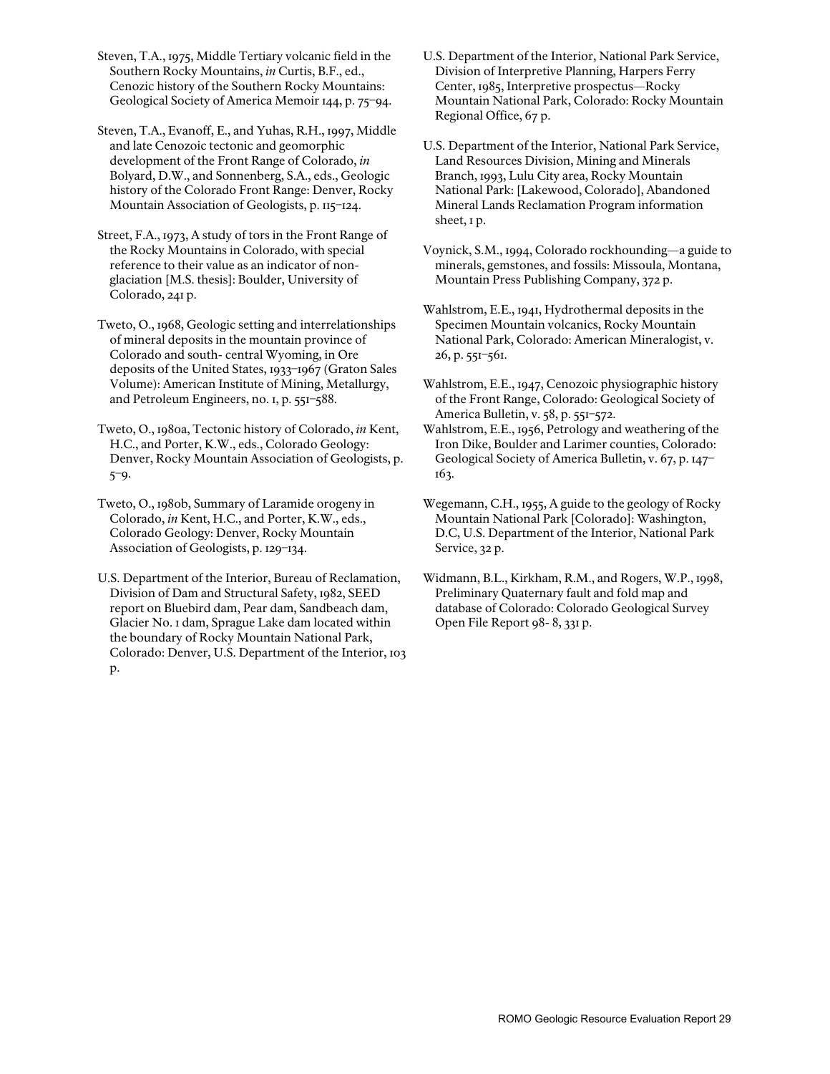Steven, T.A., 1975, Middle Tertiary volcanic field in the Southern Rocky Mountains, *in* Curtis, B.F., ed., Cenozic history of the Southern Rocky Mountains: Geological Society of America Memoir 144, p. 75–94.

Steven, T.A., Evanoff, E., and Yuhas, R.H., 1997, Middle and late Cenozoic tectonic and geomorphic development of the Front Range of Colorado, *in* Bolyard, D.W., and Sonnenberg, S.A., eds., Geologic history of the Colorado Front Range: Denver, Rocky Mountain Association of Geologists, p. 115–124.

Street, F.A., 1973, A study of tors in the Front Range of the Rocky Mountains in Colorado, with special reference to their value as an indicator of nonglaciation [M.S. thesis]: Boulder, University of Colorado, 241 p.

Tweto, O., 1968, Geologic setting and interrelationships of mineral deposits in the mountain province of Colorado and south- central Wyoming, in Ore deposits of the United States, 1933–1967 (Graton Sales Volume): American Institute of Mining, Metallurgy, and Petroleum Engineers, no. 1, p. 551–588.

Tweto, O., 1980a, Tectonic history of Colorado, *in* Kent, H.C., and Porter, K.W., eds., Colorado Geology: Denver, Rocky Mountain Association of Geologists, p. 5–9.

Tweto, O., 1980b, Summary of Laramide orogeny in Colorado, *in* Kent, H.C., and Porter, K.W., eds., Colorado Geology: Denver, Rocky Mountain Association of Geologists, p. 129–134.

U.S. Department of the Interior, Bureau of Reclamation, Division of Dam and Structural Safety, 1982, SEED report on Bluebird dam, Pear dam, Sandbeach dam, Glacier No. 1 dam, Sprague Lake dam located within the boundary of Rocky Mountain National Park, Colorado: Denver, U.S. Department of the Interior, 103 p.

U.S. Department of the Interior, National Park Service, Division of Interpretive Planning, Harpers Ferry Center, 1985, Interpretive prospectus—Rocky Mountain National Park, Colorado: Rocky Mountain Regional Office, 67 p.

U.S. Department of the Interior, National Park Service, Land Resources Division, Mining and Minerals Branch, 1993, Lulu City area, Rocky Mountain National Park: [Lakewood, Colorado], Abandoned Mineral Lands Reclamation Program information sheet,  $1 p$ .

Voynick, S.M., 1994, Colorado rockhounding—a guide to minerals, gemstones, and fossils: Missoula, Montana, Mountain Press Publishing Company, 372 p.

Wahlstrom, E.E., 1941, Hydrothermal deposits in the Specimen Mountain volcanics, Rocky Mountain National Park, Colorado: American Mineralogist, v. 26, p. 551–561.

Wahlstrom, E.E., 1947, Cenozoic physiographic history of the Front Range, Colorado: Geological Society of America Bulletin, v. 58, p. 551–572.

Wahlstrom, E.E., 1956, Petrology and weathering of the Iron Dike, Boulder and Larimer counties, Colorado: Geological Society of America Bulletin, v. 67, p. 147– 163.

Wegemann, C.H., 1955, A guide to the geology of Rocky Mountain National Park [Colorado]: Washington, D.C, U.S. Department of the Interior, National Park Service, 32 p.

Widmann, B.L., Kirkham, R.M., and Rogers, W.P., 1998, Preliminary Quaternary fault and fold map and database of Colorado: Colorado Geological Survey Open File Report 98- 8, 331 p.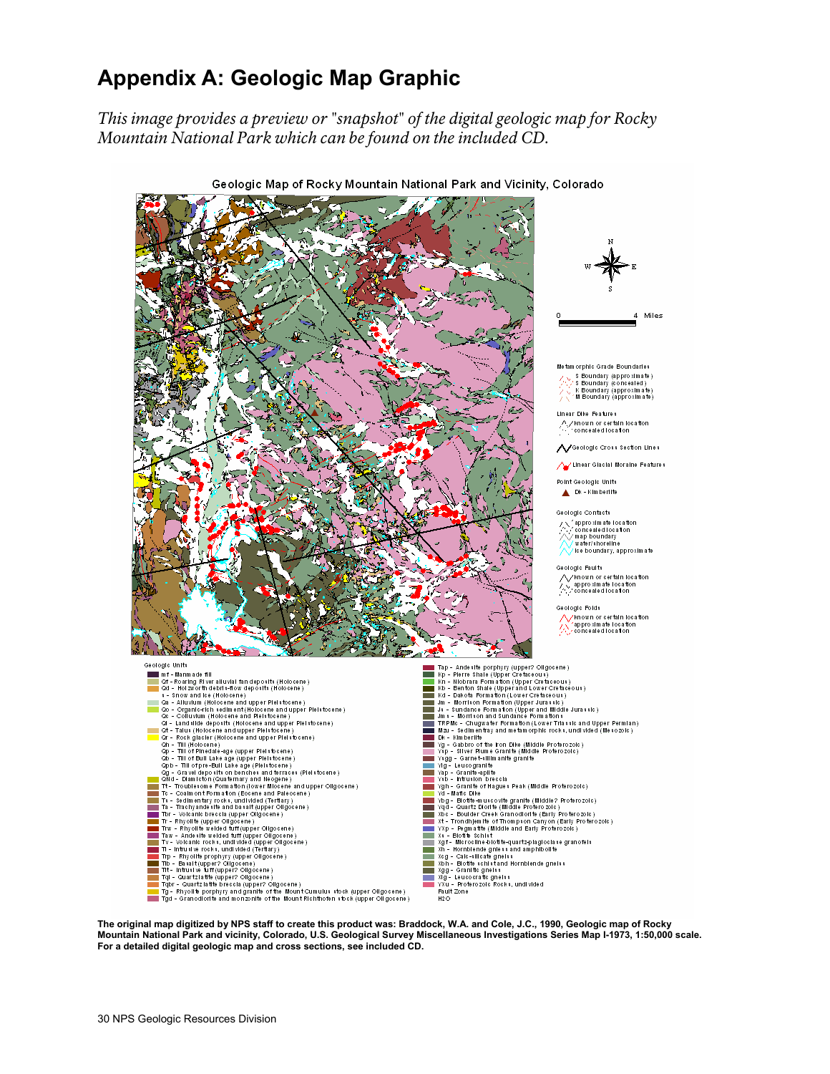# **Appendix A: Geologic Map Graphic**

*This image provides a preview or "snapshot" of the digital geologic map for Rocky Mountain National Park which can be found on the included CD.* 



Geologic Map of Rocky Mountain National Park and Vicinity, Colorado

Miles

**Mountain National Park and vicinity, Colorado, U.S. Geological Survey Miscellaneous Investigations Series Map I-1973, 1:50,000 scale. For a detailed digital geologic map and cross sections, see included CD.**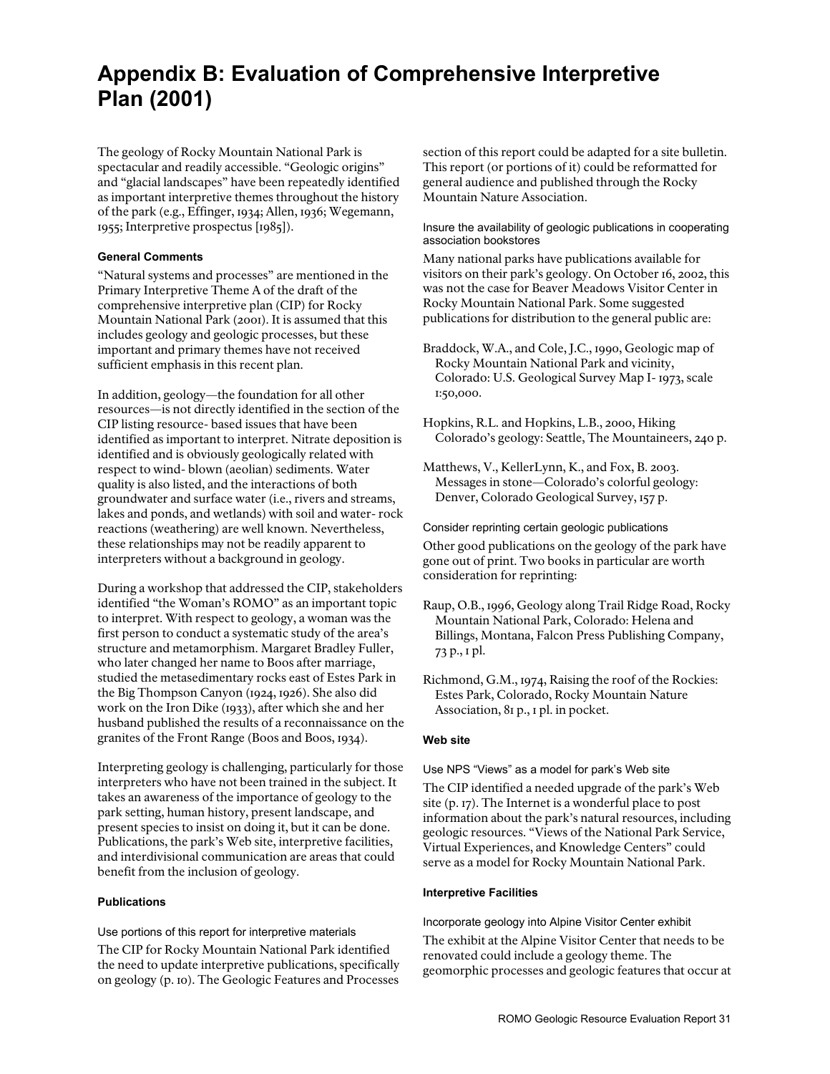# **Appendix B: Evaluation of Comprehensive Interpretive Plan (2001)**

The geology of Rocky Mountain National Park is spectacular and readily accessible. "Geologic origins" and "glacial landscapes" have been repeatedly identified as important interpretive themes throughout the history of the park (e.g., Effinger, 1934; Allen, 1936; Wegemann, 1955; Interpretive prospectus [1985]).

#### **General Comments**

"Natural systems and processes" are mentioned in the Primary Interpretive Theme A of the draft of the comprehensive interpretive plan (CIP) for Rocky Mountain National Park (2001). It is assumed that this includes geology and geologic processes, but these important and primary themes have not received sufficient emphasis in this recent plan.

In addition, geology—the foundation for all other resources—is not directly identified in the section of the CIP listing resource- based issues that have been identified as important to interpret. Nitrate deposition is identified and is obviously geologically related with respect to wind- blown (aeolian) sediments. Water quality is also listed, and the interactions of both groundwater and surface water (i.e., rivers and streams, lakes and ponds, and wetlands) with soil and water- rock reactions (weathering) are well known. Nevertheless, these relationships may not be readily apparent to interpreters without a background in geology.

During a workshop that addressed the CIP, stakeholders identified "the Woman's ROMO" as an important topic to interpret. With respect to geology, a woman was the first person to conduct a systematic study of the area's structure and metamorphism. Margaret Bradley Fuller, who later changed her name to Boos after marriage, studied the metasedimentary rocks east of Estes Park in the Big Thompson Canyon (1924, 1926). She also did work on the Iron Dike (1933), after which she and her husband published the results of a reconnaissance on the granites of the Front Range (Boos and Boos, 1934).

Interpreting geology is challenging, particularly for those interpreters who have not been trained in the subject. It takes an awareness of the importance of geology to the park setting, human history, present landscape, and present species to insist on doing it, but it can be done. Publications, the park's Web site, interpretive facilities, and interdivisional communication are areas that could benefit from the inclusion of geology.

#### **Publications**

Use portions of this report for interpretive materials

The CIP for Rocky Mountain National Park identified the need to update interpretive publications, specifically on geology (p. 10). The Geologic Features and Processes section of this report could be adapted for a site bulletin. This report (or portions of it) could be reformatted for general audience and published through the Rocky Mountain Nature Association.

Insure the availability of geologic publications in cooperating association bookstores

Many national parks have publications available for visitors on their park's geology. On October 16, 2002, this was not the case for Beaver Meadows Visitor Center in Rocky Mountain National Park. Some suggested publications for distribution to the general public are:

Braddock, W.A., and Cole, J.C., 1990, Geologic map of Rocky Mountain National Park and vicinity, Colorado: U.S. Geological Survey Map I- 1973, scale 1:50,000.

Hopkins, R.L. and Hopkins, L.B., 2000, Hiking Colorado's geology: Seattle, The Mountaineers, 240 p.

Matthews, V., KellerLynn, K., and Fox, B. 2003. Messages in stone—Colorado's colorful geology: Denver, Colorado Geological Survey, 157 p.

Consider reprinting certain geologic publications

Other good publications on the geology of the park have gone out of print. Two books in particular are worth consideration for reprinting:

Raup, O.B., 1996, Geology along Trail Ridge Road, Rocky Mountain National Park, Colorado: Helena and Billings, Montana, Falcon Press Publishing Company, 73 p., 1 pl.

#### **Web site**

Use NPS "Views" as a model for park's Web site

The CIP identified a needed upgrade of the park's Web site (p. 17). The Internet is a wonderful place to post information about the park's natural resources, including geologic resources. "Views of the National Park Service, Virtual Experiences, and Knowledge Centers" could serve as a model for Rocky Mountain National Park.

#### **Interpretive Facilities**

Incorporate geology into Alpine Visitor Center exhibit The exhibit at the Alpine Visitor Center that needs to be renovated could include a geology theme. The geomorphic processes and geologic features that occur at

Richmond, G.M., 1974, Raising the roof of the Rockies: Estes Park, Colorado, Rocky Mountain Nature Association, 81 p., 1 pl. in pocket.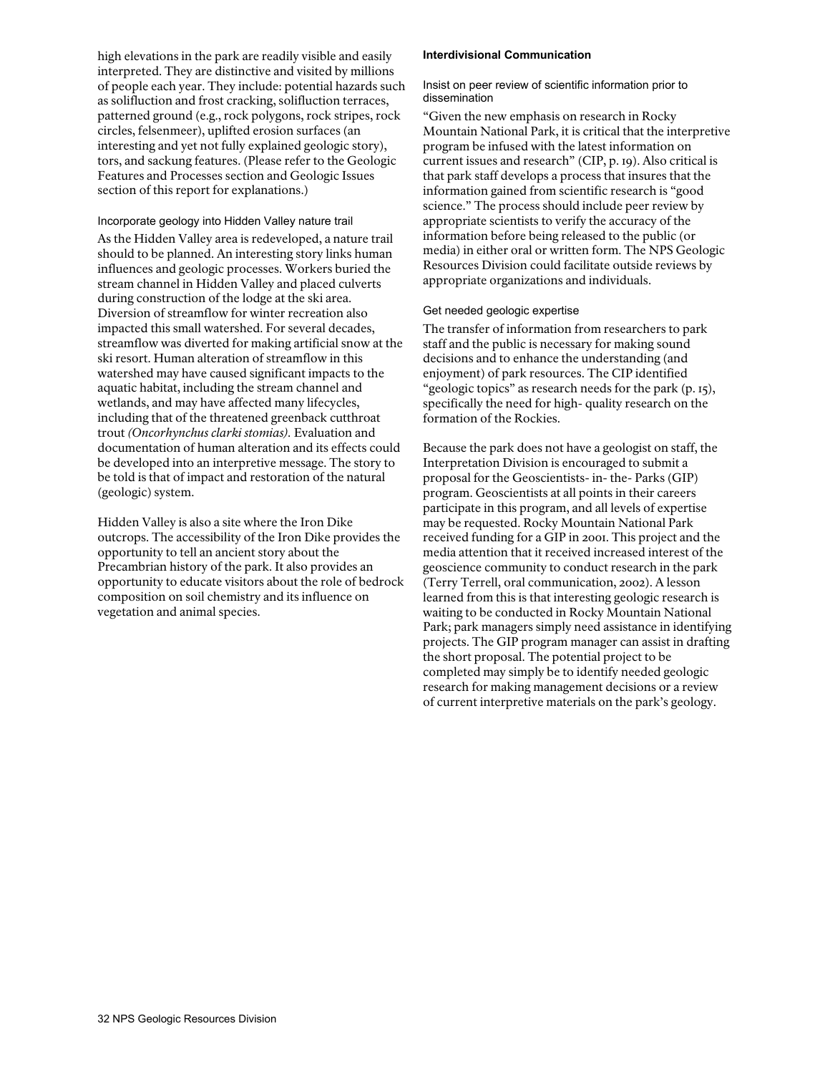high elevations in the park are readily visible and easily interpreted. They are distinctive and visited by millions of people each year. They include: potential hazards such as solifluction and frost cracking, solifluction terraces, patterned ground (e.g., rock polygons, rock stripes, rock circles, felsenmeer), uplifted erosion surfaces (an interesting and yet not fully explained geologic story), tors, and sackung features. (Please refer to the Geologic Features and Processes section and Geologic Issues section of this report for explanations.)

#### Incorporate geology into Hidden Valley nature trail

As the Hidden Valley area is redeveloped, a nature trail should to be planned. An interesting story links human influences and geologic processes. Workers buried the stream channel in Hidden Valley and placed culverts during construction of the lodge at the ski area. Diversion of streamflow for winter recreation also impacted this small watershed. For several decades, streamflow was diverted for making artificial snow at the ski resort. Human alteration of streamflow in this watershed may have caused significant impacts to the aquatic habitat, including the stream channel and wetlands, and may have affected many lifecycles, including that of the threatened greenback cutthroat trout *(Oncorhynchus clarki stomias).* Evaluation and documentation of human alteration and its effects could be developed into an interpretive message. The story to be told is that of impact and restoration of the natural (geologic) system.

Hidden Valley is also a site where the Iron Dike outcrops. The accessibility of the Iron Dike provides the opportunity to tell an ancient story about the Precambrian history of the park. It also provides an opportunity to educate visitors about the role of bedrock composition on soil chemistry and its influence on vegetation and animal species.

#### **Interdivisional Communication**

Insist on peer review of scientific information prior to dissemination

"Given the new emphasis on research in Rocky Mountain National Park, it is critical that the interpretive program be infused with the latest information on current issues and research" (CIP, p. 19). Also critical is that park staff develops a process that insures that the information gained from scientific research is "good science." The process should include peer review by appropriate scientists to verify the accuracy of the information before being released to the public (or media) in either oral or written form. The NPS Geologic Resources Division could facilitate outside reviews by appropriate organizations and individuals.

#### Get needed geologic expertise

The transfer of information from researchers to park staff and the public is necessary for making sound decisions and to enhance the understanding (and enjoyment) of park resources. The CIP identified "geologic topics" as research needs for the park (p. 15), specifically the need for high- quality research on the formation of the Rockies.

Because the park does not have a geologist on staff, the Interpretation Division is encouraged to submit a proposal for the Geoscientists- in- the- Parks (GIP) program. Geoscientists at all points in their careers participate in this program, and all levels of expertise may be requested. Rocky Mountain National Park received funding for a GIP in 2001. This project and the media attention that it received increased interest of the geoscience community to conduct research in the park (Terry Terrell, oral communication, 2002). A lesson learned from this is that interesting geologic research is waiting to be conducted in Rocky Mountain National Park; park managers simply need assistance in identifying projects. The GIP program manager can assist in drafting the short proposal. The potential project to be completed may simply be to identify needed geologic research for making management decisions or a review of current interpretive materials on the park's geology.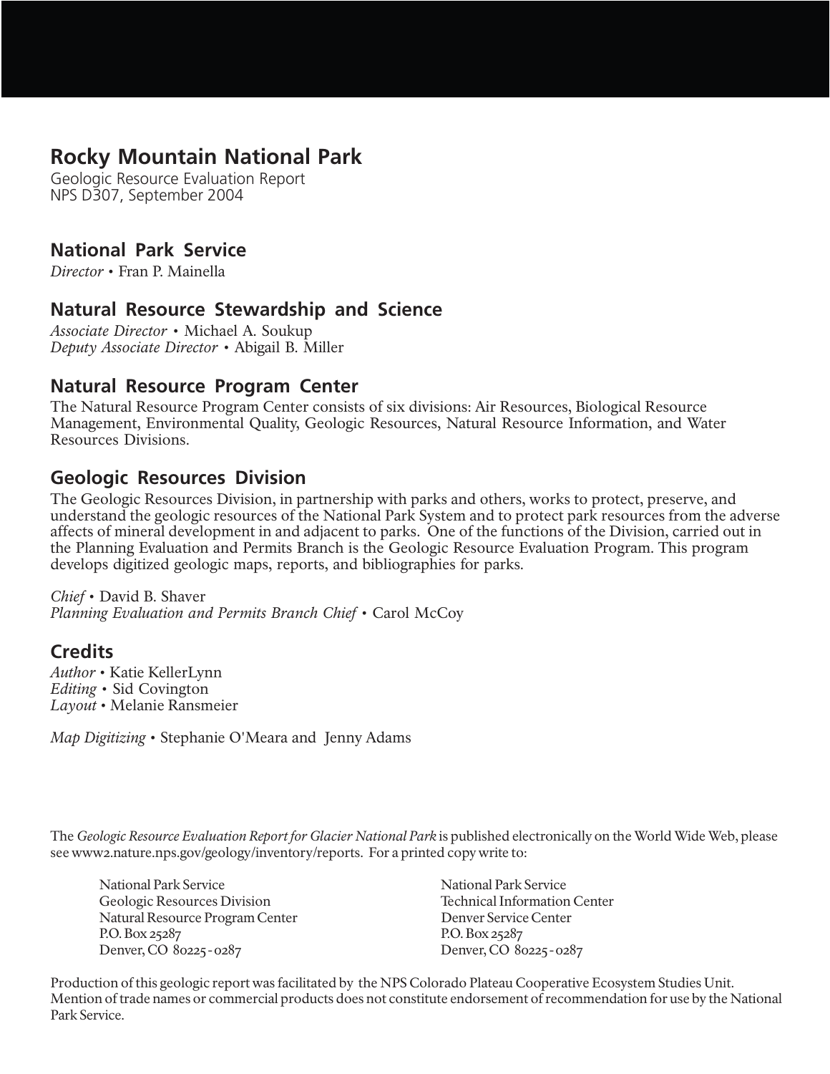## **Rocky Mountain National Park**

Geologic Resource Evaluation Report NPS D307, September 2004

### **National Park Service**

*Director* • Fran P. Mainella

### **Natural Resource Stewardship and Science**

*Associate Director* • Michael A. Soukup *Deputy Associate Director* • Abigail B. Miller

### **Natural Resource Program Center**

The Natural Resource Program Center consists of six divisions: Air Resources, Biological Resource Management, Environmental Quality, Geologic Resources, Natural Resource Information, and Water Resources Divisions.

### **Geologic Resources Division**

The Geologic Resources Division, in partnership with parks and others, works to protect, preserve, and understand the geologic resources of the National Park System and to protect park resources from the adverse affects of mineral development in and adjacent to parks. One of the functions of the Division, carried out in the Planning Evaluation and Permits Branch is the Geologic Resource Evaluation Program. This program develops digitized geologic maps, reports, and bibliographies for parks.

*Chief* • David B. Shaver *Planning Evaluation and Permits Branch Chief* • Carol McCoy

### **Credits**

*Author* • Katie KellerLynn *Editing* • Sid Covington *Layout* • Melanie Ransmeier

*Map Digitizing* • Stephanie O'Meara and Jenny Adams

The *Geologic Resource Evaluation Report for Glacier National Park* is published electronically on the World Wide Web, please see www2.nature.nps.gov/geology/inventory/reports. For a printed copy write to:

National Park Service National Park Service Geologic Resources Division Technical Information Center Natural Resource Program Center **Denver Service Center** Denver Service Center P.O. Box 25287 P.O. Box 25287 Denver, CO 80225-0287 Denver, CO 80225-0287

Production of this geologic report was facilitated by the NPS Colorado Plateau Cooperative Ecosystem Studies Unit. Mention of trade names or commercial products does not constitute endorsement of recommendation for use by the National Park Service.